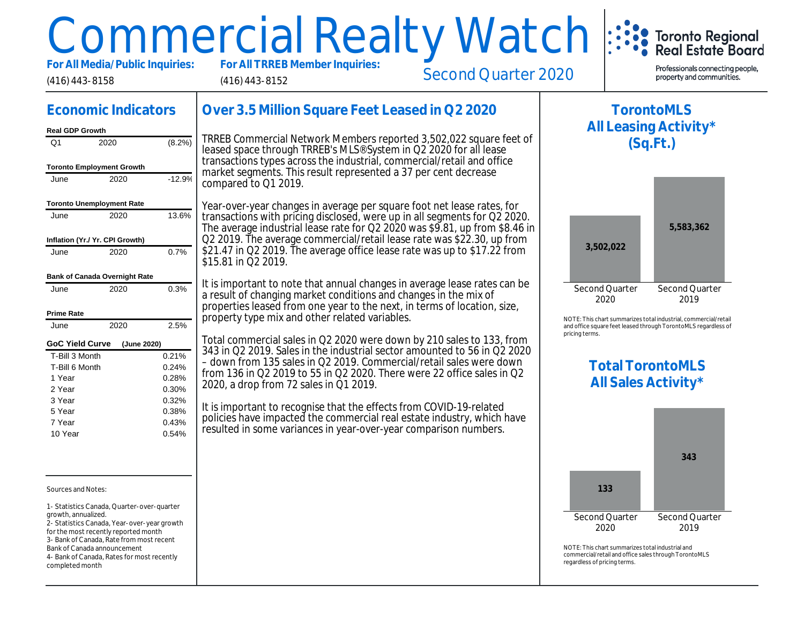# Commercial Realty Watch

For All Media/Public Inquiries:

(416) 443-8152

Second Quarter 2020

# Economic Indicators

#### Real GDP Growth

(416) 443-8158

| Q1                               | 2020                            | (8.2%)   |
|----------------------------------|---------------------------------|----------|
| <b>Toronto Employment Growth</b> |                                 |          |
| June                             | 2020                            | $-12.9%$ |
| <b>Toronto Unemployment Rate</b> |                                 |          |
| June                             | 2020                            | 13.6%    |
|                                  | Inflation (Yr./ Yr. CPI Growth) |          |
| June                             | 2020                            | 0.7%     |
|                                  | Bank of Canada Overnight Rate   |          |
| June                             | 2020                            | 0.3%     |
| Prime Rate                       |                                 |          |
| June                             | 2020                            | 2.5%     |
| <b>GoC Yield Curve</b>           | (June 2020)                     |          |
| T-Bill 3 Month                   |                                 | 0.21%    |
| T-Bill 6 Month                   |                                 | 0.24%    |
| 1 Year                           |                                 | 0.28%    |
| 2 Year                           |                                 | 0.30%    |
| 3 Year                           |                                 | 0.32%    |
| 5 Year                           |                                 | 0.38%    |
| 7 Year                           |                                 | 0.43%    |
| 10 Year                          |                                 | 0.54%    |

Sources and Notes:

1- Statistics Canada, Quarter-over-quarter growth, annualized.

- 2- Statistics Canada, Year-over-year growth
- for the most recently reported month
- 3- Bank of Canada, Rate from most recent
- Bank of Canada announcement

4- Bank of Canada, Rates for most recently completed month

# Over 3.5 Million Square Feet Leased in Q2 2020

TRREB Commercial Network Members reported 3,502,022 square f leased space through TRREB's MLS® System in Q2 2020 for all lea transactions types across the industrial, commercial/retail and office market segments. This result represented a 37 per cent decrease compared to Q1 2019.

Year-over-year changes in average per square foot net lease rates, transactions with pricing disclosed, were up in all segments for Q2 2 The average industrial lease rate for Q2 2020 was \$9.81, up from \$8 Q2 2019. The average commercial/retail lease rate was \$22.30, up f \$21.47 in Q2 2019. The average office lease rate was up to \$17.22  $\frac{1}{2}$ \$15.81 in Q2 2019.

It is important to note that annual changes in average lease rates ca a result of changing market conditions and changes in the mix of properties leased from one year to the next, in terms of location, size, property type mix and other related variables.

Total commercial sales in Q2 2020 were down by 210 sales to 133, 343 in Q2 2019. Sales in the industrial sector amounted to 56 in Q2 – down from 135 sales in Q2 2019. Commercial/retail sales were down from 136 in Q2 2019 to 55 in Q2 2020. There were 22 office sales in Q2 2020, a drop from 72 sales in Q1 2019.

It is important to recognise that the effects from COVID-19-related policies have impacted the commercial real estate industry, which has resulted in some variances in year-over-year comparison numbers.

NOTE: This chart sur and office square fee

pricing terms.

Total All S

All Le

T)

 $NOTF: This chart sur$ commercial/retail and regardless of pricing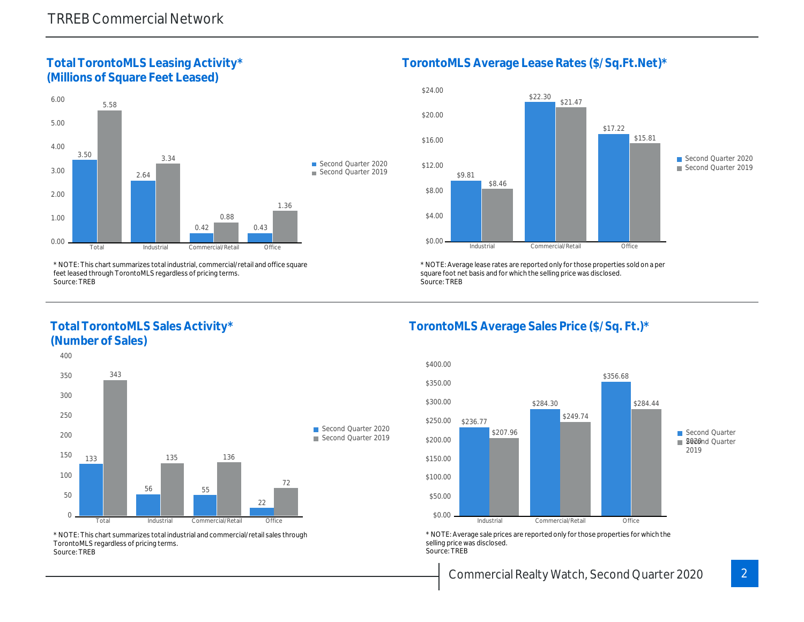Total TorontoMLS Leasing Activity\* (Millions of Square Feet Leased)

TorontoMLS Average Lease Rates (\$/Sq.

\* NOTE: This chart summarizes total industrial, commercial/retail and office square feet leased through TorontoMLS regardless of pricing terms. Source: TREB

Total TorontoMLS Sales Activity\* (Number of Sales)

\* NOTE: Average lease rates are reported only for those proper square foot net basis and for which the selling price was disclos Source: TREB

TorontoMLS Average Sales Price (\$/Sq.

\* NOTE: This chart summarizes total industrial and commercial/retail sales through TorontoMLS regardless of pricing terms. Source: TREB

\* NOTE: Average sale prices are reported only for those prope selling price was disclosed. Source: TREB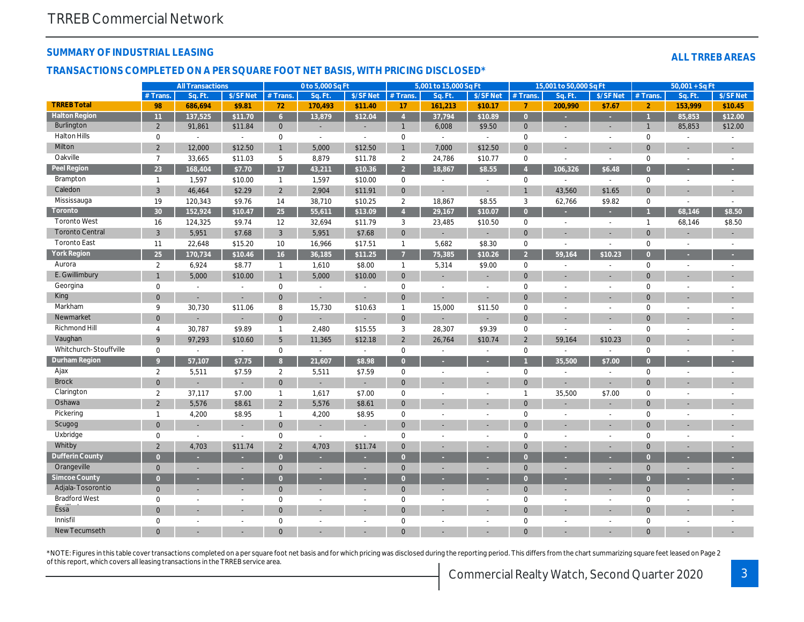#### SUMMARY OF INDUSTRIAL LEASING

#### TRANSACTIONS COMPLETED ON A PER SQUARE FOOT NET BASIS, WITH PRICING DISCLOSED\*

|                        |                | <b>All Transactions</b>  |                          |                | 0 to 5,000 Sq Ft         |                          |                | 5,001 to 15,000 Sq Ft    |                          |                | 15,001 to 50,000 Sq Ft   |                          |
|------------------------|----------------|--------------------------|--------------------------|----------------|--------------------------|--------------------------|----------------|--------------------------|--------------------------|----------------|--------------------------|--------------------------|
|                        | # Trans.       | Sq. Ft                   | \$/SF Net                | # Trans.       | Sq. Ft.                  | \$/SF Net                | # Trans.       | Sq. Ft.                  | \$/SF Net                | # Trans.       | Sq. Ft.                  | $$/SF$ Ne                |
| <b>TRREB Total</b>     | 98             | 686,694                  | \$9.81                   | 72             | 170,493                  | \$11.40                  | 17             | 161,213                  | \$10.17                  | 7              | 200,990                  | \$7.67                   |
| <b>Halton Region</b>   | 11             | 137,525                  | \$11.70                  | 6 <sup>1</sup> | 13,879                   | \$12.04                  | $\overline{4}$ | 37,794                   | \$10.89                  | $\overline{0}$ |                          | ÷                        |
| <b>Burlington</b>      | $\overline{2}$ | 91,861                   | \$11.84                  | $\mathbf{0}$   | $\overline{\phantom{a}}$ | $\overline{\phantom{a}}$ | $\mathbf{1}$   | 6,008                    | \$9.50                   | $\mathbf{0}$   | $\overline{\phantom{a}}$ | $\blacksquare$           |
| <b>Halton Hills</b>    | 0              | $\blacksquare$           | $\sim$                   | 0              | $\sim$                   | $\blacksquare$           | $\mathbf 0$    | $\sim$                   | $\sim$                   | 0              | $\sim$                   | $\blacksquare$           |
| Milton                 | $\overline{2}$ | 12,000                   | \$12.50                  | $\mathbf{1}$   | 5,000                    | \$12.50                  | $\mathbf{1}$   | 7,000                    | \$12.50                  | $\mathbf{0}$   | ٠                        | $\sim$                   |
| Oakville               | $\overline{7}$ | 33,665                   | \$11.03                  | 5              | 8,879                    | \$11.78                  | $\overline{2}$ | 24,786                   | \$10.77                  | $\mathbf 0$    | $\sim$                   | $\sim$                   |
| Peel Region            | 23             | 168,404                  | \$7.70                   | 17             | 43,211                   | \$10.36                  | 2 <sup>7</sup> | 18,867                   | \$8.55                   | $\overline{4}$ | 106,326                  | \$6.48                   |
| Brampton               | $\mathbf{1}$   | 1,597                    | \$10.00                  | $\mathbf{1}$   | 1,597                    | \$10.00                  | 0              | $\sim$                   | $\blacksquare$           | $\mathbf 0$    | $\sim$                   | $\blacksquare$           |
| Caledon                | 3              | 46,464                   | \$2.29                   | $\overline{2}$ | 2,904                    | \$11.91                  | $\mathbf{0}$   | $\sim$                   | $\blacksquare$           | $\mathbf{1}$   | 43,560                   | \$1.65                   |
| Mississauga            | 19             | 120,343                  | \$9.76                   | 14             | 38,710                   | \$10.25                  | $\overline{2}$ | 18,867                   | \$8.55                   | 3              | 62,766                   | \$9.82                   |
| Toronto                | 30             | 152,924                  | \$10.47                  | 25             | 55,611                   | \$13.09                  | $\overline{4}$ | 29,167                   | \$10.07                  | $\overline{0}$ | ×                        | $\sim$                   |
| <b>Toronto West</b>    | 16             | 124,325                  | \$9.74                   | 12             | 32,694                   | \$11.79                  | 3              | 23,485                   | \$10.50                  | $\mathbf 0$    | $\blacksquare$           | $\blacksquare$           |
| <b>Toronto Central</b> | 3              | 5,951                    | \$7.68                   | 3              | 5,951                    | \$7.68                   | $\mathbf{0}$   | $\blacksquare$           | $\blacksquare$           | $\mathbf{0}$   | $\blacksquare$           | $\overline{\phantom{a}}$ |
| <b>Toronto East</b>    | 11             | 22,648                   | \$15.20                  | 10             | 16,966                   | \$17.51                  | $\mathbf{1}$   | 5,682                    | \$8.30                   | $\mathbf 0$    | $\blacksquare$           | $\sim$                   |
| York Region            | 25             | 170,734                  | \$10.46                  | 16             | 36,185                   | \$11.25                  | $\overline{7}$ | 75,385                   | \$10.26                  | $\overline{2}$ | 59,164                   | \$10.23                  |
| Aurora                 | $\overline{2}$ | 6,924                    | \$8.77                   | $\mathbf{1}$   | 1,610                    | \$8.00                   | $\mathbf{1}$   | 5,314                    | \$9.00                   | $\mathbf 0$    | $\blacksquare$           | $\sim$                   |
| E. Gwillimbury         | $\overline{1}$ | 5,000                    | \$10.00                  | $\mathbf{1}$   | 5,000                    | \$10.00                  | $\mathbf{0}$   | $\sim$                   | ٠                        | $\mathbf{0}$   |                          | $\overline{\phantom{a}}$ |
| Georgina               | 0              | L.                       | $\overline{a}$           | 0              | $\blacksquare$           |                          | $\mathbf 0$    | $\sim$                   | $\sim$                   | $\mathbf 0$    |                          | $\blacksquare$           |
| King                   | $\mathbf 0$    | $\blacksquare$           | $\blacksquare$           | $\mathbf 0$    | $\blacksquare$           |                          | $\mathbf 0$    | $\blacksquare$           | $\overline{\phantom{a}}$ | $\mathbf 0$    | ٠                        | $\overline{\phantom{a}}$ |
| Markham                | 9              | 30,730                   | \$11.06                  | 8              | 15,730                   | \$10.63                  | $\mathbf{1}$   | 15,000                   | \$11.50                  | 0              | $\sim$                   | $\sim$                   |
| Newmarket              | $\mathbf 0$    | $\overline{\phantom{a}}$ | $\sim$                   | $\overline{0}$ | $\overline{\phantom{a}}$ |                          | $\mathbf{0}$   | ٠                        | $\blacksquare$           | $\mathbf{0}$   | ٠                        | $\sim$                   |
| Richmond Hill          | 4              | 30,787                   | \$9.89                   | $\mathbf{1}$   | 2,480                    | \$15.55                  | 3              | 28,307                   | \$9.39                   | 0              | $\blacksquare$           | $\blacksquare$           |
| Vaughan                | 9              | 97,293                   | \$10.60                  | 5              | 11,365                   | \$12.18                  | $\overline{2}$ | 26,764                   | \$10.74                  | 2              | 59,164                   | \$10.23                  |
| Whitchurch-Stouffville | $\mathbf 0$    | $\sim$                   | $\sim$                   | 0              | $\sim$                   | $\overline{\phantom{a}}$ | $\mathbf 0$    | $\overline{\phantom{a}}$ | $\sim$                   | 0              | $\blacksquare$           | $\blacksquare$           |
| <b>Durham Region</b>   | 9 <sup>°</sup> | 57,107                   | \$7.75                   | $\overline{8}$ | 21,607                   | \$8.98                   | $\overline{0}$ | ×.                       | ×                        |                | 35,500                   | \$7.00                   |
| Ajax                   | $\overline{2}$ | 5,511                    | \$7.59                   | $\overline{2}$ | 5,511                    | \$7.59                   | $\mathbf 0$    | $\blacksquare$           | $\sim$                   | $\mathbf 0$    | $\blacksquare$           | $\blacksquare$           |
| <b>Brock</b>           | $\mathbf 0$    |                          | $\overline{\phantom{a}}$ | $\mathbf 0$    |                          |                          | $\mathbf 0$    | ×.                       | ٠                        | $\mathbf{0}$   | ÷,                       | $\overline{\phantom{a}}$ |
| Clarington             | $\overline{2}$ | 37,117                   | \$7.00                   | $\mathbf{1}$   | 1,617                    | \$7.00                   | $\mathbf 0$    | $\sim$                   | $\sim$                   | $\mathbf{1}$   | 35,500                   | \$7.00                   |
| Oshawa                 | $\overline{2}$ | 5,576                    | \$8.61                   | $\overline{2}$ | 5,576                    | \$8.61                   | $\mathbf{0}$   | ×.                       |                          | $\mathbf{0}$   | ٠                        | $\overline{\phantom{a}}$ |
| Pickering              | $\mathbf{1}$   | 4,200                    | \$8.95                   | $\mathbf{1}$   | 4,200                    | \$8.95                   | $\mathbf 0$    | $\sim$                   | $\sim$                   | 0              | $\sim$                   | $\blacksquare$           |
| Scugog                 | $\mathbf 0$    | $\overline{\phantom{a}}$ | $\blacksquare$           | $\mathbf 0$    | $\overline{\phantom{a}}$ | $\blacksquare$           | $\mathbf{0}$   | ×.                       | ٠                        | $\mathbf{0}$   |                          | $\overline{\phantom{a}}$ |
| Uxbridge               | $\mathbf 0$    | $\blacksquare$           | $\blacksquare$           | 0              | $\sim$                   | $\overline{\phantom{a}}$ | $\mathbf 0$    | $\sim$                   | $\sim$                   | $\mathbf 0$    | $\sim$                   | $\blacksquare$           |
| Whitby                 | $\overline{2}$ | 4,703                    | \$11.74                  | $\overline{2}$ | 4,703                    | \$11.74                  | $\mathbf{0}$   | ۰                        | $\overline{\phantom{a}}$ | $\mathbf{0}$   | ٠                        | $\overline{\phantom{a}}$ |
| <b>Dufferin County</b> | $\overline{0}$ | ٠                        |                          | $\overline{0}$ |                          |                          | $\overline{0}$ |                          |                          | $\overline{0}$ | н                        | ×.                       |
| Orangeville            | $\mathbf{0}$   | $\blacksquare$           | $\overline{\phantom{a}}$ | $\mathbf{0}$   | $\overline{\phantom{a}}$ | $\overline{\phantom{a}}$ | $\mathbf{0}$   | $\blacksquare$           | $\overline{\phantom{a}}$ | $\mathbf{0}$   | ÷                        | $\blacksquare$           |
| <b>Simcoe County</b>   | $\overline{0}$ | ٠                        | ٠                        | $\overline{0}$ |                          | ٠                        | $\overline{0}$ |                          |                          | $\overline{0}$ |                          | ×.                       |
| Adjala-Tosorontio      | $\mathbf{0}$   | $\sim$                   | $\blacksquare$           | $\mathbf{0}$   |                          |                          | $\mathbf{0}$   | ٠                        | $\sim$                   | $\mathbf{0}$   | ÷                        | $\blacksquare$           |
| <b>Bradford West</b>   | 0              | $\blacksquare$           | $\blacksquare$           | 0              | $\overline{\phantom{a}}$ | $\overline{\phantom{a}}$ | $\mathbf 0$    | $\sim$                   | $\sim$                   | 0              | $\blacksquare$           | $\blacksquare$           |
| Essa                   | $\mathbf 0$    | $\blacksquare$           |                          | $\overline{0}$ |                          |                          | $\mathbf{0}$   | ×.                       | $\blacksquare$           | $\mathbf{0}$   |                          | $\overline{\phantom{a}}$ |
| Innisfil               | 0              | $\overline{a}$           |                          | 0              | $\sim$                   | $\overline{\phantom{a}}$ | $\mathbf 0$    | $\sim$                   |                          | 0              | ä,                       | $\blacksquare$           |
| New Tecumseth          | $\overline{0}$ |                          |                          | $\Omega$       |                          |                          | $\mathbf 0$    |                          |                          | $\Omega$       |                          |                          |
|                        |                |                          |                          |                |                          |                          |                |                          |                          |                |                          |                          |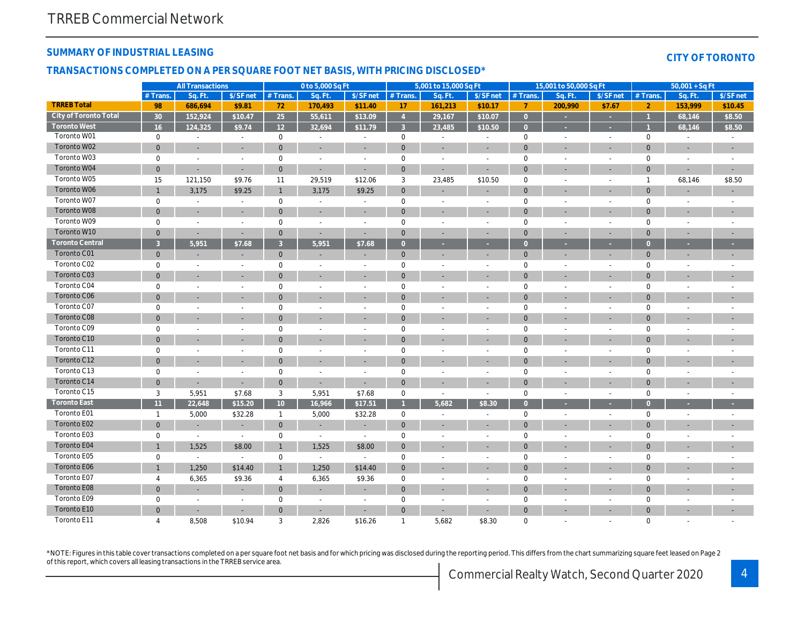## SUMMARY OF INDUSTRIAL LEASING

#### TRANSACTIONS COMPLETED ON A PER SQUARE FOOT NET BASIS, WITH PRICING DISCLOSED\*

|                        |                 | <b>All Transactions</b>  |                          |                 | 0 to 5,000 Sq Ft         |                          |                     | 5,001 to 15,000 Sq Ft        |                              |                | 15,001 to 50,000 Sq Ft   |                          |
|------------------------|-----------------|--------------------------|--------------------------|-----------------|--------------------------|--------------------------|---------------------|------------------------------|------------------------------|----------------|--------------------------|--------------------------|
|                        | # Trans.        | Sq. Ft.                  | \$/SF net                | # Trans.        | Sa. Ft.                  | \$/SF net                | # Trans.            | Sa. Ft.                      | \$/SF net                    | # Trans.       | Sq. Ft.                  | \$/SF ne                 |
| <b>TRREB Total</b>     | 98              | 686,694                  | \$9.81                   | 72              | 170,493                  | \$11.40                  | 17                  | 161,213                      | \$10.17                      | $\overline{7}$ | 200,990                  | \$7.67                   |
| City of Toronto Total  | 30 <sup>°</sup> | 152,924                  | \$10.47                  | 25              | 55,611                   | \$13.09                  | $\overline{4}$      | 29,167                       | \$10.07                      | $\overline{0}$ | ×                        | $\sim$                   |
| Toronto West           | 16              | 124,325                  | \$9.74                   | 12 <sup>2</sup> | 32,694                   | \$11.79                  | $\mathbf{3}$        | 23,485                       | \$10.50                      | $\Omega$       |                          | $\mathcal{L}$            |
| Toronto W01            | $\pmb{0}$       | $\blacksquare$           | $\sim$                   | 0               | $\sim$                   | $\sim$                   | $\mathbf 0$         | $\blacksquare$               | $\blacksquare$               | $\mathbf 0$    | $\blacksquare$           | $\sim$                   |
| Toronto W02            | $\mathbf{0}$    | $\overline{\phantom{a}}$ |                          | $\mathbf{0}$    | $\overline{\phantom{a}}$ | $\blacksquare$           | $\mathbf 0$         | $\blacksquare$               | ٠                            | $\mathbf 0$    |                          | $\blacksquare$           |
| Toronto W03            | $\mathbf 0$     | $\sim$                   | $\blacksquare$           | $\mathbf 0$     | $\sim$                   | $\sim$                   | $\mathbf 0$         | $\sim$                       | $\sim$                       | $\mathbf 0$    | $\blacksquare$           | $\sim$                   |
| Toronto W04            | $\mathbf 0$     | $\blacksquare$           | $\blacksquare$           | $\mathbf 0$     | ÷,                       | $\blacksquare$           | $\mathbf 0$         | ÷,                           | ÷,                           | $\mathbf 0$    |                          | $\blacksquare$           |
| Toronto W05            | 15              | 121,150                  | \$9.76                   | 11              | 29,519                   | \$12.06                  | 3                   | 23,485                       | \$10.50                      | 0              |                          | $\blacksquare$           |
| Toronto W06            | $\mathbf{1}$    | 3,175                    | \$9.25                   | $\mathbf{1}$    | 3,175                    | \$9.25                   | $\mathbf 0$         | $\blacksquare$               | $\blacksquare$               | $\mathbf 0$    |                          | $\sim$                   |
| Toronto W07            | $\pmb{0}$       | $\sim$                   | $\sim$                   | $\pmb{0}$       | $\sim$                   | $\blacksquare$           | $\mathsf 0$         | $\blacksquare$               | $\sim$                       | $\mathbf 0$    | $\sim$                   | $\sim$                   |
| Toronto W08            | $\mathbf{0}$    | $\overline{\phantom{a}}$ |                          | $\mathbf{0}$    | $\overline{a}$           | $\overline{\phantom{a}}$ | $\mathbf{0}$        | $\overline{\phantom{a}}$     | ٠                            | $\mathbf{0}$   |                          | $\overline{\phantom{a}}$ |
| Toronto W09            | $\mathbf 0$     | $\overline{\phantom{a}}$ | $\overline{a}$           | $\mathbf 0$     | $\sim$                   | $\sim$                   | $\mathbf 0$         | $\blacksquare$               | $\blacksquare$               | 0              |                          | $\blacksquare$           |
| Toronto W10            | $\mathbf{0}$    | $\overline{\phantom{a}}$ | $\blacksquare$           | $\mathbf{0}$    | $\blacksquare$           | $\blacksquare$           | $\mathbf{0}$        | $\blacksquare$               | ٠                            | $\mathbf{0}$   |                          | $\blacksquare$           |
| <b>Toronto Central</b> | $\mathbf{3}$    | 5,951                    | \$7.68                   | $\mathbf{3}$    | 5,951                    | \$7.68                   | $\overline{0}$      | ٠                            | ٠                            | $\overline{0}$ | ٠                        | ×.                       |
| Toronto C01            | $\pmb{0}$       |                          |                          | $\mathbf 0$     | ٠                        | ٠                        | $\mathbf 0$         | ÷,                           | ٠                            | $\mathbf 0$    | $\sim$                   | $\blacksquare$           |
| Toronto C02            | $\mathbf 0$     | $\sim$                   | $\sim$                   | $\mathbf 0$     | $\blacksquare$           | $\sim$                   | $\mathbf 0$         | $\blacksquare$               | $\blacksquare$               | 0              | $\blacksquare$           | $\sim$                   |
| Toronto C03            | $\mathbf 0$     |                          |                          | $\mathbf 0$     |                          | $\blacksquare$           | $\mathbf 0$         | $\blacksquare$               |                              | $\mathbf 0$    |                          | $\overline{\phantom{a}}$ |
| Toronto C04            | $\pmb{0}$       | $\overline{\phantom{a}}$ | $\overline{\phantom{a}}$ | $\mathbf 0$     | $\blacksquare$           | $\blacksquare$           | $\mathbf 0$         | $\blacksquare$               | $\sim$                       | 0              | $\blacksquare$           | $\blacksquare$           |
| Toronto C06            | $\mathbf 0$     | $\blacksquare$           |                          | $\mathbf 0$     | $\blacksquare$           | $\blacksquare$           | $\pmb{0}$           | ÷,                           | ÷,                           | $\mathbf 0$    |                          | $\overline{\phantom{a}}$ |
| Toronto C07            | $\pmb{0}$       | $\sim$                   | $\overline{\phantom{a}}$ | $\pmb{0}$       | $\sim$                   | $\blacksquare$           | $\mathbf 0$         | $\blacksquare$               | $\overline{\phantom{a}}$     | $\mathbf 0$    | $\overline{\phantom{a}}$ | $\blacksquare$           |
| Toronto C08            | $\mathbf{0}$    | $\overline{\phantom{a}}$ |                          | $\mathbf{0}$    | ä,                       | $\blacksquare$           | $\mathbf 0$         | $\blacksquare$               | ٠                            | $\mathbf 0$    |                          | $\sim$                   |
| Toronto C09            | $\mathbf 0$     |                          |                          | $\mathbf 0$     |                          | $\blacksquare$           | $\mathsf 0$         | ÷.                           |                              | 0              |                          | $\overline{\phantom{a}}$ |
| Toronto C10            | $\mathbf 0$     | $\blacksquare$           |                          | $\mathbf 0$     | ٠                        | $\blacksquare$           | $\pmb{0}$           | ٠                            | ٠                            | $\mathbf 0$    |                          | $\sim$                   |
| Toronto C11            | $\mathbf 0$     | $\overline{\phantom{a}}$ |                          | $\mathbf 0$     | $\blacksquare$           | $\blacksquare$           | $\mathbf 0$         | $\blacksquare$               | $\blacksquare$               | $\mathbf 0$    |                          | $\blacksquare$           |
| Toronto C12            | $\mathbf 0$     | $\sim$                   |                          | $\mathbf 0$     | $\overline{\phantom{a}}$ | $\overline{\phantom{a}}$ | $\mathbf{0}$        | ٠                            | ٠                            | $\mathbf 0$    |                          | $\overline{\phantom{a}}$ |
| Toronto C13            | $\mathbf 0$     | $\blacksquare$           | $\sim$                   | $\mathbf 0$     | $\blacksquare$           | $\blacksquare$           | $\mathbf 0$         | $\blacksquare$               | $\blacksquare$               | $\pmb{0}$      | $\blacksquare$           | $\blacksquare$           |
| Toronto C14            | $\mathbf 0$     |                          | $\sim$                   | $\pmb{0}$       | $\sim$                   | $\blacksquare$           | $\mathbf 0$         | ٠                            |                              | $\mathbf 0$    |                          | $\blacksquare$           |
| Toronto C15            | 3               | 5,951                    | \$7.68                   | 3               | 5,951                    | \$7.68                   | $\mathbf 0$         | $\sim$                       | $\sim$                       | $\mathbf 0$    | $\blacksquare$           | $\sim$                   |
| <b>Toronto East</b>    | 11              | 22,648                   | \$15.20                  | 10 <sup>1</sup> | 16,966                   | \$17.51                  | $\overline{1}$      | 5,682                        | \$8.30                       | $\overline{0}$ |                          | $\sim$                   |
| Toronto E01            | $\mathbf{1}$    | 5,000                    | \$32.28                  | $\mathbf{1}$    | 5,000                    | \$32.28                  | $\mathbf 0$         | $\blacksquare$               | $\blacksquare$               | $\mathbf 0$    | $\blacksquare$           | $\blacksquare$           |
| Toronto E02            | $\mathbf{0}$    |                          |                          | $\mathbf{0}$    | $\blacksquare$           | ٠                        | $\mathbf{0}$        | $\qquad \qquad \blacksquare$ | $\qquad \qquad \blacksquare$ | $\mathbf{0}$   |                          | $\overline{\phantom{a}}$ |
| Toronto E03            | $\pmb{0}$       | $\blacksquare$           | $\blacksquare$           | $\pmb{0}$       | $\sim$                   | $\overline{\phantom{a}}$ | $\mathsf{O}\xspace$ | $\sim$                       | $\sim$                       | 0              | $\overline{a}$           | $\blacksquare$           |
| Toronto E04            | $\mathbf{1}$    | 1,525                    | \$8.00                   | $\mathbf{1}$    | 1,525                    | \$8.00                   | $\mathbf{0}$        | ÷,                           | ÷,                           | $\mathbf 0$    |                          | $\blacksquare$           |
| Toronto E05            | $\pmb{0}$       | $\blacksquare$           | $\sim$                   | $\pmb{0}$       | $\sim$                   | $\blacksquare$           | $\mathsf 0$         | $\blacksquare$               |                              | $\mathbf 0$    | $\blacksquare$           | $\blacksquare$           |
| Toronto E06            | $\mathbf{1}$    | 1,250                    | \$14.40                  | $\mathbf{1}$    | 1,250                    | \$14.40                  | $\mathbf{0}$        | $\blacksquare$               | ٠                            | $\mathbf 0$    |                          | $\blacksquare$           |
| Toronto E07            | 4               | 6,365                    | \$9.36                   | 4               | 6,365                    | \$9.36                   | 0                   | $\blacksquare$               | $\blacksquare$               | 0              |                          | $\blacksquare$           |
| Toronto E08            | $\pmb{0}$       | $\overline{\phantom{a}}$ | $\overline{\phantom{a}}$ | $\mathbf 0$     | $\overline{\phantom{a}}$ | $\overline{\phantom{a}}$ | $\mathbf 0$         | $\overline{\phantom{a}}$     | $\blacksquare$               | $\mathbf 0$    |                          | $\overline{\phantom{a}}$ |
| Toronto E09            | $\mathbf 0$     | $\blacksquare$           | $\sim$                   | $\mathbf 0$     | $\blacksquare$           | $\overline{\phantom{a}}$ | $\mathbf 0$         | $\blacksquare$               | $\blacksquare$               | $\mathbf 0$    |                          | $\blacksquare$           |
| Toronto E10            | $\mathbf{0}$    |                          |                          | $\mathbf 0$     |                          |                          | $\mathbf{0}$        |                              |                              | $\mathbf 0$    |                          |                          |
| Toronto E11            | 4               | 8,508                    | \$10.94                  | 3               | 2,826                    | \$16.26                  | $\overline{1}$      | 5,682                        | \$8.30                       | 0              |                          |                          |
|                        |                 |                          |                          |                 |                          |                          |                     |                              |                              |                |                          |                          |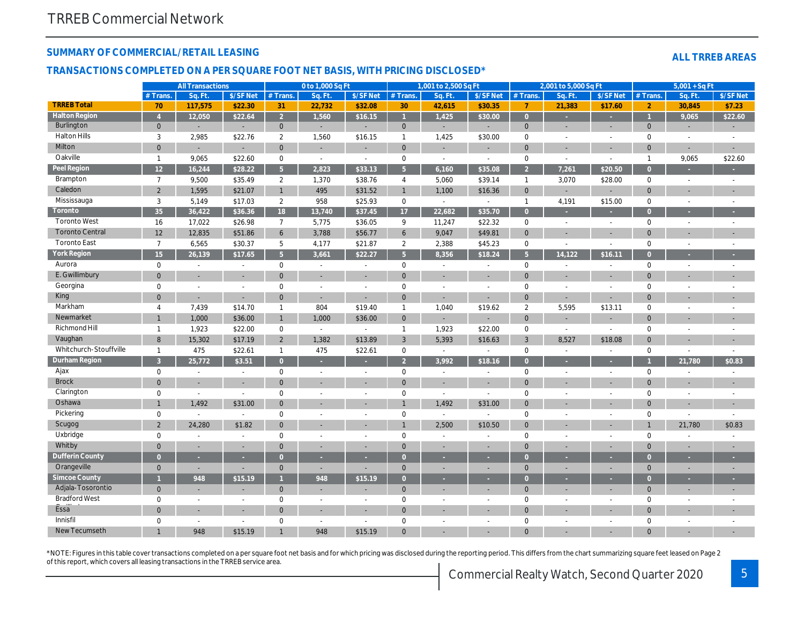## SUMMARY OF COMMERCIAL/RETAIL LEASING

#### TRANSACTIONS COMPLETED ON A PER SQUARE FOOT NET BASIS, WITH PRICING DISCLOSED\*

|                        |                  | <b>All Transactions</b>  |                          |                 | 0 to 1,000 Sq Ft         |                          |                | 1,001 to 2,500 Sq Ft         |                              |                | 2,001 to 5,000 Sq Ft     |                          |
|------------------------|------------------|--------------------------|--------------------------|-----------------|--------------------------|--------------------------|----------------|------------------------------|------------------------------|----------------|--------------------------|--------------------------|
|                        | # Trans.         | Sq. Ft.                  | \$/SF Net                | # Trans.        | Sq. Ft.                  | \$/SF Net                | # Trans.       | Sq. Ft.                      | \$/SF Net                    | # Trans.       | Sq. Ft.                  | $$/SF$ Ne                |
| <b>TRREB Total</b>     | 70               | 117,575                  | \$22.30                  | 31              | 22,732                   | \$32.08                  | 30             | 42,615                       | \$30.35                      | 7              | 21,383                   | \$17.60                  |
| <b>Halton Region</b>   | $\overline{4}$   | 12,050                   | \$22.64                  | $\overline{2}$  | 1,560                    | \$16.15                  | $\mathbf{1}$   | 1,425                        | \$30.00                      | $\overline{0}$ |                          | ÷                        |
| <b>Burlington</b>      | $\mathbf{0}$     | $\overline{\phantom{a}}$ | $\overline{\phantom{a}}$ | $\mathbf 0$     | $\blacksquare$           |                          | $\mathbf 0$    | ÷,                           | ÷                            | $\mathbf{0}$   | $\overline{\phantom{a}}$ | $\blacksquare$           |
| <b>Halton Hills</b>    | 3                | 2,985                    | \$22.76                  | 2               | 1,560                    | \$16.15                  | $\mathbf{1}$   | 1,425                        | \$30.00                      | 0              | $\blacksquare$           | $\blacksquare$           |
| Milton                 | $\mathbf{0}$     | $\overline{\phantom{a}}$ | $\blacksquare$           | $\mathbf{0}$    | $\blacksquare$           | $\blacksquare$           | $\mathbf{0}$   | $\sim$                       | $\blacksquare$               | $\mathbf{0}$   | ٠                        | $\overline{\phantom{a}}$ |
| Oakville               | $\overline{1}$   | 9,065                    | \$22.60                  | $\mathbf 0$     | $\sim$                   | $\overline{\phantom{a}}$ | $\mathbf 0$    | $\sim$                       | $\sim$                       | 0              | $\blacksquare$           | $\blacksquare$           |
| Peel Region            | 12               | 16,244                   | \$28.22                  | $5\overline{)}$ | 2,823                    | \$33.13                  | 5 <sup>5</sup> | 6,160                        | \$35.08                      | $\overline{2}$ | 7,261                    | \$20.50                  |
| <b>Brampton</b>        | $\overline{7}$   | 9,500                    | \$35.49                  | $\overline{2}$  | 1,370                    | \$38.76                  | $\overline{4}$ | 5,060                        | \$39.14                      | $\mathbf{1}$   | 3,070                    | \$28.00                  |
| Caledon                | $\overline{2}$   | 1,595                    | \$21.07                  | $\mathbf{1}$    | 495                      | \$31.52                  | $\mathbf{1}$   | 1,100                        | \$16.36                      | $\mathbf{0}$   | $\sim$                   | ٠                        |
| Mississauga            | 3                | 5,149                    | \$17.03                  | 2               | 958                      | \$25.93                  | $\mathbf 0$    | $\omega$                     | $\sim$                       | $\mathbf{1}$   | 4,191                    | \$15.00                  |
| Toronto                | 35               | 36,422                   | \$36.36                  | 18              | 13,740                   | \$37.45                  | 17             | 22,682                       | \$35.70                      | $\overline{0}$ | ×.                       | $\sim$                   |
| <b>Toronto West</b>    | 16               | 17,022                   | \$26.98                  | $\overline{7}$  | 5,775                    | \$36.05                  | 9              | 11,247                       | \$22.32                      | $\mathbf 0$    | $\blacksquare$           | $\sim$                   |
| <b>Toronto Central</b> | 12               | 12,835                   | \$51.86                  | 6               | 3,788                    | \$56.77                  | 6              | 9,047                        | \$49.81                      | $\mathbf{0}$   | ٠                        | $\overline{\phantom{a}}$ |
| <b>Toronto East</b>    | $\overline{7}$   | 6,565                    | \$30.37                  | 5               | 4,177                    | \$21.87                  | $\overline{2}$ | 2,388                        | \$45.23                      | 0              | $\blacksquare$           | $\blacksquare$           |
| York Region            | 15 <sub>15</sub> | 26,139                   | \$17.65                  | 5 <sup>5</sup>  | 3,661                    | \$22.27                  | 5 <sup>5</sup> | 8,356                        | \$18.24                      | 5 <sup>5</sup> | 14,122                   | \$16.11                  |
| Aurora                 | 0                | $\blacksquare$           | $\blacksquare$           | $\mathbf 0$     | $\blacksquare$           | $\overline{\phantom{a}}$ | $\mathbf 0$    | $\blacksquare$               | $\blacksquare$               | $\mathbf 0$    | $\blacksquare$           | $\sim$                   |
| E. Gwillimbury         | $\mathbf{0}$     | $\overline{\phantom{a}}$ | $\overline{\phantom{a}}$ | $\mathbf{0}$    |                          | $\overline{\phantom{a}}$ | $\mathbf{0}$   | $\sim$                       | ٠                            | $\mathbf 0$    | $\blacksquare$           | $\overline{\phantom{a}}$ |
| Georgina               | 0                | $\overline{\phantom{a}}$ | $\blacksquare$           | 0               | $\overline{\phantom{a}}$ | $\overline{\phantom{a}}$ | $\mathbf 0$    | $\sim$                       | $\sim$                       | 0              | $\blacksquare$           | $\blacksquare$           |
| King                   | $\mathbf 0$      | $\overline{\phantom{a}}$ | $\blacksquare$           | $\mathbf 0$     | $\overline{\phantom{a}}$ |                          | $\mathbf 0$    | ÷,                           | $\qquad \qquad \blacksquare$ | $\mathbf 0$    | ÷,                       | $\overline{\phantom{a}}$ |
| Markham                | 4                | 7,439                    | \$14.70                  | $\mathbf{1}$    | 804                      | \$19.40                  | $\mathbf{1}$   | 1,040                        | \$19.62                      | 2              | 5,595                    | \$13.11                  |
| Newmarket              | $\mathbf{1}$     | 1,000                    | \$36.00                  | $\mathbf{1}$    | 1,000                    | \$36.00                  | $\mathbf 0$    | $\qquad \qquad \blacksquare$ | $\overline{\phantom{a}}$     | $\mathbf{0}$   | ٠                        | $\overline{\phantom{a}}$ |
| Richmond Hill          | $\overline{1}$   | 1,923                    | \$22.00                  | $\mathbf 0$     | $\sim$                   | $\overline{\phantom{a}}$ | $\mathbf{1}$   | 1,923                        | \$22.00                      | 0              | $\blacksquare$           | $\blacksquare$           |
| Vaughan                | 8                | 15,302                   | \$17.19                  | $\overline{2}$  | 1,382                    | \$13.89                  | 3              | 5,393                        | \$16.63                      | 3              | 8,527                    | \$18.08                  |
| Whitchurch-Stouffville | $\overline{1}$   | 475                      | \$22.61                  | $\mathbf{1}$    | 475                      | \$22.61                  | $\mathbf 0$    | $\sim$                       | $\sim$                       | $\mathbf 0$    | $\blacksquare$           | $\blacksquare$           |
| Durham Region          | $\overline{3}$   | 25,772                   | \$3.51                   | $\overline{0}$  | ×.                       | ×.                       | $\overline{2}$ | 3,992                        | \$18.16                      | $\overline{0}$ | ×                        | $\sim$                   |
| Ajax                   | 0                | $\blacksquare$           | $\blacksquare$           | $\mathbf 0$     | $\blacksquare$           | $\overline{\phantom{a}}$ | $\mathbf 0$    | $\blacksquare$               | $\blacksquare$               | $\mathbf 0$    | $\overline{a}$           | $\blacksquare$           |
| <b>Brock</b>           | $\mathbf 0$      | $\overline{\phantom{a}}$ | $\blacksquare$           | $\overline{0}$  |                          | $\sim$                   | $\mathbf 0$    | $\blacksquare$               | $\blacksquare$               | $\mathbf{0}$   | $\blacksquare$           | $\sim$                   |
| Clarington             | 0                | $\blacksquare$           | $\sim$                   | $\mathbf 0$     | $\overline{a}$           | $\overline{\phantom{a}}$ | $\mathbf 0$    | $\blacksquare$               | $\sim$                       | 0              | $\blacksquare$           | $\sim$                   |
| Oshawa                 | $\mathbf{1}$     | 1,492                    | \$31.00                  | $\mathbf{0}$    |                          |                          | $\mathbf{1}$   | 1,492                        | \$31.00                      | $\mathbf{0}$   |                          | $\overline{\phantom{a}}$ |
| Pickering              | 0                | $\blacksquare$           | $\blacksquare$           | 0               | $\overline{\phantom{a}}$ | $\overline{\phantom{a}}$ | $\mathbf 0$    | $\blacksquare$               | $\sim$                       | 0              | $\blacksquare$           | $\blacksquare$           |
| Scugog                 | $\overline{2}$   | 24,280                   | \$1.82                   | $\mathbf{0}$    |                          |                          | $\mathbf{1}$   | 2,500                        | \$10.50                      | $\mathbf 0$    |                          | $\overline{\phantom{a}}$ |
| Uxbridge               | 0                | $\overline{\phantom{a}}$ | $\blacksquare$           | $\mathbf 0$     | $\sim$                   | $\overline{\phantom{a}}$ | $\mathbf 0$    | $\overline{\phantom{a}}$     | $\blacksquare$               | 0              | $\sim$                   | $\blacksquare$           |
| Whitby                 | $\mathbf 0$      | $\overline{\phantom{a}}$ | $\blacksquare$           | $\mathbf 0$     | $\overline{\phantom{a}}$ | $\blacksquare$           | $\mathbf 0$    | $\sim$                       | $\blacksquare$               | $\mathbf{0}$   | ٠                        | $\overline{\phantom{a}}$ |
| <b>Dufferin County</b> | $\overline{0}$   | ×                        |                          | $\overline{0}$  |                          |                          | $\overline{0}$ |                              |                              | $\overline{0}$ | в                        | ×.                       |
| Orangeville            | $\mathbf{0}$     | $\overline{\phantom{a}}$ | $\blacksquare$           | $\mathbf{0}$    | $\overline{\phantom{a}}$ |                          | $\mathbf{0}$   | ÷,                           | $\overline{\phantom{a}}$     | $\mathbf{0}$   | $\overline{\phantom{a}}$ | ۰.                       |
| <b>Simcoe County</b>   | $\mathbf{1}$     | 948                      | \$15.19                  |                 | 948                      | \$15.19                  | $\overline{0}$ |                              |                              | $\overline{0}$ |                          | ×.                       |
| Adjala-Tosorontio      | $\mathbf{0}$     | $\blacksquare$           | $\sim$                   | $\mathbf{0}$    |                          |                          | $\mathbf{0}$   | ٠                            | $\overline{\phantom{a}}$     | $\mathbf{0}$   | ٠                        | $\blacksquare$           |
| <b>Bradford West</b>   | 0                | $\blacksquare$           | $\overline{\phantom{a}}$ | 0               | $\overline{\phantom{a}}$ |                          | $\mathbf 0$    | $\blacksquare$               | $\blacksquare$               | 0              | $\blacksquare$           | ٠                        |
| Essa                   | $\mathbf 0$      | $\overline{\phantom{a}}$ | $\blacksquare$           | $\overline{0}$  | $\blacksquare$           | $\blacksquare$           | $\mathbf 0$    | ٠                            | $\blacksquare$               | $\mathbf{0}$   |                          | $\overline{\phantom{a}}$ |
| Innisfil               | 0                | $\sim$                   | $\blacksquare$           | $\mathbf 0$     | $\sim$                   | $\overline{\phantom{a}}$ | $\mathbf 0$    | $\sim$                       | $\blacksquare$               | 0              | $\blacksquare$           | $\blacksquare$           |
| New Tecumseth          | 1                | 948                      | \$15.19                  |                 | 948                      | \$15.19                  | $\mathbf 0$    |                              |                              | $\Omega$       |                          |                          |
|                        |                  |                          |                          |                 |                          |                          |                |                              |                              |                |                          |                          |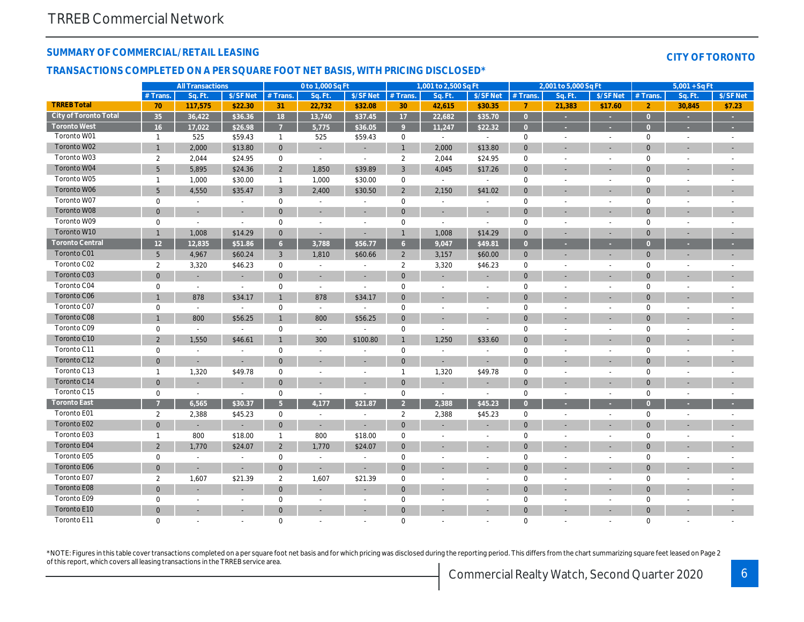## SUMMARY OF COMMERCIAL/RETAIL LEASING

#### TRANSACTIONS COMPLETED ON A PER SQUARE FOOT NET BASIS, WITH PRICING DISCLOSED\*

|                        |                 | <b>All Transactions</b>  |                          |                | 0 to 1,000 Sq Ft         |                          |                | 1,001 to 2,500 Sq Ft     |                          |                | 2,001 to 5,000 Sq Ft     |                          |
|------------------------|-----------------|--------------------------|--------------------------|----------------|--------------------------|--------------------------|----------------|--------------------------|--------------------------|----------------|--------------------------|--------------------------|
|                        | # Trans.        | Sq. Ft.                  | \$/SF Net                | # Trans.       | Sq. Ft.                  | \$/SF Net                | # Trans.       | Sq. Ft.                  | \$/SF Net                | # Trans.       | Sq. Ft.                  | $$/SF$ Ne                |
| <b>TRREB Total</b>     | 70              | 117,575                  | \$22.30                  | 31             | 22,732                   | \$32.08                  | 30             | 42,615                   | \$30.35                  | $\overline{7}$ | 21,383                   | \$17.60                  |
| City of Toronto Total  | 35              | 36,422                   | \$36.36                  | 18             | 13,740                   | \$37.45                  | 17             | 22,682                   | \$35.70                  | $\overline{0}$ | ×                        | $\sim$                   |
| <b>Toronto West</b>    | 16              | 17,022                   | \$26.98                  | $\overline{7}$ | 5,775                    | \$36.05                  | 9              | 11,247                   | \$22.32                  | $\overline{0}$ | ×                        | $\sim$                   |
| Toronto W01            | $\mathbf{1}$    | 525                      | \$59.43                  | $\mathbf{1}$   | 525                      | \$59.43                  | $\mathbf 0$    | $\sim$                   | $\sim$                   | $\mathbf 0$    | $\blacksquare$           | $\sim$                   |
| Toronto W02            | $\mathbf{1}$    | 2,000                    | \$13.80                  | $\mathbf 0$    | $\sim$                   |                          | $\mathbf{1}$   | 2,000                    | \$13.80                  | $\mathbf{0}$   | $\blacksquare$           | $\overline{\phantom{a}}$ |
| Toronto W03            | $\overline{2}$  | 2,044                    | \$24.95                  | $\mathbf 0$    | $\blacksquare$           | $\sim$                   | $\overline{2}$ | 2,044                    | \$24.95                  | $\mathbf 0$    | $\blacksquare$           | $\sim$                   |
| Toronto W04            | 5 <sup>5</sup>  | 5,895                    | \$24.36                  | $\overline{2}$ | 1,850                    | \$39.89                  | $\mathbf{3}$   | 4,045                    | \$17.26                  | $\mathbf{0}$   | ٠                        | $\blacksquare$           |
| Toronto W05            | $\mathbf{1}$    | 1,000                    | \$30.00                  | $\mathbf{1}$   | 1,000                    | \$30.00                  | 0              | $\blacksquare$           | $\sim$                   | $\mathbf 0$    | $\overline{a}$           | $\blacksquare$           |
| Toronto W06            | 5               | 4,550                    | \$35.47                  | 3              | 2,400                    | \$30.50                  | $\overline{2}$ | 2,150                    | \$41.02                  | $\mathbf{0}$   |                          | $\blacksquare$           |
| Toronto W07            | 0               | $\sim$                   | $\sim$                   | $\mathbf 0$    | $\sim$                   | $\overline{\phantom{a}}$ | $\mathsf 0$    | $\sim$                   | $\sim$                   | $\mathbf 0$    |                          |                          |
| Toronto W08            | $\mathbf{0}$    | $\overline{\phantom{a}}$ | $\blacksquare$           | $\mathbf{0}$   | $\overline{\phantom{a}}$ | $\overline{\phantom{a}}$ | $\mathbf{0}$   | $\sim$                   | $\sim$                   | $\mathbf{0}$   | ٠                        | $\overline{\phantom{a}}$ |
| Toronto W09            | 0               | $\blacksquare$           | $\omega$                 | $\mathbf 0$    | $\overline{\phantom{a}}$ | $\overline{\phantom{a}}$ | $\mathbf 0$    | $\overline{\phantom{a}}$ | $\sim$                   | $\mathbf 0$    | $\blacksquare$           | $\overline{\phantom{a}}$ |
| Toronto W10            | $\mathbf{1}$    | 1,008                    | \$14.29                  | $\mathbf{0}$   | $\sim$                   | $\blacksquare$           | $\mathbf{1}$   | 1,008                    | \$14.29                  | $\mathbf{0}$   | $\blacksquare$           | ٠                        |
| <b>Toronto Central</b> | 12 <sup>2</sup> | 12,835                   | \$51.86                  | 6 <sup>°</sup> | 3,788                    | \$56.77                  | 6 <sup>°</sup> | 9,047                    | \$49.81                  | $\overline{0}$ | ٠                        | ٠                        |
| Toronto C01            | $5\phantom{.0}$ | 4,967                    | \$60.24                  | 3              | 1,810                    | \$60.66                  | $\overline{2}$ | 3,157                    | \$60.00                  | $\mathbf 0$    | $\overline{\phantom{a}}$ |                          |
| Toronto C02            | $\overline{2}$  | 3,320                    | \$46.23                  | 0              | $\sim$                   | $\sim$                   | $\overline{2}$ | 3,320                    | \$46.23                  | $\mathbf 0$    | $\sim$                   | $\blacksquare$           |
| Toronto C03            | $\mathbf 0$     |                          | $\overline{\phantom{a}}$ | $\mathbf{0}$   |                          |                          | $\mathbf 0$    |                          | ٠                        | $\mathbf{0}$   |                          |                          |
| Toronto C04            | $\mathbf 0$     | $\blacksquare$           | $\blacksquare$           | $\mathbf 0$    | $\blacksquare$           | $\blacksquare$           | $\mathbf 0$    | $\overline{\phantom{a}}$ | $\overline{\phantom{a}}$ | $\mathbf 0$    | $\overline{a}$           | $\overline{\phantom{a}}$ |
| Toronto C06            | $\mathbf{1}$    | 878                      | \$34.17                  | $\mathbf{1}$   | 878                      | \$34.17                  | $\mathbf 0$    | $\overline{\phantom{a}}$ | ÷,                       | $\mathbf{0}$   |                          | $\overline{\phantom{a}}$ |
| Toronto C07            | 0               | $\blacksquare$           | $\sim$                   | $\mathsf 0$    | $\sim$                   | $\sim$                   | $\mathsf 0$    | $\sim$                   | $\sim$                   | $\mathbf 0$    | J.                       |                          |
| Toronto C08            | $\mathbf{1}$    | 800                      | \$56.25                  | -1             | 800                      | \$56.25                  | $\mathbf{0}$   | $\blacksquare$           | ٠                        | $\mathbf{0}$   | ٠                        | $\blacksquare$           |
| Toronto C09            | 0               | $\blacksquare$           | $\blacksquare$           | 0              | $\blacksquare$           |                          | $\mathbf 0$    | $\sim$                   | $\sim$                   | $\mathbf 0$    |                          |                          |
| Toronto C10            | $\overline{2}$  | 1,550                    | \$46.61                  | $\mathbf{1}$   | 300                      | \$100.80                 | $\mathbf{1}$   | 1,250                    | \$33.60                  | $\mathbf{0}$   |                          | $\overline{\phantom{a}}$ |
| Toronto C11            | $\mathbf 0$     | $\blacksquare$           | $\blacksquare$           | $\mathbf 0$    | $\sim$                   |                          | $\mathbf 0$    | $\sim$                   | $\sim$                   | 0              | $\blacksquare$           | $\sim$                   |
| Toronto C12            | $\mathbf{0}$    | $\blacksquare$           | $\blacksquare$           | $\mathbf{0}$   |                          |                          | $\mathbf{0}$   | ÷,                       | ÷,                       | $\mathbf{0}$   |                          |                          |
| Toronto C13            | $\mathbf{1}$    | 1,320                    | \$49.78                  | $\mathbf 0$    | $\sim$                   | $\sim$                   | $\mathbf{1}$   | 1,320                    | \$49.78                  | $\mathbf 0$    | $\blacksquare$           | $\sim$                   |
| Toronto C14            | $\mathbf{0}$    |                          | $\overline{\phantom{a}}$ | $\mathbf 0$    |                          |                          | $\mathbf 0$    | ٠                        | $\blacksquare$           | $\mathbf 0$    |                          |                          |
| Toronto C15            | $\mathbf{0}$    | $\blacksquare$           | $\blacksquare$           | $\mathbf 0$    | $\sim$                   | $\sim$                   | $\mathbf 0$    | $\blacksquare$           | $\blacksquare$           | 0              | $\overline{a}$           | $\sim$                   |
| <b>Toronto East</b>    | $\overline{7}$  | 6,565                    | \$30.37                  | 5 <sup>1</sup> | 4,177                    | \$21.87                  | $\overline{2}$ | 2,388                    | \$45.23                  | $\overline{0}$ | ×                        | ÷                        |
| Toronto E01            | $\overline{2}$  | 2,388                    | \$45.23                  | $\mathbf 0$    | $\sim$                   | $\overline{\phantom{a}}$ | $\overline{2}$ | 2,388                    | \$45.23                  | $\mathbf 0$    | $\sim$                   | $\sim$                   |
| Toronto E02            | $\mathbf{0}$    | $\blacksquare$           |                          | $\mathbf{0}$   | $\sim$                   | $\blacksquare$           | $\mathbf{0}$   | ä,                       | $\blacksquare$           | $\mathbf{0}$   | $\blacksquare$           | $\blacksquare$           |
| Toronto E03            | $\mathbf{1}$    | 800                      | \$18.00                  | $\mathbf{1}$   | 800                      | \$18.00                  | $\mathsf 0$    | $\sim$                   | $\sim$                   | $\mathbf 0$    |                          |                          |
| Toronto E04            | $\overline{2}$  | 1,770                    | \$24.07                  | $\overline{2}$ | 1,770                    | \$24.07                  | $\mathbf 0$    | $\blacksquare$           | ٠                        | $\mathbf 0$    | ٠                        | $\overline{\phantom{a}}$ |
| Toronto E05            | 0               | $\blacksquare$           | $\blacksquare$           | $\mathbf 0$    | $\blacksquare$           |                          | $\mathbf 0$    | $\blacksquare$           |                          | $\mathbf 0$    | $\blacksquare$           | ٠                        |
| Toronto E06            | $\mathbf{0}$    | $\overline{\phantom{a}}$ | $\sim$                   | $\mathbf{0}$   | $\sim$                   | $\overline{\phantom{a}}$ | $\mathbf{0}$   | $\overline{\phantom{a}}$ | ٠                        | $\mathbf{0}$   | $\overline{\phantom{a}}$ | $\blacksquare$           |
| Toronto E07            | $\overline{2}$  | 1,607                    | \$21.39                  | $\overline{2}$ | 1,607                    | \$21.39                  | $\mathbf 0$    | $\blacksquare$           | $\blacksquare$           | $\mathbf 0$    | $\overline{a}$           | $\blacksquare$           |
| Toronto E08            | $\mathbf 0$     |                          |                          | $\mathbf 0$    |                          |                          | $\mathbf 0$    |                          |                          | $\mathbf 0$    |                          |                          |
| Toronto E09            | $\mathbf 0$     | $\blacksquare$           | $\sim$                   | $\mathbf 0$    | $\sim$                   | $\sim$                   | $\mathbf 0$    | $\sim$                   | $\sim$                   | $\mathbf 0$    | $\blacksquare$           | $\blacksquare$           |
| Toronto E10            | $\mathbf{0}$    |                          |                          | $\mathbf{0}$   |                          |                          | $\mathbf 0$    |                          |                          | $\mathbf{0}$   |                          |                          |
| Toronto E11            | $\mathbf 0$     | $\sim$                   | $\sim$                   | $\mathbf 0$    | $\sim$                   | $\sim$                   | $\mathbf 0$    | ÷                        | $\blacksquare$           | $\mathbf 0$    | $\overline{a}$           | $\blacksquare$           |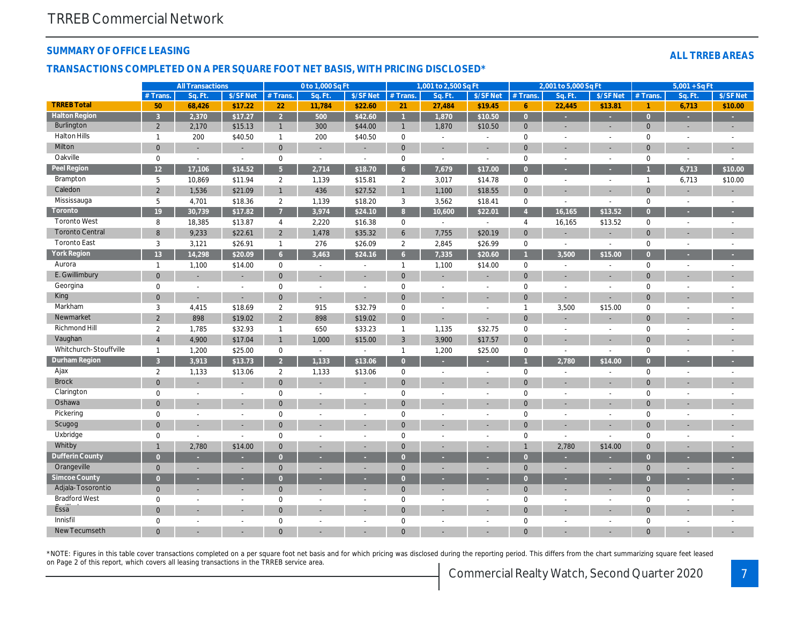#### SUMMARY OF OFFICE LEASING

## TRANSACTIONS COMPLETED ON A PER SQUARE FOOT NET BASIS, WITH PRICING DISCLOSED\*

|                        |                | <b>All Transactions</b> |                |                | 0 to 1,000 Sq Ft         |                          |                 | 1,001 to 2,500 Sq Ft     |                |                 | 2,001 to 5,000 Sq Ft     |                |
|------------------------|----------------|-------------------------|----------------|----------------|--------------------------|--------------------------|-----------------|--------------------------|----------------|-----------------|--------------------------|----------------|
|                        | # Trans        | Sq. Ft                  | \$/SF Net      | # Trans.       | Sq. Ft.                  | \$/SF Net                | # Trans.        | Sq. Ft.                  | \$/SF Net      | $#$ Trans.      | Sq. Ft.                  | $$/SF$ Ne      |
| <b>TRREB Total</b>     | 50             | 68,426                  | \$17.22        | 22             | 11,784                   | \$22.60                  | 21              | 27,484                   | \$19.45        | $6\phantom{1}6$ | 22,445                   | \$13.8         |
| <b>Halton Region</b>   | $\overline{3}$ | 2,370                   | \$17.27        | 2 <sup>7</sup> | 500                      | \$42.60                  | $\overline{1}$  | 1,870                    | \$10.50        | $\overline{0}$  | ٠                        | ×              |
| <b>Burlington</b>      | $\overline{2}$ | 2,170                   | \$15.13        | $\mathbf{1}$   | 300                      | \$44.00                  | $\mathbf{1}$    | 1,870                    | \$10.50        | $\mathbf{0}$    | ٠                        | $\blacksquare$ |
| <b>Halton Hills</b>    | $\mathbf{1}$   | 200                     | \$40.50        | $\mathbf{1}$   | 200                      | \$40.50                  | $\mathbf 0$     | $\sim$                   | $\blacksquare$ | $\mathbf 0$     | ä,                       | $\blacksquare$ |
| Milton                 | $\mathbf 0$    |                         |                | $\mathbf{0}$   |                          |                          | $\mathbf 0$     |                          |                | $\mathbf 0$     |                          |                |
| Oakville               | $\mathbf 0$    | $\blacksquare$          | $\blacksquare$ | $\mathbf 0$    | $\blacksquare$           | $\overline{\phantom{a}}$ | $\pmb{0}$       | $\blacksquare$           | $\blacksquare$ | $\mathbf 0$     | $\sim$                   | $\sim$         |
| Peel Region            | 12             | 17,106                  | \$14.52        | 5 <sup>1</sup> | 2,714                    | \$18.70                  | 6 <sup>°</sup>  | 7,679                    | \$17.00        | $\overline{0}$  |                          | ÷              |
| Brampton               | 5              | 10,869                  | \$11.94        | $\overline{2}$ | 1,139                    | \$15.81                  | $\overline{2}$  | 3,017                    | \$14.78        | $\mathbf 0$     | $\blacksquare$           | $\sim$         |
| Caledon                | $\overline{2}$ | 1,536                   | \$21.09        | $\mathbf{1}$   | 436                      | \$27.52                  | $\mathbf{1}$    | 1,100                    | \$18.55        | $\mathbf{0}$    |                          |                |
| Mississauga            | 5              | 4,701                   | \$18.36        | $\overline{2}$ | 1,139                    | \$18.20                  | 3               | 3,562                    | \$18.41        | $\mathbf 0$     | ä,                       | $\sim$         |
| Toronto                | 19             | 30,739                  | \$17.82        | $\overline{7}$ | 3,974                    | \$24.10                  | 8 <sup>°</sup>  | 10,600                   | \$22.01        | $\overline{4}$  | 16,165                   | \$13.52        |
| <b>Toronto West</b>    | 8              | 18,385                  | \$13.87        | $\overline{4}$ | 2,220                    | \$16.38                  | 0               | $\sim$                   | $\blacksquare$ | 4               | 16,165                   | \$13.52        |
| <b>Toronto Central</b> | 8              | 9,233                   | \$22.61        | $\overline{2}$ | 1,478                    | \$35.32                  | $6\overline{6}$ | 7,755                    | \$20.19        | $\mathbf{0}$    |                          |                |
| <b>Toronto East</b>    | 3              | 3,121                   | \$26.91        | $\mathbf{1}$   | 276                      | \$26.09                  | $\overline{2}$  | 2,845                    | \$26.99        | $\mathbf 0$     | $\blacksquare$           | $\sim$         |
| <b>York Region</b>     | 13             | 14,298                  | \$20.09        | 6 <sup>1</sup> | 3.463                    | \$24.16                  | 6 <sup>1</sup>  | 7,335                    | \$20.60        |                 | 3,500                    | \$15.00        |
| Aurora                 | $\mathbf{1}$   | 1,100                   | \$14.00        | $\mathbf 0$    | $\blacksquare$           | $\sim$                   | $\mathbf{1}$    | 1,100                    | \$14.00        | $\mathbf 0$     | $\blacksquare$           | $\blacksquare$ |
| E. Gwillimbury         | $\overline{0}$ |                         |                | $\mathbf{0}$   |                          |                          | $\overline{0}$  |                          |                | $\mathbf{0}$    |                          |                |
| Georgina               | $\mathbf 0$    | $\blacksquare$          |                | $\mathbf 0$    | $\sim$                   |                          | $\mathbf 0$     | $\sim$                   | $\sim$         | $\mathbf 0$     | ä,                       |                |
| King                   | $\overline{0}$ | $\blacksquare$          | $\blacksquare$ | $\mathbf{0}$   |                          |                          | $\mathbf{0}$    |                          |                | $\mathbf{0}$    |                          | $\blacksquare$ |
| Markham                | 3              | 4,415                   | \$18.69        | $\overline{2}$ | 915                      | \$32.79                  | $\pmb{0}$       | $\blacksquare$           | $\blacksquare$ | $\mathbf{1}$    | 3,500                    | \$15.00        |
| Newmarket              | $\overline{2}$ | 898                     | \$19.02        | $\overline{2}$ | 898                      | \$19.02                  | $\mathbf{0}$    | $\blacksquare$           | $\blacksquare$ | $\mathbf{0}$    | ٠                        |                |
| <b>Richmond Hill</b>   | $\overline{2}$ | 1,785                   | \$32.93        | $\mathbf{1}$   | 650                      | \$33.23                  | $\mathbf{1}$    | 1,135                    | \$32.75        | $\mathbf 0$     | $\overline{a}$           | $\blacksquare$ |
| Vaughan                | $\overline{4}$ | 4,900                   | \$17.04        | $\mathbf{1}$   | 1,000                    | \$15.00                  | 3               | 3,900                    | \$17.57        | $\mathbf{0}$    |                          |                |
| Whitchurch-Stouffville | $\mathbf{1}$   | 1,200                   | \$25.00        | $\mathbf 0$    | $\sim$                   | $\overline{\phantom{a}}$ | $\mathbf{1}$    | 1,200                    | \$25.00        | $\mathbf 0$     | $\overline{\phantom{a}}$ | $\blacksquare$ |
| <b>Durham Region</b>   | $\overline{3}$ | 3,913                   | \$13.73        | 2 <sup>7</sup> | 1,133                    | \$13.06                  | $\overline{0}$  | ×.                       |                |                 | 2,780                    | \$14.00        |
| Ajax                   | $\overline{2}$ | 1,133                   | \$13.06        | $\overline{2}$ | 1,133                    | \$13.06                  | 0               | $\blacksquare$           | $\blacksquare$ | $\mathbf 0$     | $\blacksquare$           | $\blacksquare$ |
| <b>Brock</b>           | $\overline{0}$ |                         |                | $\mathbf{0}$   |                          |                          | $\mathbf 0$     | $\blacksquare$           | $\blacksquare$ | $\mathbf{0}$    | ٠                        | $\blacksquare$ |
| Clarington             | $\mathbf 0$    | $\blacksquare$          | $\blacksquare$ | $\mathbf 0$    | $\blacksquare$           | $\overline{\phantom{a}}$ | $\mathbf 0$     | $\overline{\phantom{a}}$ | $\sim$         | $\mathbf 0$     | $\blacksquare$           | $\blacksquare$ |
| Oshawa                 | $\overline{0}$ |                         | $\blacksquare$ | $\mathbf{0}$   |                          |                          | $\mathbf{0}$    | ٠                        |                | $\mathbf{0}$    | ÷.                       | $\sim$         |
| Pickering              | $\mathbf 0$    | $\blacksquare$          | $\blacksquare$ | $\mathbf 0$    | $\overline{\phantom{a}}$ | $\overline{\phantom{a}}$ | $\mathbf 0$     | $\sim$                   | $\sim$         | $\mathbf 0$     | $\blacksquare$           | $\blacksquare$ |
| Scugog                 | $\overline{0}$ | $\sim$                  | $\sim$         | $\mathbf{0}$   |                          |                          | $\mathbf 0$     | $\blacksquare$           | $\blacksquare$ | $\mathbf{0}$    | ٠                        | ٠              |
| Uxbridge               | $\mathbf 0$    | $\blacksquare$          | $\blacksquare$ | $\mathbf 0$    | $\sim$                   | $\sim$                   | $\mathbf 0$     | $\sim$                   | $\sim$         | $\mathbf 0$     | $\blacksquare$           | $\blacksquare$ |
| Whitby                 | $\overline{1}$ | 2,780                   | \$14.00        | $\mathbf{0}$   | $\sim$                   |                          | $\mathbf{0}$    | $\blacksquare$           | $\blacksquare$ | $\overline{1}$  | 2,780                    | \$14.00        |
| <b>Dufferin County</b> | $\overline{0}$ |                         |                | $\overline{0}$ |                          |                          | $\overline{0}$  |                          |                | $\overline{0}$  |                          |                |
| Orangeville            | $\mathbf{0}$   | $\sim$                  | $\blacksquare$ | $\Omega$       | $\sim$                   |                          | $\mathbf{0}$    | $\blacksquare$           | $\blacksquare$ | $\mathbf{0}$    | ä,                       | $\sim$         |
| <b>Simcoe County</b>   | $\overline{0}$ | ٠                       | ٠              | $\overline{0}$ |                          |                          | $\overline{0}$  | н                        |                | $\overline{0}$  | ٥                        |                |
| Adjala-Tosorontio      | $\overline{0}$ | $\sim$                  | $\sim$         | $\mathbf{0}$   |                          |                          | $\mathbf{0}$    | ÷                        | ٠              | $\mathbf{0}$    | ÷.                       | $\sim$         |
| <b>Bradford West</b>   | $\mathbf 0$    | $\sim$                  | $\blacksquare$ | $\mathbf 0$    | $\sim$                   | $\sim$                   | $\mathbf 0$     | $\sim$                   | $\sim$         | $\mathbf 0$     | $\sim$                   | $\sim$         |
| Essa <sup>"</sup>      | $\overline{0}$ | $\blacksquare$          | $\blacksquare$ | $\mathbf{0}$   |                          |                          | $\mathbf 0$     | ٠                        | ٠              | $\mathbf{0}$    |                          | ٠              |
| Innisfil               | $\mathbf 0$    | $\blacksquare$          | $\overline{a}$ | $\mathbf 0$    | $\sim$                   | $\sim$                   | $\mathbf 0$     | $\sim$                   | $\sim$         | $\mathbf 0$     | $\sim$                   | $\blacksquare$ |
| New Tecumseth          | $\Omega$       |                         |                | $\Omega$       |                          |                          | $\Omega$        |                          |                | $\Omega$        |                          | ٠              |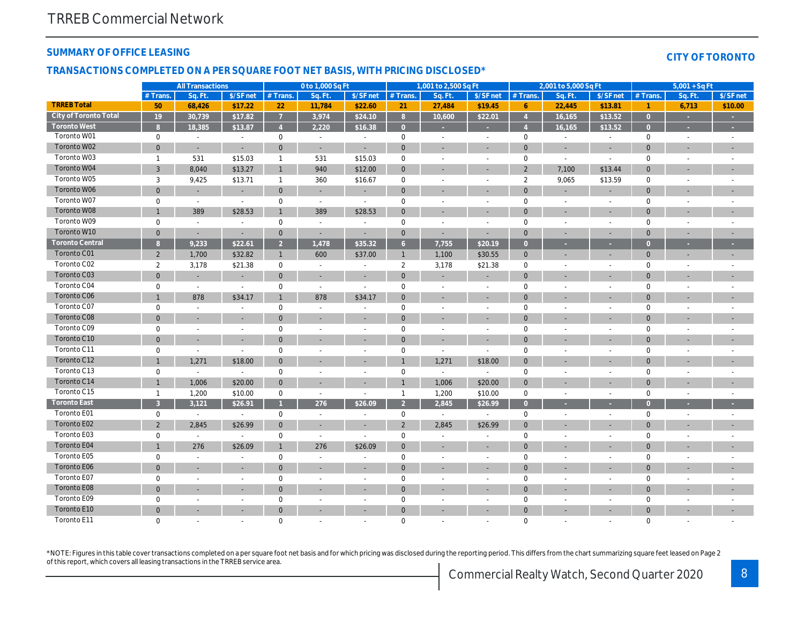## SUMMARY OF OFFICE LEASING

#### TRANSACTIONS COMPLETED ON A PER SQUARE FOOT NET BASIS, WITH PRICING DISCLOSED\*

|                        | <b>All Transactions</b> |                          |                          | 0 to 1,000 Sq Ft |                          |                          | 1,001 to 2,500 Sq Ft |                              |                | 2,001 to 5,000 Sq Ft |                          |                          |
|------------------------|-------------------------|--------------------------|--------------------------|------------------|--------------------------|--------------------------|----------------------|------------------------------|----------------|----------------------|--------------------------|--------------------------|
|                        | # Trans.                | Sq. Ft.                  | \$/SF net                | $#$ Trans.       | Sq. Ft.                  | \$/SF net                | # Trans              | Sq. Ft.                      | \$/SF net      | $#$ Trans.           | Sq. Ft.                  | \$/SF ne                 |
| <b>TRREB Total</b>     | 50                      | 68,426                   | \$17.22                  | 22               | 11,784                   | \$22.60                  | 21                   | 27,484                       | \$19.45        | 6                    | 22,445                   | \$13.81                  |
| City of Toronto Total  | 19                      | 30,739                   | \$17.82                  | $\overline{7}$   | 3,974                    | \$24.10                  | 8                    | 10,600                       | \$22.01        | $\overline{4}$       | 16,165                   | \$13.52                  |
| <b>Toronto West</b>    | 8                       | 18,385                   | \$13.87                  | $\overline{4}$   | 2.220                    | \$16.38                  | $\overline{0}$       | ٠                            | ٠              | $\overline{4}$       | 16,165                   | \$13.52                  |
| Toronto W01            | $\mathbf 0$             | $\sim$                   | $\blacksquare$           | $\mathbf 0$      | $\omega$                 | $\overline{\phantom{a}}$ | $\mathbf 0$          | $\omega$                     | $\blacksquare$ | $\mathbf 0$          | $\sim$                   | $\sim$                   |
| Toronto W02            | $\mathbf 0$             | $\blacksquare$           |                          | $\mathbf{0}$     | $\sim$                   | $\blacksquare$           | $\mathbf{0}$         | $\blacksquare$               | $\blacksquare$ | $\mathbf 0$          | $\blacksquare$           | $\sim$                   |
| Toronto W03            | $\mathbf{1}$            | 531                      | \$15.03                  | $\mathbf{1}$     | 531                      | \$15.03                  | $\mathsf 0$          | $\blacksquare$               | $\sim$         | $\mathbf 0$          | $\blacksquare$           | $\blacksquare$           |
| Toronto W04            | 3                       | 8,040                    | \$13.27                  | $\mathbf{1}$     | 940                      | \$12.00                  | $\mathbf{0}$         | $\blacksquare$               | $\blacksquare$ | $\overline{2}$       | 7,100                    | \$13.44                  |
| Toronto W05            | 3                       | 9,425                    | \$13.71                  | $\mathbf{1}$     | 360                      | \$16.67                  | $\mathbf 0$          | $\blacksquare$               | $\blacksquare$ | 2                    | 9,065                    | \$13.59                  |
| Toronto W06            | $\mathbf 0$             | $\overline{\phantom{a}}$ | $\overline{\phantom{a}}$ | $\mathbf 0$      | $\blacksquare$           | $\blacksquare$           | $\mathbf 0$          | ٠                            | $\sim$         | $\mathbf 0$          |                          | $\overline{\phantom{a}}$ |
| Toronto W07            | $\pmb{0}$               | $\blacksquare$           | $\blacksquare$           | $\pmb{0}$        | $\sim$                   | $\overline{\phantom{a}}$ | $\mathbf 0$          | $\blacksquare$               | $\blacksquare$ | $\mathbf 0$          | $\blacksquare$           | $\blacksquare$           |
| Toronto W08            | $\overline{1}$          | 389                      | \$28.53                  | $\mathbf{1}$     | 389                      | \$28.53                  | $\mathbf{0}$         |                              |                | $\mathbf{0}$         |                          | $\blacksquare$           |
| Toronto W09            | $\pmb{0}$               | $\blacksquare$           | $\sim$                   | $\pmb{0}$        | $\blacksquare$           | $\blacksquare$           | $\mathbf 0$          | $\blacksquare$               | $\blacksquare$ | 0                    | $\blacksquare$           | $\blacksquare$           |
| Toronto W10            | $\mathbf{0}$            | $\sim$                   | $\overline{a}$           | $\mathbf{0}$     | $\sim$                   | $\blacksquare$           | $\mathbf{0}$         | $\sim$                       | ÷.             | $\mathbf{0}$         |                          | $\overline{\phantom{a}}$ |
| <b>Toronto Central</b> | 8 <sup>°</sup>          | 9,233                    | \$22.61                  | 2 <sup>2</sup>   | 1,478                    | \$35.32                  | $6\overline{6}$      | 7,755                        | \$20.19        | $\overline{0}$       | ×                        | 20                       |
| Toronto C01            | $\overline{2}$          | 1,700                    | \$32.82                  | $\mathbf{1}$     | 600                      | \$37.00                  | $\mathbf{1}$         | 1,100                        | \$30.55        | $\mathbf 0$          | $\blacksquare$           | $\overline{\phantom{a}}$ |
| Toronto C02            | $\overline{2}$          | 3,178                    | \$21.38                  | $\mathbf 0$      | $\sim$                   | $\sim$                   | $\overline{2}$       | 3,178                        | \$21.38        | $\mathbf 0$          | $\sim$                   | $\sim$                   |
| Toronto C03            | $\mathbf{0}$            | $\blacksquare$           | $\blacksquare$           | $\mathbf{0}$     | $\overline{\phantom{a}}$ | $\overline{\phantom{a}}$ | $\mathbf{0}$         | $\qquad \qquad \blacksquare$ | $\blacksquare$ | $\mathbf{0}$         | $\overline{\phantom{a}}$ | $\sim$                   |
| Toronto C04            | $\pmb{0}$               | $\sim$                   | $\blacksquare$           | $\pmb{0}$        | $\blacksquare$           | $\sim$                   | $\mathbf 0$          | $\blacksquare$               | ä,             | $\mathbf 0$          | $\blacksquare$           | $\blacksquare$           |
| <b>Toronto C06</b>     | $\overline{1}$          | 878                      | \$34.17                  | $\mathbf{1}$     | 878                      | \$34.17                  | $\mathbf{0}$         | $\blacksquare$               | $\sim$         | $\mathbf{0}$         |                          | $\sim$                   |
| Toronto C07            | $\mathbf 0$             | $\sim$                   |                          | $\mathbf 0$      | $\sim$                   | $\sim$                   | $\mathbf 0$          | $\blacksquare$               | ä,             | $\mathbf 0$          | $\blacksquare$           | $\blacksquare$           |
| Toronto C08            | $\mathbf{0}$            | $\overline{\phantom{a}}$ |                          | $\mathbf{0}$     | $\overline{a}$           | $\overline{\phantom{a}}$ | $\mathbf{0}$         | $\overline{\phantom{a}}$     | ٠              | $\mathbf{0}$         |                          | $\blacksquare$           |
| Toronto C09            | $\mathbf 0$             | $\overline{\phantom{a}}$ | $\overline{\phantom{a}}$ | $\mathbf 0$      | $\overline{\phantom{a}}$ | $\overline{\phantom{a}}$ | $\mathbf 0$          | $\blacksquare$               | $\blacksquare$ | $\mathbf 0$          | $\blacksquare$           | $\blacksquare$           |
| Toronto C10            | $\mathbf 0$             |                          |                          | $\mathbf 0$      |                          | $\blacksquare$           | $\mathbf 0$          | ٠                            | ÷,             | $\mathbf 0$          |                          | $\blacksquare$           |
| Toronto C11            | $\pmb{0}$               | $\sim$                   | $\sim$                   | $\pmb{0}$        | $\blacksquare$           | $\sim$                   | $\mathbf 0$          | $\blacksquare$               | $\blacksquare$ | $\mathbf 0$          | $\blacksquare$           | $\blacksquare$           |
| Toronto C12            | $\mathbf{1}$            | 1,271                    | \$18.00                  | $\mathbf{0}$     | ÷.                       | ٠                        | $\overline{1}$       | 1,271                        | \$18.00        | $\mathbf 0$          |                          | $\blacksquare$           |
| Toronto C13            | $\pmb{0}$               | $\blacksquare$           | $\sim$                   | 0                | $\blacksquare$           | $\blacksquare$           | $\mathsf 0$          | $\blacksquare$               | $\sim$         | $\mathbf 0$          | $\sim$                   | $\sim$                   |
| Toronto C14            | $\mathbf{1}$            | 1,006                    | \$20.00                  | $\mathbf 0$      | ä,                       | ٠                        | $\overline{1}$       | 1,006                        | \$20.00        | $\mathbf 0$          |                          | $\overline{\phantom{a}}$ |
| Toronto C15            | $\mathbf{1}$            | 1,200                    | \$10.00                  | $\mathbf 0$      | $\sim$                   | $\blacksquare$           | $\mathbf{1}$         | 1,200                        | \$10.00        | $\mathbf 0$          | $\blacksquare$           | $\sim$                   |
| <b>Toronto East</b>    | $\overline{3}$          | 3,121                    | \$26.91                  | $\mathbf{1}$     | 276                      | \$26.09                  | $2^{\circ}$          | 2,845                        | \$26.99        | $\overline{0}$       |                          |                          |
| Toronto E01            | 0                       | $\sim$                   | $\sim$                   | 0                | $\blacksquare$           | $\sim$                   | $\mathsf 0$          | $\omega$                     | $\blacksquare$ | $\mathbf 0$          | $\blacksquare$           | $\blacksquare$           |
| Toronto E02            | $\overline{2}$          | 2,845                    | \$26.99                  | $\mathbf{0}$     | $\blacksquare$           | $\blacksquare$           | 2                    | 2,845                        | \$26.99        | $\mathbf{0}$         |                          | $\sim$                   |
| Toronto E03            | $\pmb{0}$               | $\blacksquare$           | $\blacksquare$           | $\pmb{0}$        | $\sim$                   | $\overline{\phantom{a}}$ | $\mathsf 0$          | $\blacksquare$               |                | 0                    |                          |                          |
| Toronto E04            | $\overline{1}$          | 276                      | \$26.09                  | $\mathbf{1}$     | 276                      | \$26.09                  | $\mathbf{0}$         | $\blacksquare$               | ٠              | $\mathbf{0}$         |                          | $\blacksquare$           |
| Toronto E05            | $\mathbf 0$             | $\overline{\phantom{a}}$ |                          | $\mathbf 0$      | $\blacksquare$           | $\overline{\phantom{a}}$ | $\mathbf 0$          | $\blacksquare$               | $\blacksquare$ | $\mathbf 0$          |                          | $\blacksquare$           |
| Toronto E06            | $\mathbf 0$             | $\sim$                   |                          | $\mathbf 0$      | $\blacksquare$           | $\blacksquare$           | $\mathbf{0}$         | $\blacksquare$               | $\blacksquare$ | $\mathbf{0}$         | $\sim$                   | $\blacksquare$           |
| Toronto E07            | $\mathbf 0$             | $\sim$                   |                          | $\mathbf 0$      | $\blacksquare$           | $\sim$                   | $\mathbf 0$          | $\sim$                       | $\blacksquare$ | $\mathbf 0$          |                          | $\sim$                   |
| Toronto E08            | $\mathbf{0}$            |                          |                          | $\mathbf 0$      |                          | ٠                        | $\mathbf 0$          |                              |                | $\mathbf 0$          |                          |                          |
| Toronto E09            | $\mathbf 0$             | $\sim$                   | $\overline{\phantom{a}}$ | $\mathbf 0$      | $\sim$                   | $\blacksquare$           | $\mathbf 0$          | $\blacksquare$               | $\blacksquare$ | 0                    |                          | $\blacksquare$           |
| Toronto E10            | $\mathbf{0}$            |                          |                          | $\mathbf{0}$     |                          |                          | $\mathbf{0}$         |                              |                | $\mathbf{0}$         |                          |                          |
| Toronto E11            | $\mathbf 0$             | $\sim$                   |                          | $\mathbf 0$      | ÷                        | $\sim$                   | $\mathbf 0$          | ÷.                           | $\blacksquare$ | 0                    |                          | $\sim$                   |
|                        |                         |                          |                          |                  |                          |                          |                      |                              |                |                      |                          |                          |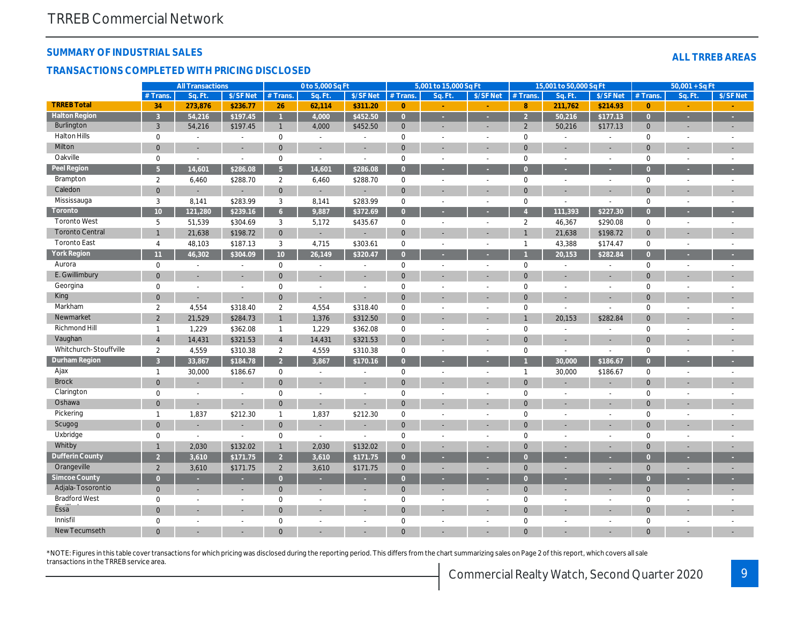## SUMMARY OF INDUSTRIAL SALES

#### TRANSACTIONS COMPLETED WITH PRICING DISCLOSED

|                        |                 | <b>All Transactions</b>  |                          |                 | 0 to 5,000 Sq Ft         |                          |                | 5,001 to 15,000 Sq Ft    |                          |                | 15,001 to 50,000 Sq Ft   |                |
|------------------------|-----------------|--------------------------|--------------------------|-----------------|--------------------------|--------------------------|----------------|--------------------------|--------------------------|----------------|--------------------------|----------------|
|                        | # Trans.        | Sa. Ft.                  | \$/SF Net                | # Trans.        | Sa. Ft.                  | \$/SF Net                | # Trans.       | Sq. Ft.                  | \$/SF Net                | $#$ Trans.     | Sq. Ft.                  | \$/SF Ne       |
| <b>TRREB Total</b>     | 34              | 273,876                  | \$236.77                 | 26              | 62,114                   | \$311.20                 | $\overline{0}$ |                          |                          | 8              | 211,762                  | \$214.9        |
| <b>Halton Region</b>   | $\overline{3}$  | 54,216                   | \$197.45                 | $\overline{1}$  | 4.000                    | \$452.50                 | $\overline{0}$ | $\sim$                   | $\sim$                   | $\overline{2}$ | 50,216                   | \$177.1        |
| Burlington             | 3               | 54,216                   | \$197.45                 | $\mathbf{1}$    | 4.000                    | \$452.50                 | $\mathbf{0}$   | $\blacksquare$           | $\blacksquare$           | 2              | 50,216                   | \$177.13       |
| <b>Halton Hills</b>    | $\mathbf 0$     | $\blacksquare$           | $\blacksquare$           | $\mathbf 0$     | $\blacksquare$           | $\overline{\phantom{a}}$ | $\mathbf 0$    | $\overline{\phantom{a}}$ | $\sim$                   | $\mathbf 0$    | $\omega$                 | $\blacksquare$ |
| <b>Milton</b>          | $\overline{0}$  | $\overline{a}$           | $\blacksquare$           | $\mathbf{0}$    | $\sim$                   |                          | $\mathbf 0$    | ٠                        | ÷.                       | $\mathbf{0}$   | ÷,                       | $\blacksquare$ |
| Oakville               | $\mathbf 0$     | $\blacksquare$           | $\blacksquare$           | $\mathbf 0$     | $\blacksquare$           | $\overline{\phantom{a}}$ | $\pmb{0}$      | $\blacksquare$           | $\sim$                   | $\mathbf 0$    | $\blacksquare$           | $\sim$         |
| Peel Region            | 5 <sup>5</sup>  | 14,601                   | \$286.08                 | 5 <sup>1</sup>  | 14.601                   | \$286.08                 | $\overline{0}$ | $\sim$                   |                          | $\overline{0}$ | ×                        | $\sim$         |
| Brampton               | $\overline{2}$  | 6,460                    | \$288.70                 | $\overline{2}$  | 6,460                    | \$288.70                 | 0              | $\overline{\phantom{a}}$ | $\blacksquare$           | $\mathbf 0$    | $\blacksquare$           | $\sim$         |
| Caledon                | $\overline{0}$  | ÷                        | $\blacksquare$           | $\mathbf{0}$    | $\sim$                   |                          | $\mathbf 0$    | ٠                        |                          | $\mathbf{0}$   | ÷,                       | $\blacksquare$ |
| Mississauga            | 3               | 8,141                    | \$283.99                 | 3               | 8,141                    | \$283.99                 | $\pmb{0}$      | $\blacksquare$           | $\blacksquare$           | $\mathbf 0$    | $\overline{a}$           | $\blacksquare$ |
| Toronto                | 10 <sup>1</sup> | 121,280                  | \$239.16                 | 6 <sup>1</sup>  | 9,887                    | \$372.69                 | $\overline{0}$ | ×                        |                          | $\overline{4}$ | 111,393                  | \$227.3        |
| <b>Toronto West</b>    | 5               | 51,539                   | \$304.69                 | 3               | 5,172                    | \$435.67                 | 0              | $\blacksquare$           | $\blacksquare$           | $\overline{2}$ | 46,367                   | \$290.08       |
| <b>Toronto Central</b> | $\mathbf{1}$    | 21,638                   | \$198.72                 | $\overline{0}$  | $\sim$                   |                          | $\mathbf 0$    | $\blacksquare$           |                          | $\overline{1}$ | 21,638                   | \$198.72       |
| <b>Toronto East</b>    | 4               | 48,103                   | \$187.13                 | 3               | 4,715                    | \$303.61                 | $\mathbf 0$    | $\overline{\phantom{a}}$ | $\overline{\phantom{a}}$ | $\overline{1}$ | 43,388                   | \$174.4        |
| York Region            | 11              | 46,302                   | \$304.09                 | 10 <sup>°</sup> | 26,149                   | \$320.47                 | $\overline{0}$ | ×                        |                          |                | 20,153                   | \$282.84       |
| Aurora                 | $\mathbf 0$     | $\blacksquare$           | $\blacksquare$           | 0               | $\overline{\phantom{a}}$ | $\overline{\phantom{a}}$ | $\mathbf 0$    | $\overline{\phantom{a}}$ | $\blacksquare$           | $\mathbf 0$    | $\overline{\phantom{a}}$ | $\blacksquare$ |
| E. Gwillimbury         | $\overline{0}$  |                          |                          | $\mathbf{0}$    |                          |                          | $\mathbf 0$    | $\blacksquare$           |                          | $\mathbf 0$    |                          | $\blacksquare$ |
| Georgina               | $\mathbf 0$     | $\blacksquare$           | $\overline{\phantom{a}}$ | 0               | $\overline{\phantom{a}}$ | $\overline{\phantom{a}}$ | $\mathbf 0$    | $\blacksquare$           | $\blacksquare$           | $\mathbf 0$    | $\overline{a}$           | $\blacksquare$ |
| King                   | $\mathbf 0$     | $\overline{\phantom{a}}$ | $\blacksquare$           | $\mathbf{0}$    |                          |                          | $\mathbf 0$    |                          |                          | $\mathbf 0$    |                          |                |
| Markham                | $\overline{2}$  | 4,554                    | \$318.40                 | 2               | 4,554                    | \$318.40                 | $\mathbf 0$    | $\sim$                   | $\overline{\phantom{a}}$ | $\mathbf 0$    | $\sim$                   | $\blacksquare$ |
| Newmarket              | $\overline{2}$  | 21,529                   | \$284.73                 | 1               | 1,376                    | \$312.50                 | $\overline{0}$ |                          |                          | $\overline{1}$ | 20,153                   | \$282.84       |
| <b>Richmond Hill</b>   | $\mathbf{1}$    | 1,229                    | \$362.08                 | $\mathbf{1}$    | 1,229                    | \$362.08                 | $\mathbf 0$    | $\sim$                   | $\sim$                   | $\mathbf 0$    | $\blacksquare$           |                |
| Vaughan                | $\overline{4}$  | 14,431                   | \$321.53                 | $\overline{4}$  | 14,431                   | \$321.53                 | $\mathbf{0}$   |                          |                          | $\mathbf{0}$   |                          |                |
| Whitchurch-Stouffville | $\overline{2}$  | 4,559                    | \$310.38                 | $\overline{2}$  | 4,559                    | \$310.38                 | $\mathbf 0$    | $\overline{\phantom{a}}$ | $\sim$                   | $\mathbf 0$    | $\blacksquare$           | $\blacksquare$ |
| Durham Region          | $\overline{3}$  | 33,867                   | \$184.78                 | $\overline{2}$  | 3,867                    | \$170.16                 | $\overline{0}$ |                          |                          |                | 30,000                   | \$186.67       |
| Ajax                   | $\mathbf{1}$    | 30,000                   | \$186.67                 | $\mathbf 0$     | $\blacksquare$           | $\overline{\phantom{a}}$ | $\pmb{0}$      | $\sim$                   | $\sim$                   | $\mathbf{1}$   | 30,000                   | \$186.67       |
| <b>Brock</b>           | $\overline{0}$  |                          |                          | $\mathbf{0}$    |                          |                          | $\mathbf{0}$   |                          |                          | $\mathbf{0}$   |                          |                |
| Clarington             | $\mathbf 0$     | $\blacksquare$           | $\blacksquare$           | $\mathbf 0$     | $\sim$                   | $\sim$                   | $\mathbf 0$    | $\sim$                   | $\blacksquare$           | $\mathbf 0$    | $\sim$                   | $\sim$         |
| Oshawa                 | $\mathbf 0$     | $\blacksquare$           | $\blacksquare$           | $\mathbf{0}$    |                          |                          | $\mathbf 0$    |                          |                          | $\mathbf{0}$   |                          |                |
| Pickering              | $\mathbf{1}$    | 1,837                    | \$212.30                 | $\mathbf{1}$    | 1,837                    | \$212.30                 | $\pmb{0}$      | $\sim$                   | $\sim$                   | $\mathbf 0$    | ä,                       | $\sim$         |
| Scugog                 | $\overline{0}$  |                          |                          | $\mathbf{0}$    |                          |                          | $\mathbf 0$    |                          |                          | $\mathbf 0$    |                          |                |
| Uxbridge               | $\mathbf 0$     | $\blacksquare$           | $\blacksquare$           | $\mathbf 0$     | $\sim$                   | $\blacksquare$           | $\mathbf 0$    | $\blacksquare$           | $\blacksquare$           | $\mathbf 0$    | $\sim$                   | $\blacksquare$ |
| Whitby                 | $\mathbf{1}$    | 2,030                    | \$132.02                 | $\mathbf{1}$    | 2,030                    | \$132.02                 | $\mathbf{0}$   | $\blacksquare$           |                          | $\mathbf{0}$   |                          | ٠              |
| <b>Dufferin County</b> | $\overline{2}$  | 3,610                    | \$171.75                 | $\overline{2}$  | 3,610                    | \$171.75                 | $\overline{0}$ | ٠                        |                          | $\overline{0}$ | ٠                        | ×.             |
| Orangeville            | $\overline{2}$  | 3,610                    | \$171.75                 | $\overline{2}$  | 3,610                    | \$171.75                 | $\mathbf{0}$   | ä,                       | $\blacksquare$           | $\mathbf{0}$   |                          |                |
| <b>Simcoe County</b>   | $\overline{0}$  | ×.                       | ٠                        | $\overline{0}$  |                          | ×                        | $\overline{0}$ | ٠                        |                          | $\overline{0}$ | ٠                        | ×              |
| Adjala-Tosorontio      | $\mathbf{0}$    |                          |                          | $\mathbf{0}$    |                          |                          | $\pmb{0}$      | ٠                        |                          | $\mathbf 0$    | ÷,                       |                |
| <b>Bradford West</b>   | 0               | $\blacksquare$           | $\blacksquare$           | $\mathbf 0$     | $\overline{\phantom{a}}$ | $\overline{\phantom{a}}$ | $\mathbf 0$    | $\blacksquare$           | $\blacksquare$           | $\mathbf 0$    | $\blacksquare$           | $\blacksquare$ |
| Essa <sup>"</sup>      | $\mathbf 0$     |                          |                          | $\overline{0}$  |                          |                          | $\mathbf 0$    |                          |                          | $\mathbf 0$    |                          |                |
| Innisfil               | $\mathbf 0$     | $\blacksquare$           | L.                       | $\mathbf 0$     | $\sim$                   | $\overline{\phantom{a}}$ | $\mathbf 0$    | $\blacksquare$           | $\blacksquare$           | $\mathbf 0$    | $\blacksquare$           | $\blacksquare$ |
| <b>New Tecumseth</b>   | $\Omega$        |                          |                          | $\Omega$        |                          |                          | $\Omega$       |                          |                          | $\Omega$       |                          |                |
|                        |                 |                          |                          |                 |                          |                          |                |                          |                          |                |                          |                |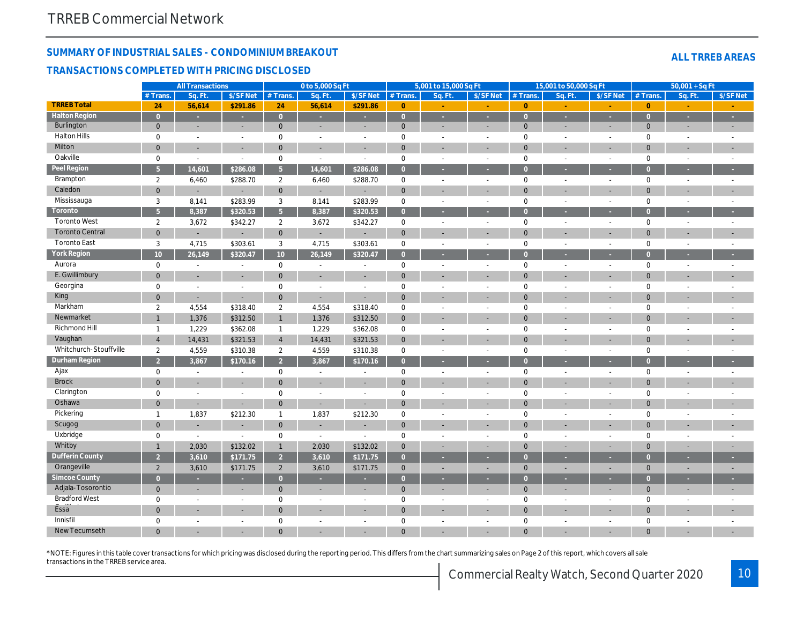# SUMMARY OF INDUSTRIAL SALES - CONDOMINIUM BREAKOUT TRANSACTIONS COMPLETED WITH PRICING DISCLOSED

|                        |                 | <b>All Transactions</b> |                          |                       | 0 to 5,000 Sq Ft |                          |                | 5,001 to 15,000 Sq Ft |                          |                | 15,001 to 50,000 Sq Ft   |                          |
|------------------------|-----------------|-------------------------|--------------------------|-----------------------|------------------|--------------------------|----------------|-----------------------|--------------------------|----------------|--------------------------|--------------------------|
|                        | $#$ Trans.      | Sa. Ft                  | \$/SF Net                | # Trans.              | Sa. Ft.          | \$/SF Net                | # Trans.       | Sq. Ft.               | \$/SF Net                | $#$ Trans.     | Sq. Ft.                  | $S/SF$ Ne                |
| <b>TRREB Total</b>     | 24              | 56,614                  | \$291.86                 | 24                    | 56,614           | \$291.86                 | $\mathbf{0}$   |                       |                          | $\overline{0}$ |                          |                          |
| <b>Halton Region</b>   | $\overline{0}$  | $\omega$                | $\omega$                 | $\overline{0}$        | $\sim$           | ×                        | $\mathbf{0}$   | ×                     | $\sim$                   | $\overline{0}$ | ÷.                       | $\sim$                   |
| Burlington             | $\overline{0}$  | $\sim$                  | $\sim$                   | $\mathbf{0}$          | $\sim$           | $\overline{\phantom{a}}$ | $\mathbf{0}$   | $\sim$                | $\blacksquare$           | $\mathbf{0}$   | $\blacksquare$           | $\blacksquare$           |
| <b>Halton Hills</b>    | $\mathbf 0$     | $\sim$                  | $\sim$                   | $\mathbf 0$           | $\blacksquare$   | $\blacksquare$           | $\mathbf 0$    | $\blacksquare$        | $\sim$                   | $\mathbf 0$    | $\blacksquare$           | $\sim$                   |
| Milton                 | $\mathbf{0}$    | $\blacksquare$          | $\sim$                   | $\overline{0}$        | $\sim$           | $\sim$                   | $\mathbf{0}$   | $\sim$                | $\overline{a}$           | $\mathbf{0}$   | ÷,                       | $\blacksquare$           |
| Oakville               | $\mathbf 0$     | $\blacksquare$          | $\blacksquare$           | 0                     | $\blacksquare$   | $\blacksquare$           | $\mathbf 0$    | $\blacksquare$        | $\sim$                   | $\mathsf 0$    | $\blacksquare$           | $\sim$                   |
| <b>Peel Region</b>     | 5 <sup>5</sup>  | 14,601                  | \$286.08                 | 5 <sup>1</sup>        | 14,601           | \$286.08                 | $\overline{0}$ | $\sim$                |                          | $\overline{0}$ | ×                        | $\sim$                   |
| Brampton               | $\overline{2}$  | 6,460                   | \$288.70                 | $\overline{2}$        | 6,460            | \$288.70                 | $\mathbf 0$    | $\blacksquare$        | $\blacksquare$           | $\mathbf 0$    | $\blacksquare$           | $\sim$                   |
| Caledon                | $\overline{0}$  | ä,                      | $\blacksquare$           | $\overline{0}$        | $\sim$           | $\blacksquare$           | $\mathbf 0$    | $\sim$                |                          | $\mathbf{0}$   | ÷,                       | $\blacksquare$           |
| Mississauga            | 3               | 8,141                   | \$283.99                 | 3                     | 8,141            | \$283.99                 | $\mathbf 0$    | $\blacksquare$        | $\blacksquare$           | $\mathsf 0$    | $\blacksquare$           | $\blacksquare$           |
| Toronto                | 5 <sup>5</sup>  | 8,387                   | \$320.53                 | 5 <sup>1</sup>        | 8,387            | \$320.53                 | $\overline{0}$ | $\sim$                |                          | $\overline{0}$ | в                        | ÷.                       |
| <b>Toronto West</b>    | $\overline{2}$  | 3,672                   | \$342.27                 | $\overline{2}$        | 3,672            | \$342.27                 | $\mathbf 0$    | $\blacksquare$        | $\blacksquare$           | $\mathbf 0$    | $\blacksquare$           | $\sim$                   |
| <b>Toronto Central</b> | $\mathbf 0$     | $\blacksquare$          | $\sim$                   | $\overline{0}$        | $\sim$           | $\sim$                   | $\mathbf{0}$   | $\sim$                |                          | $\mathbf 0$    | ä,                       | $\blacksquare$           |
| <b>Toronto East</b>    | 3               | 4,715                   | \$303.61                 | 3                     | 4,715            | \$303.61                 | $\mathbf 0$    | $\blacksquare$        | $\blacksquare$           | $\mathbf 0$    | $\blacksquare$           | $\sim$                   |
| York Region            | 10 <sup>1</sup> | 26,149                  | \$320.47                 | 10 <sup>°</sup>       | 26,149           | \$320.47                 | $\overline{0}$ | ×                     |                          | $\overline{0}$ | ٠                        | ÷                        |
| Aurora                 | $\mathbf 0$     | $\blacksquare$          | $\blacksquare$           | 0                     | $\blacksquare$   | $\blacksquare$           | $\mathbf 0$    | $\blacksquare$        | $\blacksquare$           | $\mathbf 0$    | $\blacksquare$           | $\sim$                   |
| E. Gwillimbury         | $\mathbf{0}$    | ä,                      | ä,                       | $\mathbf 0$           | $\blacksquare$   | $\blacksquare$           | $\mathbf 0$    | $\sim$                |                          | $\mathbf 0$    |                          | $\blacksquare$           |
| Georgina               | 0               | $\blacksquare$          | $\overline{a}$           | 0                     | $\blacksquare$   | $\blacksquare$           | $\mathbf 0$    | $\sim$                | $\sim$                   | $\mathbf 0$    | $\overline{a}$           | $\blacksquare$           |
| King                   | $\mathbf{0}$    | $\blacksquare$          | $\blacksquare$           | $\mathbf 0$           | $\blacksquare$   | $\blacksquare$           | $\mathbf 0$    |                       |                          | $\mathbf 0$    |                          |                          |
| Markham                | 2               | 4,554                   | \$318.40                 | $\overline{2}$        | 4,554            | \$318.40                 | $\mathbf 0$    | $\sim$                | $\overline{\phantom{a}}$ | $\mathbf 0$    | $\blacksquare$           | $\sim$                   |
| Newmarket              | $\overline{1}$  | 1,376                   | \$312.50                 | 1                     | 1,376            | \$312.50                 | $\mathbf{0}$   |                       |                          | $\mathbf{0}$   |                          |                          |
| Richmond Hill          | $\overline{1}$  | 1,229                   | \$362.08                 | $\mathbf{1}$          | 1,229            | \$362.08                 | $\mathbf 0$    | $\sim$                | $\sim$                   | $\mathbf 0$    | ä,                       | $\sim$                   |
| Vaughan                | $\overline{4}$  | 14,431                  | \$321.53                 | $\overline{4}$        | 14,431           | \$321.53                 | $\mathbf 0$    |                       |                          | $\mathbf{0}$   |                          |                          |
| Whitchurch-Stouffville | $\overline{2}$  | 4,559                   | \$310.38                 | $\mathbf{2}^{\prime}$ | 4,559            | \$310.38                 | $\mathbf 0$    | $\sim$                | $\sim$                   | $\mathbf 0$    | $\blacksquare$           | $\sim$                   |
| <b>Durham Region</b>   | $\overline{2}$  | 3,867                   | \$170.16                 | $\overline{2}$        | 3,867            | \$170.16                 | $\overline{0}$ |                       |                          | $\Omega$       |                          |                          |
| Ajax                   | 0               | $\sim$                  | $\blacksquare$           | 0                     | $\blacksquare$   | $\blacksquare$           | $\mathbf 0$    | $\blacksquare$        | $\sim$                   | $\mathbf 0$    | $\sim$                   | $\sim$                   |
| <b>Brock</b>           | $\overline{0}$  |                         | $\blacksquare$           | $\mathbf 0$           |                  | $\overline{\phantom{a}}$ | $\mathbf 0$    |                       |                          | $\mathbf{0}$   |                          |                          |
| Clarington             | $\mathbf 0$     | $\blacksquare$          | $\sim$                   | $\mathbf 0$           | $\blacksquare$   | $\blacksquare$           | $\mathbf 0$    | $\sim$                | $\sim$                   | $\mathbf 0$    | $\blacksquare$           | $\blacksquare$           |
| Oshawa                 | $\mathbf{0}$    | $\blacksquare$          | $\overline{\phantom{a}}$ | $\mathbf{0}$          | $\blacksquare$   | $\sim$                   | $\mathbf 0$    |                       |                          | $\mathbf{0}$   |                          |                          |
| Pickering              | $\overline{1}$  | 1,837                   | \$212.30                 | $\mathbf{1}$          | 1,837            | \$212.30                 | $\mathbf 0$    | $\sim$                | $\sim$                   | $\mathbf 0$    | ä,                       | $\sim$                   |
| Scugog                 | $\mathbf{0}$    | ٠                       | $\blacksquare$           | $\mathbf 0$           | $\sim$           |                          | $\mathbf 0$    |                       |                          | $\mathbf 0$    |                          |                          |
| Uxbridge               | $\mathbf 0$     | $\blacksquare$          | $\omega$                 | $\mathbf 0$           | $\sim$           | $\blacksquare$           | $\mathbf 0$    | $\sim$                | $\sim$                   | $\mathbf 0$    | $\blacksquare$           | $\blacksquare$           |
| Whitby                 | $\mathbf{1}$    | 2,030                   | \$132.02                 | $\mathbf{1}$          | 2,030            | \$132.02                 | $\mathbf{0}$   |                       |                          | $\mathbf{0}$   |                          | $\overline{\phantom{a}}$ |
| <b>Dufferin County</b> | $\overline{2}$  | 3,610                   | \$171.75                 | 2 <sup>2</sup>        | 3,610            | \$171.75                 | $\overline{0}$ | ×                     | ٠                        | $\overline{0}$ | ٠                        | ÷                        |
| Orangeville            | $\overline{2}$  | 3,610                   | \$171.75                 | $\overline{2}$        | 3,610            | \$171.75                 | $\mathbf 0$    | $\blacksquare$        | $\blacksquare$           | $\mathbf{0}$   | ä,                       | ٠                        |
| <b>Simcoe County</b>   | $\overline{0}$  | ٠                       | ٠                        | $\overline{0}$        | ٠                | ٠                        | $\overline{0}$ | ٠                     | ٠                        | $\overline{0}$ | ٠                        |                          |
| Adjala-Tosorontio      | $\mathbf{0}$    | ٠                       | ٠                        | $\mathbf 0$           |                  | $\overline{\phantom{a}}$ | $\pmb{0}$      |                       |                          | $\mathbf{0}$   | ٠                        | ×.                       |
| <b>Bradford West</b>   | 0               | $\blacksquare$          | $\blacksquare$           | 0                     | $\blacksquare$   | $\blacksquare$           | $\mathbf 0$    | $\sim$                | $\sim$                   | $\mathbf 0$    | $\overline{\phantom{a}}$ | $\blacksquare$           |
| Essa <sup>"</sup>      | $\overline{0}$  |                         |                          | $\mathbf 0$           |                  |                          | $\mathbf 0$    |                       |                          | $\mathbf{0}$   |                          |                          |
| Innisfil               | $\mathbf 0$     | $\blacksquare$          | $\sim$                   | $\mathbf 0$           | $\blacksquare$   | $\sim$                   | $\mathbf 0$    | $\sim$                | $\blacksquare$           | $\mathbf 0$    | $\blacksquare$           |                          |
| New Tecumseth          | $\Omega$        |                         |                          | $\Omega$              |                  |                          | $\Omega$       |                       |                          | $\Omega$       |                          | $\blacksquare$           |
|                        |                 |                         |                          |                       |                  |                          |                |                       |                          |                |                          |                          |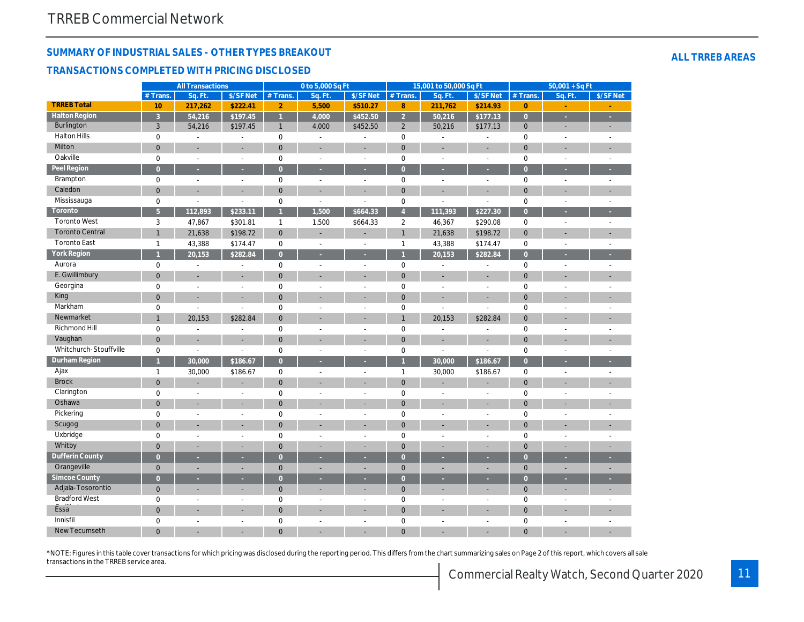# SUMMARY OF INDUSTRIAL SALES - OTHER TYPES BREAKOUT TRANSACTIONS COMPLETED WITH PRICING DISCLOSED

|                        |                | <b>All Transactions</b> |                |                | 0 to 5,000 Sq Ft      |                          |                | 15,001 to 50,000 Sq Ft   |                          |                | $50,001 + SqF$           |                          |
|------------------------|----------------|-------------------------|----------------|----------------|-----------------------|--------------------------|----------------|--------------------------|--------------------------|----------------|--------------------------|--------------------------|
|                        | # Trans.       | Sq. Ft.                 | \$/SF Net      | # Trans.       | Sq. Ft.               | \$/SF Net                | # Trans.       | Sq. Ft.                  | \$/SF Net                | # Trans.       | Sq. Ft.                  | $S/SF$ Ne                |
| <b>TRREB Total</b>     | 10             | 217,262                 | \$222.41       | $\overline{2}$ | 5,500                 | \$510.27                 | 8              | 211,762                  | \$214.93                 | $\overline{0}$ |                          |                          |
| <b>Halton Region</b>   | $\overline{3}$ | 54,216                  | \$197.45       | $\overline{1}$ | 4,000                 | \$452.50                 | $\overline{2}$ | 50,216                   | \$177.13                 | $\overline{0}$ | ı.                       | Ŧ,                       |
| <b>Burlington</b>      | 3              | 54,216                  | \$197.45       | $\mathbf{1}$   | 4,000                 | \$452.50                 | $\overline{2}$ | 50,216                   | \$177.13                 | $\mathbf 0$    | $\overline{\phantom{a}}$ | $\overline{\phantom{a}}$ |
| <b>Halton Hills</b>    | $\mathbf 0$    | $\blacksquare$          | $\blacksquare$ | 0              | $\blacksquare$        | $\blacksquare$           | 0              | $\blacksquare$           | $\overline{\phantom{a}}$ | 0              | $\blacksquare$           | $\overline{\phantom{a}}$ |
| Milton                 | $\mathbf{0}$   | L                       | L.             | $\mathbf{0}$   | ä,                    | ÷.                       | $\mathbf{0}$   |                          | L.                       | $\overline{0}$ | ä,                       | ÷.                       |
| Oakville               | $\mathbf 0$    | $\blacksquare$          | $\overline{a}$ | 0              | $\tilde{\phantom{a}}$ | $\blacksquare$           | $\pmb{0}$      | $\omega$                 | $\sim$                   | 0              | $\blacksquare$           | $\omega$ .               |
| <b>Peel Region</b>     | $\overline{0}$ |                         | é              | $\overline{0}$ | F                     | ٠                        | $\overline{0}$ |                          | ×                        | $\overline{0}$ |                          |                          |
| Brampton               | $\mathsf 0$    | $\blacksquare$          | $\blacksquare$ | 0              | L,                    | $\blacksquare$           | $\pmb{0}$      | ÷.                       | $\sim$                   | 0              | L.                       | ÷                        |
| Caledon                | $\mathbf 0$    | ÷                       | ÷,             | $\mathbf{0}$   | ÷                     | $\blacksquare$           | $\mathbf{0}$   | $\overline{\phantom{a}}$ | $\overline{a}$           | $\overline{0}$ |                          | ÷,                       |
| Mississauga            | $\mathbf 0$    |                         | L.             | $\mathbf 0$    | L.                    |                          | $\pmb{0}$      |                          |                          | 0              | $\blacksquare$           | ÷.                       |
| Toronto                | $\overline{5}$ | 112,893                 | \$233.11       | $\overline{1}$ | 1,500                 | \$664.33                 | $\overline{4}$ | 111,393                  | \$227.30                 | $\overline{0}$ |                          |                          |
| <b>Toronto West</b>    | 3              | 47,867                  | \$301.81       | $\mathbf{1}$   | 1,500                 | \$664.33                 | $\overline{2}$ | 46,367                   | \$290.08                 | 0              | $\blacksquare$           | $\omega$                 |
| <b>Toronto Central</b> | $\mathbf{1}$   | 21,638                  | \$198.72       | $\overline{0}$ | L,                    | $\blacksquare$           | $\mathbf{1}$   | 21,638                   | \$198.72                 | $\overline{0}$ |                          |                          |
| <b>Toronto East</b>    | $\mathbf{1}$   | 43,388                  | \$174.47       | 0              | L,                    | $\blacksquare$           | $\mathbf{1}$   | 43,388                   | \$174.47                 | 0              | L.                       | $\omega$                 |
| <b>York Region</b>     | $\overline{1}$ | 20,153                  | \$282.84       | $\overline{0}$ | ä                     | ×                        | $\overline{1}$ | 20,153                   | \$282.84                 | $\overline{0}$ | ×                        |                          |
| Aurora                 | $\mathbf 0$    | $\overline{a}$          | $\overline{a}$ | 0              | $\overline{a}$        | $\blacksquare$           | $\pmb{0}$      |                          | $\overline{a}$           | 0              |                          | $\overline{a}$           |
| E. Gwillimbury         | $\mathbf{0}$   | ÷,                      | ÷,             | $\mathbf{0}$   | L,                    | $\overline{\phantom{a}}$ | $\mathbf{0}$   | ÷.                       | $\blacksquare$           | $\overline{0}$ |                          | $\overline{a}$           |
| Georgina               | $\mathsf 0$    | L.                      | ä,             | $\pmb{0}$      |                       |                          | $\pmb{0}$      |                          | $\overline{a}$           | 0              |                          |                          |
| King                   | $\mathbf 0$    | ÷                       | L,             | $\mathbf 0$    | ÷,                    | ٠                        | $\mathbf 0$    |                          | ۰                        | $\mathbf 0$    | Ē.                       |                          |
| Markham                | $\mathbf 0$    | $\overline{a}$          |                | $\mathbf 0$    | ä,                    | $\overline{a}$           | $\mathbf 0$    |                          |                          | 0              |                          |                          |
| Newmarket              | $\mathbf{1}$   | 20,153                  | \$282.84       | $\mathbf{0}$   | ä,                    | ÷                        | $\overline{1}$ | 20,153                   | \$282.84                 | $\overline{0}$ |                          |                          |
| <b>Richmond Hill</b>   | $\mathsf 0$    |                         | $\overline{a}$ | $\mathbf 0$    | L,                    | $\blacksquare$           | $\mathbf 0$    |                          |                          | 0              | ÷.                       |                          |
| Vaughan                | $\mathbf 0$    | ÷                       | ÷              | $\mathbf 0$    | ÷                     | ٠                        | $\mathbf 0$    | ٠                        |                          | $\mathbf 0$    | ä,                       |                          |
| Whitchurch-Stouffville | $\mathbf 0$    | $\blacksquare$          | $\overline{a}$ | 0              | $\frac{1}{2}$         | $\blacksquare$           | $\pmb{0}$      | $\blacksquare$           |                          | 0              | $\overline{\phantom{a}}$ | $\blacksquare$           |
| Durham Region          | $\overline{1}$ | 30,000                  | \$186.67       | $\overline{0}$ | ٠                     | ×                        | $\overline{1}$ | 30,000                   | \$186.67                 | $\overline{0}$ | ٠                        | u.                       |
| Ajax                   | $\mathbf{1}$   | 30,000                  | \$186.67       | 0              | ÷,                    | $\omega$                 | $\mathbf{1}$   | 30,000                   | \$186.67                 | 0              | $\blacksquare$           | ÷.                       |
| <b>Brock</b>           | $\mathbf{0}$   | ä,                      | ä,             | $\mathbf{0}$   | ä,                    | $\overline{a}$           | $\mathbf 0$    |                          |                          | $\overline{0}$ | ä,                       | ÷.                       |
| Clarington             | $\mathsf 0$    | ÷,                      | $\overline{a}$ | 0              | $\overline{a}$        | $\blacksquare$           | $\pmb{0}$      | $\sim$                   | $\sim$                   | 0              | $\blacksquare$           |                          |
| Oshawa                 | $\mathbf 0$    | ä,                      | ä,             | $\mathbf{0}$   | ä,                    | $\blacksquare$           | $\mathbf 0$    | ÷                        | ٠                        | $\overline{0}$ |                          |                          |
| Pickering              | $\mathsf 0$    | $\sim$                  | $\overline{a}$ | 0              | L,                    | $\blacksquare$           | $\mathbf 0$    | $\sim$                   | $\sim$                   | 0              | L.                       |                          |
| Scugog                 | $\mathbf 0$    |                         |                | $\mathbf{0}$   |                       |                          | $\mathbf{0}$   |                          |                          | $\overline{0}$ |                          |                          |
| Uxbridge               | $\mathbf 0$    | $\blacksquare$          | ä,             | $\mathbf 0$    | ÷,                    | $\blacksquare$           | $\mathbf 0$    | $\omega$                 | $\sim$                   | 0              | L.                       |                          |
| Whitby                 | $\mathbf{0}$   |                         |                | $\mathbf{0}$   |                       |                          | $\mathbf 0$    |                          |                          | $\overline{0}$ |                          |                          |
| <b>Dufferin County</b> | $\overline{0}$ | ٠                       | ۰              | $\overline{0}$ | в                     | н                        | $\overline{0}$ |                          | ٠                        | $\overline{0}$ |                          |                          |
| Orangeville            | $\mathbf 0$    |                         |                | $\mathbf 0$    |                       | $\blacksquare$           | $\mathbf 0$    |                          | ä,                       | $\overline{0}$ |                          |                          |
| <b>Simcoe County</b>   | $\overline{0}$ | ٠                       | ۰              | $\overline{0}$ | ٠                     | ٠                        | $\overline{0}$ | ٠                        | в                        | $\overline{0}$ | ٠                        | ÷.                       |
| Adjala-Tosorontio      | $\mathbf 0$    | ä,                      | ä,             | $\mathbf 0$    | L,                    | $\overline{a}$           | $\mathbf 0$    |                          |                          | $\mathbf 0$    |                          |                          |
| <b>Bradford West</b>   | $\mathsf 0$    | ä,                      | ä,             | $\pmb{0}$      | L,                    | $\omega$                 | $\pmb{0}$      | $\overline{a}$           | $\sim$                   | 0              | $\blacksquare$           |                          |
| Essa                   | $\mathbf{0}$   |                         |                | $\mathbf{0}$   |                       |                          | $\mathbf{0}$   |                          |                          | $\mathbf 0$    |                          |                          |
| Innisfil               | $\mathbf 0$    | ä,                      | ÷,             | $\mathbf 0$    | L,                    | $\blacksquare$           | $\pmb{0}$      | $\blacksquare$           | ä,                       | 0              | L.                       | ÷                        |
| <b>New Tecumseth</b>   | $\overline{0}$ |                         |                | $\Omega$       |                       |                          | $\Omega$       |                          |                          | $\Omega$       |                          |                          |

\*NOTE: Figures in this table cover transactions for which pricing was disclosed during the reporting period. This differs from the chart summarizing sales on Page 2 of this report, which transactions in the TRREB service area.

Commercial Realty Watch, Second 2020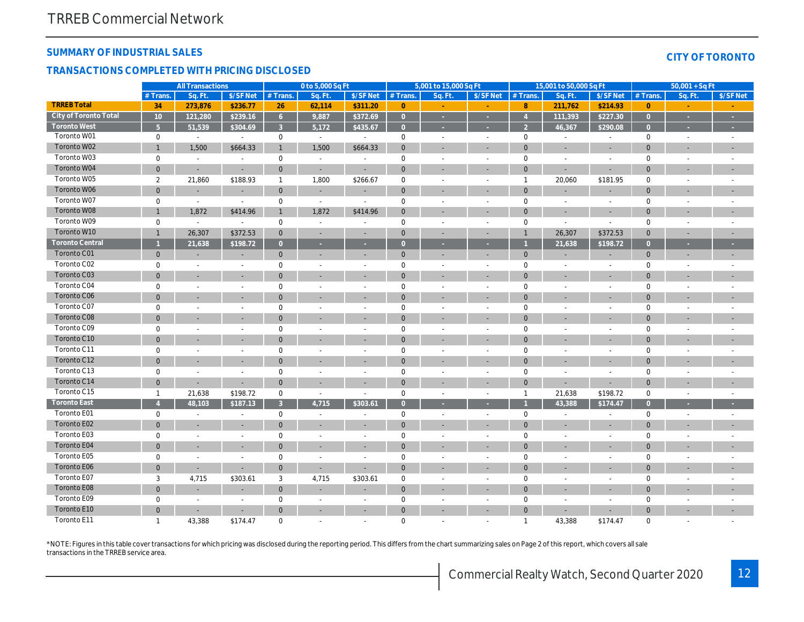## SUMMARY OF INDUSTRIAL SALES

## TRANSACTIONS COMPLETED WITH PRICING DISCLOSED

|                        | <b>All Transactions</b> |                          | 0 to 5,000 Sq Ft         |                |                          |                          | 5,001 to 15,000 Sq Ft |                          |                          | 15,001 to 50,000 Sq Ft |                          |                          |
|------------------------|-------------------------|--------------------------|--------------------------|----------------|--------------------------|--------------------------|-----------------------|--------------------------|--------------------------|------------------------|--------------------------|--------------------------|
|                        | $#$ Trans.              | Sq. Ft.                  | \$/SF Net                | $#$ Trans.     | Sq. Ft.                  | \$/SF Net                | # Trans.              | Sq. Ft.                  | \$/SF Net                | $#$ Trans.             | Sa. Ft.                  | $$/SF$ Ne                |
| <b>TRREB Total</b>     | 34                      | 273,876                  | \$236.77                 | 26             | 62,114                   | \$311.20                 | $\overline{0}$        |                          |                          | 8                      | 211,762                  | \$214.9                  |
| City of Toronto Total  | $10$                    | 121,280                  | \$239.16                 | 6 <sup>1</sup> | 9,887                    | \$372.69                 | $\overline{0}$        | ×                        | ×                        | $\overline{4}$         | 111,393                  | \$227.30                 |
| <b>Toronto West</b>    | $\overline{5}$          | 51,539                   | \$304.69                 | 3              | 5,172                    | \$435.67                 | $\overline{0}$        | в                        |                          | $\overline{2}$         | 46,367                   | \$290.08                 |
| Toronto W01            | $\mathbf 0$             | $\blacksquare$           | $\blacksquare$           | $\mathbf 0$    | $\sim$                   | $\sim$                   | 0                     | $\sim$                   | $\sim$                   | $\mathbf 0$            | $\blacksquare$           | $\blacksquare$           |
| Toronto W02            | $\mathbf{1}$            | 1,500                    | \$664.33                 | 1              | 1,500                    | \$664.33                 | $\mathbf 0$           | $\overline{\phantom{a}}$ | $\overline{\phantom{a}}$ | $\mathbf 0$            | $\blacksquare$           | $\overline{\phantom{a}}$ |
| Toronto W03            | $\mathbf 0$             | $\sim$                   | $\blacksquare$           | 0              | $\sim$                   | $\blacksquare$           | $\mathbf 0$           | $\blacksquare$           | $\sim$                   | $\mathsf 0$            | $\blacksquare$           | $\sim$                   |
| Toronto W04            | $\mathbf 0$             | $\sim$                   | $\blacksquare$           | $\mathbf{0}$   | $\sim$                   | $\sim$                   | $\mathbf{0}$          | $\sim$                   | $\blacksquare$           | $\mathbf 0$            | $\sim$                   | $\blacksquare$           |
| Toronto W05            | 2                       | 21,860                   | \$188.93                 | $\mathbf{1}$   | 1,800                    | \$266.67                 | $\mathbf 0$           | $\sim$                   | $\sim$                   | $\overline{1}$         | 20,060                   | \$181.9                  |
| Toronto W06            | $\overline{0}$          | $\overline{\phantom{a}}$ | $\overline{\phantom{a}}$ | $\mathbf{0}$   | $\overline{\phantom{a}}$ |                          | $\pmb{0}$             | $\overline{\phantom{a}}$ | $\blacksquare$           | $\mathbf 0$            | ÷,                       |                          |
| Toronto W07            | $\mathbf 0$             | $\blacksquare$           | $\blacksquare$           | 0              | $\blacksquare$           | $\blacksquare$           | $\mathbf 0$           | $\blacksquare$           | $\blacksquare$           | $\mathbf 0$            | $\blacksquare$           | $\blacksquare$           |
| Toronto W08            | $\mathbf{1}$            | 1,872                    | \$414.96                 | $\mathbf{1}$   | 1,872                    | \$414.96                 | $\mathbf 0$           |                          |                          | $\mathbf 0$            |                          | $\blacksquare$           |
| Toronto W09            | $\mathbf 0$             | $\sim$                   | $\sim$                   | $\mathbf 0$    | $\sim$                   | $\sim$                   | $\pmb{0}$             | $\sim$                   | $\sim$                   | $\mathbf 0$            | $\blacksquare$           | $\sim$                   |
| Toronto W10            | $\mathbf{1}$            | 26,307                   | \$372.53                 | $\mathbf{0}$   | $\overline{\phantom{a}}$ | $\blacksquare$           | $\mathbf{0}$          | $\blacksquare$           | $\overline{\phantom{a}}$ | $\mathbf{1}$           | 26,307                   | \$372.5                  |
| <b>Toronto Central</b> |                         | 21,638                   | \$198.72                 | $\overline{0}$ | $\sim$                   | $\sim$                   | $\overline{0}$        | ×                        | ×                        |                        | 21,638                   | \$198.7                  |
| <b>Toronto C01</b>     | $\mathbf{0}$            | $\overline{\phantom{a}}$ | $\blacksquare$           | $\mathbf{0}$   | $\overline{\phantom{a}}$ |                          | $\mathbf{0}$          | $\blacksquare$           | $\blacksquare$           | $\mathbf 0$            | $\blacksquare$           | $\blacksquare$           |
| Toronto C02            | $\mathbf 0$             | ÷,                       | $\blacksquare$           | $\mathbf 0$    | $\overline{\phantom{a}}$ | $\overline{\phantom{a}}$ | $\mathbf 0$           | $\sim$                   | $\overline{\phantom{a}}$ | $\mathbf 0$            | $\sim$                   | $\blacksquare$           |
| Toronto C03            | $\mathbf 0$             | $\blacksquare$           | $\blacksquare$           | $\overline{0}$ | $\overline{\phantom{a}}$ | $\blacksquare$           | $\mathbf{0}$          | $\blacksquare$           | ٠                        | $\mathbf 0$            | ٠                        | $\sim$                   |
| Toronto C04            | $\mathbf 0$             | $\blacksquare$           | $\blacksquare$           | $\mathbf 0$    |                          | $\overline{\phantom{a}}$ | $\pmb{0}$             | $\blacksquare$           | $\blacksquare$           | $\mathbf 0$            | $\blacksquare$           | $\blacksquare$           |
| <b>Toronto C06</b>     | $\mathbf 0$             | $\sim$                   | $\overline{a}$           | $\mathbf{0}$   |                          |                          | $\mathbf 0$           | ٠                        | $\overline{\phantom{a}}$ | $\mathbf 0$            |                          | $\blacksquare$           |
| Toronto C07            | $\mathbf 0$             | $\blacksquare$           | $\overline{\phantom{a}}$ | $\mathbf 0$    | $\overline{\phantom{a}}$ | $\overline{\phantom{a}}$ | $\mathbf 0$           | $\overline{\phantom{a}}$ | $\overline{\phantom{a}}$ | $\mathbf 0$            | $\overline{a}$           | $\blacksquare$           |
| Toronto C08            | $\overline{0}$          |                          |                          | $\mathbf{0}$   |                          |                          | $\pmb{0}$             | ä,                       |                          | $\mathbf 0$            |                          | $\blacksquare$           |
| Toronto C09            | $\mathbf 0$             | $\blacksquare$           | L.                       | $\mathbf 0$    | $\sim$                   | $\sim$                   | $\pmb{0}$             | $\blacksquare$           | $\sim$                   | $\mathsf 0$            | $\sim$                   | $\sim$                   |
| Toronto C10            | $\mathbf{0}$            |                          |                          | $\mathbf{0}$   |                          |                          | $\mathbf{0}$          |                          |                          | $\mathbf 0$            |                          |                          |
| Toronto C11            | $\mathbf 0$             | $\blacksquare$           | $\blacksquare$           | $\mathbf 0$    | $\overline{\phantom{a}}$ | $\sim$                   | $\mathbf 0$           | $\overline{\phantom{a}}$ | $\blacksquare$           | $\mathbf 0$            | $\overline{\phantom{a}}$ | $\blacksquare$           |
| Toronto C12            | 0                       | $\overline{\phantom{a}}$ | $\overline{\phantom{a}}$ | $\mathbf{0}$   |                          |                          | $\pmb{0}$             | $\blacksquare$           |                          | $\mathbf 0$            | ٠                        | ۰                        |
| Toronto C13            | $\mathbf 0$             | $\blacksquare$           | $\blacksquare$           | $\mathbf 0$    | $\sim$                   | $\sim$                   | $\pmb{0}$             | $\sim$                   | $\sim$                   | $\mathbf 0$            | $\blacksquare$           | $\blacksquare$           |
| Toronto C14            | $\mathbf{0}$            | $\blacksquare$           | $\blacksquare$           | $\mathbf{0}$   | $\overline{\phantom{a}}$ | $\blacksquare$           | $\mathbf 0$           | $\overline{\phantom{a}}$ | ٠                        | $\mathbf 0$            | ÷,                       | $\blacksquare$           |
| Toronto C15            | $\mathbf{1}$            | 21,638                   | \$198.72                 | $\mathbf 0$    | $\sim$                   | $\blacksquare$           | $\mathbf 0$           | $\blacksquare$           | $\sim$                   | $\overline{1}$         | 21,638                   | \$198.72                 |
| <b>Toronto East</b>    | $\overline{4}$          | 48,103                   | \$187.13                 | 3 <sup>1</sup> | 4,715                    | \$303.61                 | $\overline{0}$        | ×                        | ×                        |                        | 43,388                   | \$174.4                  |
| Toronto E01            | $\mathbf 0$             | $\blacksquare$           | $\blacksquare$           | $\mathbf 0$    | $\overline{\phantom{a}}$ | $\overline{\phantom{a}}$ | $\mathbf 0$           | $\blacksquare$           | $\sim$                   | $\mathsf 0$            | $\blacksquare$           | $\sim$                   |
| Toronto E02            | $\mathbf 0$             | $\overline{\phantom{a}}$ |                          | $\mathbf{0}$   | $\sim$                   | $\overline{a}$           | $\mathbf{0}$          | $\sim$                   |                          | $\mathbf{0}$           | $\overline{\phantom{a}}$ | $\sim$                   |
| Toronto E03            | $\mathbf 0$             | $\blacksquare$           | $\blacksquare$           | 0              | $\blacksquare$           | $\blacksquare$           | $\mathbf 0$           | $\blacksquare$           | $\blacksquare$           | $\mathbf 0$            | $\blacksquare$           | $\blacksquare$           |
| Toronto E04            | $\overline{0}$          |                          |                          | $\mathbf{0}$   |                          |                          | $\mathbf 0$           |                          |                          | $\mathbf 0$            |                          |                          |
| Toronto E05            | $\mathbf 0$             | $\blacksquare$           | $\blacksquare$           | $\mathbf 0$    | $\blacksquare$           | $\sim$                   | $\pmb{0}$             | $\blacksquare$           | $\blacksquare$           | $\mathbf 0$            | $\blacksquare$           | $\blacksquare$           |
| Toronto E06            | $\mathbf{0}$            | $\sim$                   | $\blacksquare$           | $\mathbf{0}$   | $\sim$                   |                          | $\mathbf{0}$          | $\sim$                   |                          | $\mathbf 0$            | ٠                        | $\overline{\phantom{a}}$ |
| Toronto E07            | 3                       | 4,715                    | \$303.61                 | 3              | 4,715                    | \$303.61                 | $\mathbf 0$           | $\sim$                   | $\overline{\phantom{a}}$ | $\mathbf 0$            | $\blacksquare$           | $\blacksquare$           |
| Toronto E08            | $\overline{0}$          | $\blacksquare$           | $\blacksquare$           | $\mathbf{0}$   |                          |                          | $\mathbf 0$           | $\blacksquare$           | $\blacksquare$           | $\mathbf 0$            | ÷,                       |                          |
| Toronto E09            | $\mathbf 0$             | L.                       | $\blacksquare$           | $\mathbf 0$    | $\sim$                   | $\sim$                   | $\pmb{0}$             | $\blacksquare$           | $\blacksquare$           | $\mathsf 0$            | ä,                       |                          |
| Toronto E10            | $\overline{0}$          | $\sim$                   | $\sim$                   | $\overline{0}$ |                          | $\blacksquare$           | $\mathbf{0}$          | $\sim$                   | $\overline{\phantom{a}}$ | $\mathbf{0}$           |                          | ٠                        |
| Toronto E11            | $\mathbf{1}$            | 43,388                   | \$174.47                 | $\mathbf 0$    | $\sim$                   | $\sim$                   | $\mathbf 0$           | ÷                        | $\sim$                   | $\overline{1}$         | 43,388                   | \$174.47                 |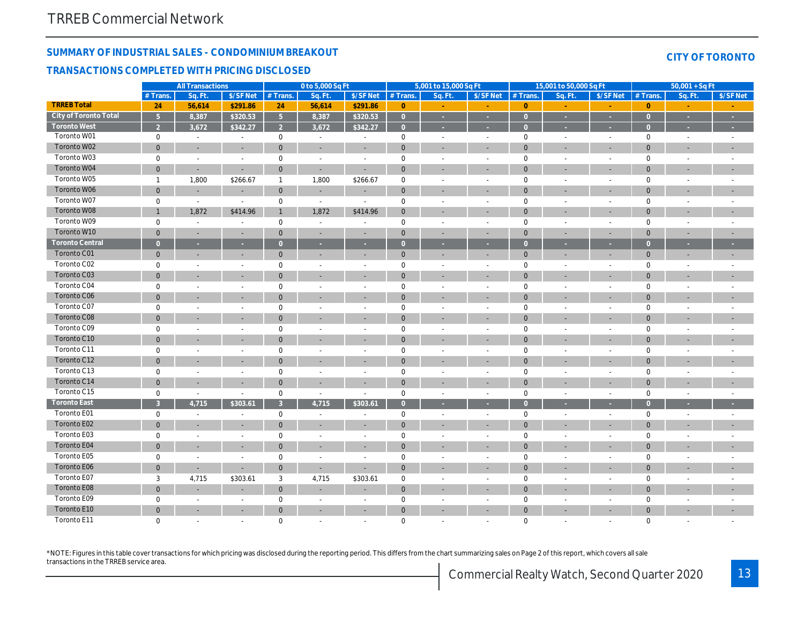# SUMMARY OF INDUSTRIAL SALES - CONDOMINIUM BREAKOUT TRANSACTIONS COMPLETED WITH PRICING DISCLOSED

|                        |                     | <b>All Transactions</b>  |                          |                | 0 to 5,000 Sq Ft         |                          |                | 5,001 to 15,000 Sq Ft    |                          |                | 15,001 to 50,000 Sq Ft |                          |
|------------------------|---------------------|--------------------------|--------------------------|----------------|--------------------------|--------------------------|----------------|--------------------------|--------------------------|----------------|------------------------|--------------------------|
|                        | # Trans.            | Sq. Ft.                  | \$/SF Net                | # Trans.       | Sq. Ft.                  | \$/SF Net                | # Trans.       | Sq. Ft.                  | \$/SF Net                | # Trans.       | Sq. Ft.                | $$/SF$ Ne                |
| <b>TRREB Total</b>     | 24                  | 56,614                   | \$291.86                 | 24             | 56,614                   | \$291.86                 | $\mathbf{0}$   |                          |                          | $\overline{0}$ |                        |                          |
| City of Toronto Total  | $\sqrt{5}$          | 8,387                    | \$320.53                 | 5 <sup>1</sup> | 8,387                    | \$320.53                 | $\overline{0}$ | $\sim$                   | $\sim$                   | $\overline{0}$ | ×                      | $\sim$                   |
| <b>Toronto West</b>    | $\overline{2}$      | 3,672                    | \$342.27                 | $\overline{2}$ | 3,672                    | \$342.27                 | $\overline{0}$ | ×                        |                          | $\overline{0}$ | в                      | ÷.                       |
| Toronto W01            | $\mathbf 0$         | $\blacksquare$           | $\blacksquare$           | 0              | $\sim$                   | $\blacksquare$           | $\mathbf 0$    | $\sim$                   | $\sim$                   | $\mathbf 0$    | $\blacksquare$         | $\sim$                   |
| Toronto W02            | $\mathbf{0}$        | $\blacksquare$           | $\overline{\phantom{a}}$ | $\mathbf{0}$   | $\blacksquare$           |                          | $\mathbf{0}$   | $\overline{\phantom{a}}$ | ٠                        | $\mathbf 0$    | ٠                      | $\sim$                   |
| Toronto W03            | $\mathbf 0$         | $\blacksquare$           | $\blacksquare$           | $\mathbf 0$    | $\blacksquare$           | $\overline{\phantom{a}}$ | $\pmb{0}$      | $\blacksquare$           | $\blacksquare$           | $\mathbf 0$    | $\blacksquare$         | $\blacksquare$           |
| Toronto W04            | 0                   | $\overline{\phantom{a}}$ | $\blacksquare$           | $\mathbf{0}$   | $\sim$                   | $\overline{\phantom{a}}$ | $\mathbf 0$    | $\blacksquare$           | $\blacksquare$           | $\mathbf 0$    | ÷,                     | $\blacksquare$           |
| Toronto W05            | $\mathbf{1}$        | 1,800                    | \$266.67                 | $\mathbf{1}$   | 1,800                    | \$266.67                 | $\pmb{0}$      | ä,                       | $\blacksquare$           | $\mathbf 0$    | ä,                     | $\blacksquare$           |
| Toronto W06            | $\mathbf 0$         | $\blacksquare$           | $\sim$                   | $\mathbf{0}$   | $\sim$                   | $\overline{\phantom{a}}$ | $\mathbf{0}$   | $\sim$                   | $\sim$                   | $\mathbf 0$    | ä,                     | $\blacksquare$           |
| Toronto W07            | $\mathbf 0$         | ÷.                       | $\blacksquare$           | 0              | $\sim$                   | $\sim$                   | $\mathbf 0$    | $\sim$                   | $\sim$                   | $\mathbf 0$    | ÷.                     | $\sim$                   |
| Toronto W08            | $\mathbf{1}$        | 1,872                    | \$414.96                 | $\mathbf{1}$   | 1,872                    | \$414.96                 | $\mathbf 0$    | $\sim$                   | $\overline{\phantom{a}}$ | $\mathbf{0}$   | ٠                      | $\blacksquare$           |
| Toronto W09            | $\mathbf 0$         | $\blacksquare$           | $\overline{\phantom{a}}$ | $\mathbf 0$    | $\blacksquare$           |                          | $\pmb{0}$      | $\blacksquare$           | $\blacksquare$           | $\mathbf 0$    | $\blacksquare$         | $\blacksquare$           |
| Toronto W10            | $\overline{0}$      | $\blacksquare$           | $\blacksquare$           | $\mathbf 0$    | $\sim$                   |                          | $\mathbf 0$    | $\sim$                   | $\blacksquare$           | $\mathbf{0}$   | ä,                     | $\overline{\phantom{a}}$ |
| <b>Toronto Central</b> | $\overline{0}$      | ×.                       | $\sim$                   | $\overline{0}$ | $\sim$                   | ×                        | $\overline{0}$ | ×                        | ×                        | $\overline{0}$ | ٠                      | ÷                        |
| <b>Toronto C01</b>     | $\mathbf{0}$        | $\sim$                   | $\sim$                   | $\mathbf{0}$   | $\blacksquare$           |                          | $\mathbf{0}$   | $\overline{\phantom{a}}$ | $\blacksquare$           | $\mathbf 0$    | $\blacksquare$         | $\overline{\phantom{a}}$ |
| Toronto C02            | 0                   | $\blacksquare$           | $\blacksquare$           | $\mathbf 0$    | $\overline{\phantom{a}}$ | $\overline{\phantom{a}}$ | $\pmb{0}$      | $\sim$                   | $\sim$                   | $\mathbf 0$    | $\sim$                 | $\blacksquare$           |
| Toronto C03            | $\overline{0}$      | $\blacksquare$           | $\blacksquare$           | $\mathbf{0}$   | $\blacksquare$           |                          | $\mathbf 0$    | $\blacksquare$           | $\blacksquare$           | $\mathbf 0$    | ÷,                     | $\blacksquare$           |
| Toronto C04            | $\mathbf 0$         | L.                       | $\blacksquare$           | $\mathbf 0$    | $\sim$                   | $\sim$                   | $\pmb{0}$      | $\blacksquare$           | $\blacksquare$           | $\mathbf 0$    | ä,                     | $\blacksquare$           |
| Toronto C06            | $\mathbf 0$         | $\overline{\phantom{a}}$ | $\sim$                   | $\mathbf{0}$   | $\blacksquare$           | $\blacksquare$           | $\mathbf 0$    | $\overline{\phantom{a}}$ | $\overline{\phantom{a}}$ | $\mathbf 0$    | ٠                      | $\overline{\phantom{a}}$ |
| Toronto C07            | $\mathbf 0$         | $\blacksquare$           | $\blacksquare$           | $\mathbf 0$    | $\overline{\phantom{a}}$ | $\overline{\phantom{a}}$ | $\mathbf 0$    | $\blacksquare$           | $\sim$                   | $\mathbf 0$    | $\sim$                 | $\blacksquare$           |
| <b>Toronto C08</b>     | $\overline{0}$      | $\overline{\phantom{a}}$ |                          | $\mathbf{0}$   | $\sim$                   |                          | $\pmb{0}$      | $\sim$                   |                          | $\mathbf 0$    | ٠                      | $\blacksquare$           |
| Toronto C09            | $\mathsf{O}\xspace$ | $\blacksquare$           | $\blacksquare$           | $\mathbf 0$    | $\overline{\phantom{a}}$ | $\overline{\phantom{a}}$ | $\pmb{0}$      | $\blacksquare$           | $\blacksquare$           | $\mathsf 0$    | $\blacksquare$         | $\blacksquare$           |
| Toronto C10            | $\overline{0}$      |                          |                          | $\mathbf{0}$   |                          |                          | $\mathbf 0$    |                          |                          | $\mathbf 0$    |                        | $\overline{\phantom{a}}$ |
| Toronto C11            | $\mathbf 0$         | $\sim$                   | $\blacksquare$           | $\mathbf 0$    | $\blacksquare$           | $\sim$                   | $\mathbf 0$    | $\sim$                   | $\sim$                   | $\mathbf 0$    | $\sim$                 | $\sim$                   |
| Toronto C12            | $\mathbf 0$         | $\sim$                   | $\sim$                   | $\mathbf{0}$   | $\blacksquare$           | $\blacksquare$           | $\mathbf 0$    | $\blacksquare$           | ٠                        | $\mathbf 0$    | ÷,                     | $\overline{\phantom{a}}$ |
| Toronto C13            | 0                   | $\blacksquare$           | $\blacksquare$           | $\mathbf 0$    | $\sim$                   | $\overline{\phantom{a}}$ | $\pmb{0}$      | $\sim$                   | $\sim$                   | $\mathsf 0$    | $\sim$                 | $\sim$                   |
| Toronto C14            | $\overline{0}$      | $\blacksquare$           | $\blacksquare$           | $\mathbf{0}$   | $\blacksquare$           |                          | $\mathbf 0$    | ۰                        | $\blacksquare$           | $\mathbf 0$    | ÷,                     | $\blacksquare$           |
| Toronto C15            | $\mathbf 0$         | L.                       | $\blacksquare$           | 0              | $\sim$                   | $\sim$                   | $\pmb{0}$      | $\blacksquare$           | $\blacksquare$           | $\mathbf 0$    | $\sim$                 | $\omega$                 |
| <b>Toronto East</b>    | $\overline{3}$      | 4,715                    | \$303.61                 | $\overline{3}$ | 4,715                    | \$303.61                 | $\overline{0}$ | ×                        | ×                        | $\overline{0}$ | ×                      | $\sim$                   |
| Toronto E01            | $\mathbf 0$         | $\blacksquare$           | $\blacksquare$           | $\mathbf 0$    | $\overline{\phantom{a}}$ | $\overline{\phantom{a}}$ | $\mathbf 0$    | $\blacksquare$           | $\blacksquare$           | $\mathbf 0$    | $\blacksquare$         | $\blacksquare$           |
| Toronto E02            | $\overline{0}$      | $\overline{\phantom{a}}$ | ÷                        | $\mathbf{0}$   | $\overline{\phantom{a}}$ | $\overline{\phantom{a}}$ | $\pmb{0}$      | $\sim$                   | $\overline{\phantom{a}}$ | $\mathbf 0$    | ٠                      | $\blacksquare$           |
| Toronto E03            | $\mathbf 0$         | $\blacksquare$           | $\blacksquare$           | $\mathbf 0$    | $\blacksquare$           | $\blacksquare$           | $\pmb{0}$      | $\blacksquare$           | $\blacksquare$           | $\mathsf 0$    | $\blacksquare$         | $\blacksquare$           |
| Toronto E04            | $\mathbf 0$         | $\sim$                   |                          | $\mathbf{0}$   |                          |                          | $\mathbf 0$    |                          |                          | $\mathbf 0$    |                        | ٠                        |
| Toronto E05            | $\mathbf 0$         | $\sim$                   | $\sim$                   | $\mathbf 0$    | $\overline{\phantom{a}}$ | $\sim$                   | $\mathbf 0$    | $\overline{\phantom{a}}$ | $\sim$                   | $\mathbf 0$    | $\sim$                 | $\sim$                   |
| Toronto E06            | 0                   | $\overline{\phantom{a}}$ | $\blacksquare$           | $\mathbf{0}$   | $\sim$                   | $\blacksquare$           | $\pmb{0}$      | $\blacksquare$           | ٠                        | $\mathbf 0$    | ä,                     | $\blacksquare$           |
| Toronto E07            | 3                   | 4,715                    | \$303.61                 | 3              | 4,715                    | \$303.61                 | $\mathsf 0$    | $\sim$                   | $\sim$                   | $\mathsf 0$    | $\sim$                 | $\sim$                   |
| Toronto E08            | $\overline{0}$      | $\blacksquare$           | $\blacksquare$           | $\mathbf{0}$   | $\blacksquare$           |                          | $\mathbf 0$    | $\blacksquare$           | $\blacksquare$           | $\mathbf 0$    | ÷,                     | $\blacksquare$           |
| Toronto E09            | $\mathbf 0$         | $\blacksquare$           | $\blacksquare$           | 0              | $\overline{\phantom{a}}$ |                          | $\mathbf 0$    | $\sim$                   | $\blacksquare$           | $\mathbf 0$    | ä,                     | $\blacksquare$           |
| Toronto E10            | $\overline{0}$      | $\overline{\phantom{a}}$ | $\sim$                   | $\mathbf{0}$   | $\overline{a}$           | $\blacksquare$           | $\mathbf 0$    | $\sim$                   | ٠                        | $\mathbf{0}$   | $\blacksquare$         | $\blacksquare$           |
| Toronto E11            | $\Omega$            | $\overline{a}$           | $\overline{a}$           | $\mathbf 0$    | $\sim$                   | $\sim$                   | $\mathbf 0$    | ÷                        | $\sim$                   | $\mathbf 0$    | ä,                     | $\sim$                   |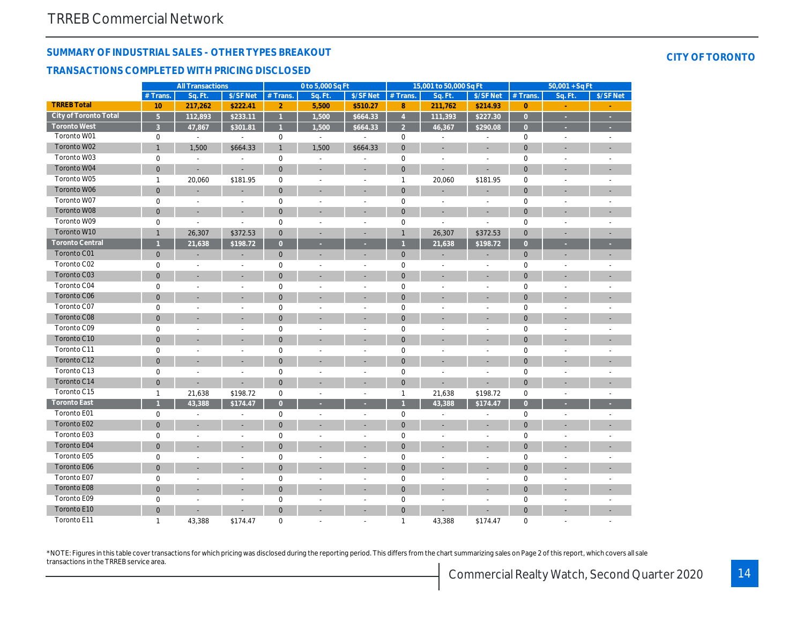# SUMMARY OF INDUSTRIAL SALES - OTHER TYPES BREAKOUT TRANSACTIONS COMPLETED WITH PRICING DISCLOSED

|                              |                | <b>All Transactions</b> |                      |                | 0 to 5,000 Sq Ft         |                          |                         | 15,001 to 50,000 Sq Ft   |                          |                | $50,001 + SqF$       |                |
|------------------------------|----------------|-------------------------|----------------------|----------------|--------------------------|--------------------------|-------------------------|--------------------------|--------------------------|----------------|----------------------|----------------|
|                              | # Trans.       | Sq. Ft.                 | \$/SF Net            | # Trans.       | Sq. Ft.                  | \$/SF Net                | $#$ Trans.              | Sq. Ft.                  | \$/SF Net                | # Trans.       | Sq. Ft.              | $$/SF$ Ne      |
| <b>TRREB Total</b>           | 10             | 217,262                 | \$222.41             | $\overline{2}$ | 5,500                    | \$510.27                 | 8                       | 211,762                  | \$214.93                 | $\overline{0}$ |                      |                |
| <b>City of Toronto Total</b> | $\overline{5}$ | 112,893                 | \$233.11             | $\overline{1}$ | 1,500                    | \$664.33                 | $\overline{4}$          | 111,393                  | \$227.30                 | $\overline{0}$ | ä,                   | à.             |
| <b>Toronto West</b>          | $\mathbf{3}$   | 47,867                  | \$301.81             | $\overline{1}$ | 1,500                    | \$664.33                 | $\overline{2}$          | 46,367                   | \$290.08                 | $\overline{0}$ |                      |                |
| Toronto W01                  | $\mathbf 0$    | $\blacksquare$          | $\blacksquare$       | $\mathbf 0$    | $\overline{\phantom{a}}$ |                          | 0                       | $\overline{\phantom{a}}$ | $\overline{a}$           | 0              | $\blacksquare$       | $\blacksquare$ |
| Toronto W02                  | $\mathbf{1}$   | 1,500                   | \$664.33             | $\mathbf{1}$   | 1,500                    | \$664.33                 | $\mathbf{0}$            | ٠                        | $\blacksquare$           | $\mathbf 0$    | ÷,                   | ÷.             |
| Toronto W03                  | $\mathbf 0$    | $\blacksquare$          | $\blacksquare$       | 0              | $\blacksquare$           | $\blacksquare$           | $\mathbf 0$             | $\blacksquare$           | $\overline{\phantom{a}}$ | 0              | L,                   |                |
| Toronto W04                  | $\mathbf 0$    | ÷                       |                      | $\mathbf{0}$   |                          |                          | $\mathbf 0$             |                          |                          | $\overline{0}$ |                      |                |
| Toronto W05                  | $\mathbf{1}$   | 20,060                  | \$181.95             | $\mathbf 0$    | $\blacksquare$           | $\blacksquare$           | $\mathbf{1}$            | 20,060                   | \$181.95                 | 0              | $\blacksquare$       |                |
| Toronto W06                  | $\mathbf{0}$   | ٠                       | ٠                    | $\mathbf 0$    | $\overline{\phantom{a}}$ | $\overline{\phantom{a}}$ | $\mathbf{0}$            | ÷,                       |                          | $\overline{0}$ | ÷                    |                |
| Toronto W07                  | $\pmb{0}$      | L,                      | $\ddot{\phantom{0}}$ | 0              | $\blacksquare$           | $\blacksquare$           | $\mathsf 0$             | $\overline{a}$           | $\ddot{\phantom{1}}$     | 0              | ä,                   |                |
| Toronto W08                  | $\overline{0}$ | ÷                       | $\blacksquare$       | $\mathbf 0$    |                          | $\overline{\phantom{a}}$ | $\mathbf{0}$            | $\overline{\phantom{a}}$ | $\overline{\phantom{a}}$ | $\overline{0}$ |                      |                |
| Toronto W09                  | $\mathbf 0$    | ÷,                      | $\overline{a}$       | $\pmb{0}$      |                          |                          | $\pmb{0}$               | $\overline{a}$           | $\overline{a}$           | 0              |                      |                |
| Toronto W10                  | $\mathbf{1}$   | 26,307                  | \$372.53             | $\mathbf{0}$   |                          | ٠                        | $\mathbf{1}$            | 26,307                   | \$372.53                 | $\overline{0}$ |                      |                |
| <b>Toronto Central</b>       | $\overline{1}$ | 21,638                  | \$198.72             | $\overline{0}$ |                          |                          | $\overline{1}$          | 21,638                   | \$198.72                 | $\overline{0}$ |                      |                |
| <b>Toronto C01</b>           | $\mathbf 0$    |                         |                      | $\mathbf{0}$   |                          |                          | $\mathbf{0}$            |                          |                          | $\mathbf 0$    |                      |                |
| Toronto C02                  | $\mathbf 0$    | L,                      | $\blacksquare$       | $\mathbf 0$    | L,                       | $\blacksquare$           | $\pmb{0}$               | $\blacksquare$           | $\blacksquare$           | 0              | L,                   |                |
| Toronto C03                  | $\mathbf 0$    |                         | ÷                    | $\mathbf 0$    |                          |                          | $\mathbf 0$             |                          |                          | $\mathbf 0$    |                      |                |
| Toronto C04                  | $\mathbf 0$    | ä,                      | $\blacksquare$       | 0              | $\blacksquare$           | $\blacksquare$           | $\mathbf 0$             | $\sim$                   | $\sim$                   | 0              | $\overline{a}$       |                |
| <b>Toronto C06</b>           | $\mathbf 0$    |                         | ÷,                   | $\mathbf 0$    | $\overline{\phantom{a}}$ | $\blacksquare$           | $\mathbf 0$             | ä,                       | ä,                       | $\overline{0}$ | ä,                   |                |
| Toronto C07                  | $\mathbf 0$    | ä,                      | L,                   | $\mathbf 0$    | $\blacksquare$           |                          | $\mathbf 0$             |                          | $\overline{a}$           | 0              |                      |                |
| <b>Toronto C08</b>           | $\mathbf{0}$   | ÷                       | L.                   | $\mathbf{0}$   |                          | ٠                        | $\mathbf{0}$            |                          | ÷.                       | $\Omega$       |                      |                |
| Toronto C09                  | $\mathbf 0$    | ä,                      | ÷.                   | $\mathbf 0$    | $\ddot{\phantom{1}}$     | $\ddot{\phantom{1}}$     | $\mathbf 0$             | $\overline{a}$           | $\overline{a}$           | 0              |                      |                |
| Toronto C10                  | $\mathbf 0$    |                         | ×.                   | $\mathbf{0}$   | ÷                        | $\overline{\phantom{a}}$ | $\mathbf{0}$            | ۰                        | ٠                        | $\overline{0}$ |                      |                |
| Toronto C11                  | $\mathbf 0$    | $\blacksquare$          | $\blacksquare$       | $\mathbf 0$    | $\overline{a}$           | $\blacksquare$           | 0                       | $\blacksquare$           | $\blacksquare$           | $\Omega$       | $\blacksquare$       |                |
| Toronto C12                  | $\mathbf 0$    |                         | ÷,                   | $\mathbf{0}$   |                          |                          | $\mathbf 0$             |                          |                          | $\mathbf 0$    |                      |                |
| Toronto C13                  | $\mathbf 0$    | L,                      | ÷,                   | $\mathbf 0$    | $\blacksquare$           | $\blacksquare$           | $\mathbf 0$             | $\overline{\phantom{a}}$ | $\blacksquare$           | 0              | $\blacksquare$       |                |
| Toronto C14                  | $\mathbf 0$    |                         | L                    | $\mathbf{0}$   |                          | ٠                        | $\mathbf 0$             |                          |                          | $\mathbf 0$    |                      |                |
| Toronto C15                  | $\mathbf{1}$   | 21,638                  | \$198.72             | $\mathbf 0$    | $\blacksquare$           | $\omega$                 | $\mathbf{1}$            | 21,638                   | \$198.72                 | 0              | $\blacksquare$       | $\mathbf{r}$   |
| <b>Toronto East</b>          | $\overline{1}$ | 43,388                  | \$174.47             | $\overline{0}$ |                          |                          | $\overline{\mathbf{1}}$ | 43,388                   | \$174.47                 | $\overline{0}$ |                      |                |
| Toronto E01                  | $\mathbf 0$    | ÷.                      | $\blacksquare$       | $\mathbf 0$    | $\blacksquare$           | $\blacksquare$           | $\pmb{0}$               | $\overline{a}$           | $\overline{a}$           | 0              | $\overline{a}$       |                |
| <b>Toronto E02</b>           | $\mathbf{0}$   | $\blacksquare$          | ÷,                   | $\mathbf{0}$   |                          | ٠                        | $\mathbf{0}$            | ٠                        | $\blacksquare$           | $\overline{0}$ |                      |                |
| Toronto E03                  | $\mathbf 0$    | ä,                      | $\blacksquare$       | $\mathbf 0$    | $\blacksquare$           | $\overline{\phantom{a}}$ | $\mathbf 0$             | $\sim$                   | $\blacksquare$           | 0              | $\ddot{\phantom{0}}$ |                |
| Toronto E04                  | $\mathbf 0$    |                         | ä,                   | $\mathbf{0}$   |                          |                          | $\mathbf 0$             |                          |                          | $\mathbf 0$    |                      |                |
| Toronto E05                  | $\mathbf 0$    | $\blacksquare$          | $\blacksquare$       | $\mathbf 0$    | $\overline{a}$           | $\blacksquare$           | $\mathbf 0$             | $\blacksquare$           | $\blacksquare$           | 0              | $\blacksquare$       |                |
| <b>Toronto E06</b>           | $\mathbf 0$    |                         | ÷,                   | $\mathbf{0}$   |                          |                          | $\mathbf 0$             |                          |                          | $\mathbf 0$    |                      |                |
| Toronto E07                  | 0              | ä,                      | $\blacksquare$       | 0              | ÷.                       | $\blacksquare$           | 0                       | $\overline{\phantom{a}}$ | $\sim$                   | 0              | $\overline{a}$       |                |
| <b>Toronto E08</b>           | $\mathbf 0$    | ÷                       | ÷                    | $\mathbf{0}$   |                          | $\sim$                   | $\mathbf 0$             | ٠                        | ٠                        | $\overline{0}$ | ä,                   |                |
| Toronto E09                  | $\mathbf 0$    | ä,                      | L,                   | $\mathbf 0$    | $\blacksquare$           | $\blacksquare$           | $\pmb{0}$               | $\overline{a}$           | $\overline{a}$           | 0              | ÷.                   |                |
| Toronto E10                  | $\Omega$       |                         |                      | $\Omega$       |                          |                          | $\mathbf{0}$            |                          |                          | $\Omega$       |                      |                |
| Toronto E11                  | $\mathbf{1}$   | 43,388                  | \$174.47             | $\Omega$       |                          |                          | $\mathbf{1}$            | 43,388                   | \$174.47                 | 0              |                      |                |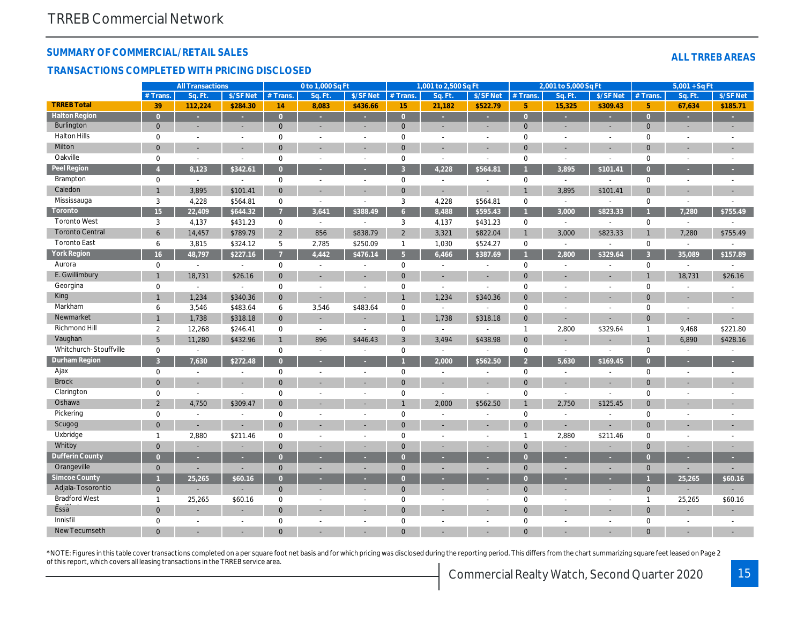## SUMMARY OF COMMERCIAL/RETAIL SALES

#### TRANSACTIONS COMPLETED WITH PRICING DISCLOSED

|                        |                  | <b>All Transactions</b>  |                          |                | 0 to 1,000 Sq Ft         |                          |                | 1,001 to 2,500 Sq Ft     |                          |                | 2,001 to 5,000 Sq Ft     |                          |
|------------------------|------------------|--------------------------|--------------------------|----------------|--------------------------|--------------------------|----------------|--------------------------|--------------------------|----------------|--------------------------|--------------------------|
|                        | # Trans          | Sq. Ft                   | \$/SF Net                | # Trans.       | Sq. Ft.                  | \$/SF Net                | # Trans.       | Sq. Ft.                  | \$/SF Net                | # Trans.       | Sq. Ft.                  | $$/SF$ Ne                |
| <b>TRREB Total</b>     | 39               | 112,224                  | \$284.30                 | 14             | 8,083                    | \$436.66                 | 15             | 21,182                   | \$522.79                 | 5 <sup>5</sup> | 15,325                   | \$309.4                  |
| <b>Halton Region</b>   | $\overline{0}$   | ×,                       | ×.                       | $\overline{0}$ | ×.                       |                          | $\overline{0}$ |                          | ÷.                       | $\overline{0}$ | u,                       | à,                       |
| Burlington             | $\mathbf 0$      | $\overline{\phantom{a}}$ | $\overline{\phantom{a}}$ | $\mathbf{0}$   | $\overline{\phantom{a}}$ |                          | $\mathbf 0$    | $\overline{\phantom{a}}$ | ٠                        | $\mathbf{0}$   | ٠                        | $\blacksquare$           |
| <b>Halton Hills</b>    | $\mathbf 0$      | $\sim$                   | $\blacksquare$           | 0              |                          | $\blacksquare$           | $\mathbf 0$    | $\sim$                   | $\sim$                   | $\mathbf 0$    | $\sim$                   | $\sim$                   |
| Milton                 | $\mathbf 0$      | $\blacksquare$           | $\blacksquare$           | $\mathbf{0}$   |                          | $\blacksquare$           | $\mathbf 0$    | $\blacksquare$           | ٠                        | $\mathbf 0$    | ٠                        | $\overline{\phantom{a}}$ |
| Oakville               | $\mathbf 0$      | $\overline{a}$           | $\overline{a}$           | $\mathbf 0$    |                          | $\sim$                   | $\mathbf 0$    | $\overline{a}$           | ÷.                       | $\mathbf 0$    | ÷.                       | $\sim$                   |
| Peel Region            | $\overline{A}$   | 8,123                    | \$342.61                 | $\overline{O}$ |                          | ×.                       | $\overline{3}$ | 4,228                    | \$564.81                 |                | 3,895                    | \$101.4                  |
| Brampton               | $\mathbf 0$      | $\blacksquare$           | $\mathbf{a}^{\prime}$    | $\mathsf 0$    | $\sim$                   | $\sim$                   | $\mathbf 0$    | $\blacksquare$           | $\overline{a}$           | $\mathsf 0$    | $\sim$                   | $\blacksquare$           |
| Caledon                | $\mathbf{1}$     | 3,895                    | \$101.41                 | $\mathbf{0}$   | $\sim$                   | $\overline{\phantom{a}}$ | $\mathbf{0}$   | $\blacksquare$           | $\sim$                   | $\overline{1}$ | 3,895                    | \$101.4'                 |
| Mississauga            | 3                | 4,228                    | \$564.81                 | $\mathbf 0$    |                          | $\overline{\phantom{a}}$ | 3              | 4,228                    | \$564.81                 | $\mathbf 0$    | $\sim$                   | $\blacksquare$           |
| Toronto                | 15 <sub>15</sub> | 22,409                   | \$644.32                 | $\overline{7}$ | 3,641                    | \$388.49                 | 6 <sup>1</sup> | 8,488                    | \$595.43                 | $\overline{1}$ | 3,000                    | \$823.3                  |
| <b>Toronto West</b>    | 3                | 4,137                    | \$431.23                 | 0              | $\sim$                   |                          | 3              | 4,137                    | \$431.23                 | $\mathbf 0$    | $\sim$                   |                          |
| <b>Toronto Central</b> | 6                | 14,457                   | \$789.79                 | $\overline{2}$ | 856                      | \$838.79                 | $\overline{2}$ | 3,321                    | \$822.04                 | $\mathbf{1}$   | 3,000                    | \$823.33                 |
| <b>Toronto East</b>    | 6                | 3,815                    | \$324.12                 | 5              | 2,785                    | \$250.09                 | $\mathbf{1}$   | 1,030                    | \$524.27                 | $\mathbf 0$    | $\mathbf{r}$             | $\omega$                 |
| <b>York Region</b>     | 16 <sup>°</sup>  | 48,797                   | \$227.16                 | $\overline{7}$ | 4,442                    | \$476.14                 | 5 <sup>1</sup> | 6,466                    | \$387.69                 | $\overline{1}$ | 2,800                    | \$329.6                  |
| Aurora                 | $\mathbf 0$      | $\blacksquare$           | $\mathbf{a}^{\prime}$    | 0              | $\sim$                   | $\overline{\phantom{a}}$ | 0              | $\sim$                   | $\blacksquare$           | $\mathbf 0$    | $\blacksquare$           | $\sim$                   |
| E. Gwillimbury         | $\overline{1}$   | 18,731                   | \$26.16                  | $\mathbf{0}$   | $\sim$                   | $\overline{\phantom{a}}$ | $\mathbf 0$    | $\sim$                   | $\overline{\phantom{a}}$ | $\mathbf{0}$   | ٠                        | $\sim$                   |
| Georgina               | 0                | $\blacksquare$           | $\blacksquare$           | 0              | $\overline{\phantom{a}}$ | $\overline{\phantom{a}}$ | $\mathbf 0$    | $\overline{\phantom{a}}$ | $\sim$                   | $\mathbf 0$    | $\overline{\phantom{a}}$ | $\sim$                   |
| King                   | $\overline{1}$   | 1,234                    | \$340.36                 | $\mathbf 0$    |                          |                          | $\mathbf{1}$   | 1,234                    | \$340.36                 | $\mathbf{0}$   | ÷,                       | $\overline{\phantom{a}}$ |
| Markham                | 6                | 3,546                    | \$483.64                 | 6              | 3,546                    | \$483.64                 | $\mathbf 0$    | $\blacksquare$           |                          | $\mathbf 0$    | $\blacksquare$           | $\blacksquare$           |
| Newmarket              | 1                | 1,738                    | \$318.18                 | $\Omega$       | $\sim$                   |                          | $\mathbf{1}$   | 1,738                    | \$318.18                 | $\mathbf{0}$   | ÷.                       | $\sim$                   |
| <b>Richmond Hill</b>   | 2                | 12,268                   | \$246.41                 | $\mathbf 0$    | $\sim$                   | $\overline{\phantom{a}}$ | $\pmb{0}$      | $\sim$                   | $\sim$                   | $\mathbf{1}$   | 2,800                    | \$329.64                 |
| Vaughan                | 5                | 11,280                   | \$432.96                 | $\mathbf{1}$   | 896                      | \$446.43                 | 3              | 3,494                    | \$438.98                 | $\mathbf{0}$   | ä,                       | ٠                        |
| Whitchurch-Stouffville | $\mathbf 0$      | $\blacksquare$           | $\blacksquare$           | $\mathbf 0$    | $\sim$                   | $\overline{\phantom{a}}$ | $\pmb{0}$      | $\sim$                   | $\blacksquare$           | $\mathbf 0$    | $\blacksquare$           | $\blacksquare$           |
| Durham Region          | $\overline{3}$   | 7,630                    | \$272.48                 | $\overline{0}$ |                          |                          | $\overline{1}$ | 2,000                    | \$562.50                 | $\overline{2}$ | 5,630                    | \$169.4                  |
| Ajax                   | $\mathbf 0$      | $\blacksquare$           | $\blacksquare$           | 0              | $\overline{\phantom{a}}$ | $\overline{\phantom{a}}$ | $\pmb{0}$      | $\blacksquare$           | $\overline{\phantom{a}}$ | $\mathbf 0$    | $\blacksquare$           | $\blacksquare$           |
| <b>Brock</b>           | $\overline{0}$   |                          | $\overline{\phantom{a}}$ | $\mathbf{0}$   |                          |                          | $\mathbf{0}$   |                          |                          | $\mathbf{0}$   |                          | $\blacksquare$           |
| Clarington             | $\mathbf 0$      | $\blacksquare$           |                          | $\Omega$       |                          | $\sim$                   | $\mathbf 0$    | $\blacksquare$           | $\blacksquare$           | $\mathbf 0$    | $\blacksquare$           | $\blacksquare$           |
| Oshawa                 | $\overline{2}$   | 4,750                    | \$309.47                 | $\mathbf{0}$   |                          |                          | $\mathbf{1}$   | 2,000                    | \$562.50                 | $\mathbf{1}$   | 2,750                    | \$125.45                 |
| Pickering              | $\mathbf 0$      | $\blacksquare$           |                          | $\mathbf 0$    | $\overline{\phantom{a}}$ | $\sim$                   | $\pmb{0}$      | $\sim$                   | $\sim$                   | $\mathbf 0$    | $\blacksquare$           |                          |
| Scugog                 | $\mathbf 0$      | $\blacksquare$           |                          | $\mathbf{0}$   |                          |                          | $\mathbf 0$    |                          |                          | $\mathbf 0$    |                          |                          |
| Uxbridge               | $\mathbf{1}$     | 2,880                    | \$211.46                 | $\mathbf 0$    | $\sim$                   | $\sim$                   | $\mathbf 0$    | $\blacksquare$           | $\sim$                   | $\overline{1}$ | 2,880                    | \$211.46                 |
| Whitby                 | $\mathbf 0$      |                          |                          | $\mathbf{0}$   |                          |                          | $\mathbf 0$    | ٠                        |                          | $\mathbf{0}$   |                          | ٠                        |
| <b>Dufferin County</b> | $\overline{0}$   | ٠                        | ٠                        | $\overline{0}$ | ×                        |                          | $\overline{0}$ | $\sim$                   | ٠                        | $\overline{0}$ | ٠                        | ×.                       |
| Orangeville            | $\overline{0}$   | ÷,                       | $\overline{a}$           | $\Omega$       | $\sim$                   |                          | $\mathbf{0}$   | $\blacksquare$           | ٠                        | $\mathbf{0}$   | ÷,                       | $\blacksquare$           |
| <b>Simcoe County</b>   |                  | 25,265                   | \$60.16                  | $\overline{0}$ | ×                        | ×                        | $\overline{0}$ | ×                        | ×                        | $\overline{0}$ | ×                        | ×.                       |
| Adjala-Tosorontio      | $\mathbf 0$      |                          |                          | $\overline{0}$ | $\sim$                   |                          | $\mathbf{0}$   | $\blacksquare$           | ٠                        | $\mathbf 0$    | ä,                       | ٠                        |
| <b>Bradford West</b>   | $\mathbf{1}$     | 25,265                   | \$60.16                  | 0              | $\sim$                   | $\overline{\phantom{a}}$ | $\pmb{0}$      | $\sim$                   | $\sim$                   | $\mathbf 0$    | $\sim$                   | $\sim$                   |
| Essa                   | $\mathbf 0$      |                          |                          | $\overline{0}$ |                          |                          | $\mathbf 0$    |                          |                          | $\Omega$       |                          |                          |
| Innisfil               | $\mathbf 0$      | $\blacksquare$           | $\blacksquare$           | $\mathbf 0$    | $\overline{\phantom{a}}$ | $\overline{\phantom{a}}$ | $\mathbf 0$    | $\sim$                   | $\sim$                   | $\mathbf 0$    | $\overline{a}$           | $\blacksquare$           |
| <b>New Tecumseth</b>   | $\Omega$         |                          |                          | $\Omega$       |                          |                          | $\Omega$       |                          |                          | $\Omega$       |                          |                          |
|                        |                  |                          |                          |                |                          |                          |                |                          |                          |                |                          |                          |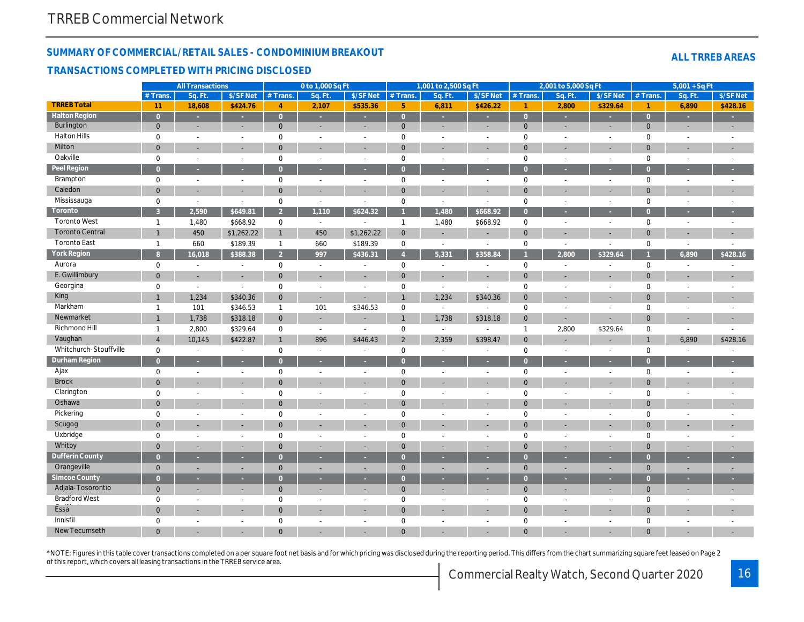## SUMMARY OF COMMERCIAL/RETAIL SALES - CONDOMINIUM BREAKOUT

#### TRANSACTIONS COMPLETED WITH PRICING DISCLOSED

|                        |                | <b>All Transactions</b> |                       |                | 0 to 1,000 Sq Ft         |                          |                 | 1,001 to 2,500 Sq Ft     |                          |                | 2,001 to 5,000 Sq Ft |                          |
|------------------------|----------------|-------------------------|-----------------------|----------------|--------------------------|--------------------------|-----------------|--------------------------|--------------------------|----------------|----------------------|--------------------------|
|                        | $#$ Trans.     | Sa. Ft                  | \$/SF Net             | $#$ Trans.     | Sq. Ft.                  | \$/SF Net                | $#$ Trans.      | Sq. Ft.                  | \$/SF Net                | $#$ Trans.     | Sq. Ft.              | $$/SF$ Ne                |
| <b>TRREB Total</b>     | 11             | 18,608                  | \$424.76              | $\overline{4}$ | 2,107                    | \$535.36                 | $5\phantom{.0}$ | 6,811                    | \$426.22                 | $\overline{1}$ | 2,800                | \$329.6                  |
| <b>Halton Region</b>   | $\overline{0}$ | $\omega$                | $\omega$              | $\overline{0}$ | ×                        | $\sim$                   | $\overline{0}$  | $\sim$                   | $\sim$                   | $\overline{0}$ | ×                    | $\sim$                   |
| Burlington             | $\mathbf{0}$   | $\blacksquare$          | $\blacksquare$        | $\mathbf{0}$   | $\sim$                   | $\sim$                   | $\mathbf{0}$    | $\blacksquare$           | $\blacksquare$           | $\mathbf{0}$   | $\blacksquare$       | $\sim$                   |
| <b>Halton Hills</b>    | $\mathbf 0$    | $\blacksquare$          | $\blacksquare$        | $\mathbf 0$    | $\blacksquare$           | $\blacksquare$           | $\mathbf 0$     | $\overline{\phantom{a}}$ | $\sim$                   | $\mathbf 0$    | $\blacksquare$       | $\sim$                   |
| Milton                 | $\overline{0}$ | $\blacksquare$          | $\blacksquare$        | $\mathbf{0}$   | $\sim$                   |                          | $\mathbf 0$     | $\sim$                   | $\blacksquare$           | $\mathbf 0$    | ä,                   | $\blacksquare$           |
| Oakville               | $\mathbf 0$    | $\blacksquare$          | $\blacksquare$        | $\mathbf 0$    | $\blacksquare$           | $\blacksquare$           | $\mathbf 0$     | $\overline{\phantom{a}}$ | $\sim$                   | $\mathsf 0$    | $\blacksquare$       | $\sim$                   |
| Peel Region            | $\overline{0}$ | ÷.                      | и                     | $\overline{0}$ | ×                        |                          | $\overline{0}$  | ×.                       |                          | $\overline{0}$ | ×                    | ×                        |
| Brampton               | $\mathbf 0$    | $\blacksquare$          | $\blacksquare$        | $\mathbf 0$    | $\blacksquare$           | $\blacksquare$           | $\mathbf 0$     | $\overline{\phantom{a}}$ | $\overline{\phantom{a}}$ | $\mathsf 0$    | $\blacksquare$       | $\sim$                   |
| Caledon                | $\overline{0}$ | $\blacksquare$          | $\blacksquare$        | $\mathbf 0$    |                          |                          | $\mathbf 0$     | $\blacksquare$           | ÷,                       | $\mathbf{0}$   | ä,                   | $\blacksquare$           |
| Mississauga            | $\mathbf 0$    | $\blacksquare$          | $\blacksquare$        | $\mathbf 0$    | $\overline{\phantom{a}}$ | $\blacksquare$           | $\mathbf 0$     | $\blacksquare$           | $\blacksquare$           | $\mathbf 0$    | $\blacksquare$       | $\blacksquare$           |
| Toronto                | 3              | 2,590                   | \$649.81              | 2 <sup>1</sup> | 1,110                    | \$624.32                 | $\mathbf{1}$    | 1,480                    | \$668.92                 | $\overline{0}$ | ×                    | $\sim$                   |
| <b>Toronto West</b>    | $\mathbf{1}$   | 1,480                   | \$668.92              | 0              | $\sim$                   |                          | $\mathbf{1}$    | 1,480                    | \$668.92                 | $\mathbf 0$    | $\blacksquare$       | $\sim$                   |
| <b>Toronto Central</b> | $\mathbf{1}$   | 450                     | \$1,262.22            | $\mathbf{1}$   | 450                      | \$1,262.22               | $\overline{0}$  | ٠                        | ٠                        | $\mathbf 0$    | ä,                   | $\sim$                   |
| <b>Toronto East</b>    | $\overline{1}$ | 660                     | \$189.39              | $\mathbf{1}$   | 660                      | \$189.39                 | $\mathbf 0$     | $\blacksquare$           | $\blacksquare$           | $\mathbf 0$    | $\blacksquare$       | $\sim$                   |
| <b>York Region</b>     | 8              | 16,018                  | \$388.38              | 2 <sup>1</sup> | 997                      | \$436.31                 | $\overline{4}$  | 5,331                    | \$358.84                 |                | 2,800                | \$329.64                 |
| Aurora                 | $\mathbf 0$    | $\blacksquare$          | $\tilde{\phantom{a}}$ | 0              | $\sim$                   | $\sim$                   | $\mathbf 0$     | $\sim$                   | $\sim$                   | $\mathbf 0$    | $\blacksquare$       | $\blacksquare$           |
| E. Gwillimbury         | $\overline{0}$ |                         | ÷,                    | $\mathbf{0}$   |                          |                          | $\mathbf 0$     | $\blacksquare$           |                          | $\mathbf{0}$   |                      | $\blacksquare$           |
| Georgina               | $\mathbf 0$    | $\blacksquare$          | $\blacksquare$        | $\mathbf 0$    | $\sim$                   | $\sim$                   | $\mathbf 0$     | $\blacksquare$           | $\sim$                   | $\mathbf 0$    | $\sim$               | $\sim$                   |
| King                   | $\overline{1}$ | 1,234                   | \$340.36              | $\mathbf{0}$   | $\sim$                   |                          | $\mathbf{1}$    | 1,234                    | \$340.36                 | $\mathbf{0}$   |                      |                          |
| Markham                | $\mathbf{1}$   | 101                     | \$346.53              | $\mathbf{1}$   | 101                      | \$346.53                 | $\mathbf 0$     | $\blacksquare$           | $\overline{\phantom{a}}$ | $\mathbf 0$    | $\blacksquare$       | $\blacksquare$           |
| Newmarket              | $\overline{1}$ | 1,738                   | \$318.18              | $\mathbf 0$    | $\sim$                   |                          | $\mathbf{1}$    | 1,738                    | \$318.18                 | $\mathbf 0$    | ä,                   | $\blacksquare$           |
| Richmond Hill          | $\mathbf{1}$   | 2,800                   | \$329.64              | $\mathbf 0$    | $\blacksquare$           | $\overline{\phantom{a}}$ | $\pmb{0}$       | $\sim$                   | $\blacksquare$           | $\mathbf{1}$   | 2,800                | \$329.64                 |
| Vaughan                | $\overline{4}$ | 10,145                  | \$422.87              | $\mathbf{1}$   | 896                      | \$446.43                 | $\overline{2}$  | 2,359                    | \$398.47                 | $\mathbf{0}$   |                      |                          |
| Whitchurch-Stouffville | $\mathbf 0$    | $\blacksquare$          | $\blacksquare$        | $\mathbf 0$    | $\sim$                   | $\blacksquare$           | $\mathbf 0$     | $\sim$                   | $\blacksquare$           | $\mathbf 0$    | $\blacksquare$       | $\blacksquare$           |
| Durham Region          | $\overline{0}$ | ×                       |                       | $\overline{O}$ |                          | ×                        | $\overline{0}$  | ٠                        |                          | $\overline{0}$ |                      | ÷.                       |
| Ajax                   | $\mathbf 0$    | $\blacksquare$          | $\blacksquare$        | $\mathbf 0$    | $\blacksquare$           | $\blacksquare$           | $\mathbf 0$     | $\blacksquare$           | $\blacksquare$           | $\mathsf 0$    | $\blacksquare$       | $\blacksquare$           |
| <b>Brock</b>           | $\overline{0}$ | $\sim$                  | $\blacksquare$        | $\mathbf{0}$   |                          |                          | $\mathbf{0}$    | $\sim$                   | ٠                        | $\mathbf{0}$   |                      | $\overline{\phantom{a}}$ |
| Clarington             | $\mathbf 0$    | $\blacksquare$          | $\blacksquare$        | $\Omega$       | $\sim$                   | $\sim$                   | $\mathbf 0$     | $\blacksquare$           | $\blacksquare$           | $\mathbf 0$    | $\blacksquare$       | $\sim$                   |
| Oshawa                 | $\mathbf 0$    |                         |                       | $\overline{0}$ |                          |                          | $\mathbf 0$     | ÷,                       |                          | $\mathbf{0}$   |                      | $\overline{\phantom{a}}$ |
| Pickering              | $\mathbf 0$    | $\blacksquare$          | $\blacksquare$        | $\mathbf 0$    | $\sim$                   | $\sim$                   | $\pmb{0}$       | $\blacksquare$           | $\blacksquare$           | $\mathbf 0$    | $\blacksquare$       | $\sim$                   |
| Scugog                 | $\overline{0}$ | $\overline{a}$          | $\blacksquare$        | $\mathbf{0}$   |                          |                          | $\mathbf{0}$    | $\blacksquare$           | ÷,                       | $\mathbf{0}$   | ٠                    | ٠                        |
| Uxbridge               | $\mathbf 0$    | $\blacksquare$          | $\blacksquare$        | $\mathbf 0$    | $\blacksquare$           | $\sim$                   | $\mathbf 0$     | $\blacksquare$           | $\blacksquare$           | $\mathbf 0$    | $\blacksquare$       | $\blacksquare$           |
| Whitby                 | $\mathbf 0$    | $\overline{a}$          | ÷,                    | $\mathbf{0}$   |                          |                          | $\mathbf{0}$    | ٠                        |                          | $\mathbf{0}$   | r.                   | $\blacksquare$           |
| <b>Dufferin County</b> | $\overline{0}$ | ×                       | ×                     | $\Omega$       | ×.                       | ×                        | $\overline{0}$  | ×                        | ×                        | $\overline{0}$ | ×                    | ×                        |
| Orangeville            | $\mathbf 0$    | $\blacksquare$          | $\blacksquare$        | $\mathbf{0}$   | $\sim$                   |                          | $\mathbf 0$     | $\blacksquare$           | $\blacksquare$           | $\mathbf 0$    | $\blacksquare$       | $\blacksquare$           |
| <b>Simcoe County</b>   | $\overline{0}$ | $\sim$                  | ÷.                    | $\overline{0}$ | ×                        | ×                        | $\overline{0}$  | ×                        | $\sim$                   | $\overline{0}$ | ×                    | $\sim$                   |
| Adjala-Tosorontio      | $\mathbf{0}$   | $\sim$                  | $\sim$                | $\mathbf{0}$   | $\overline{\phantom{a}}$ |                          | $\mathbf{0}$    | $\blacksquare$           | ٠                        | $\mathbf 0$    | $\blacksquare$       | $\sim$                   |
| <b>Bradford West</b>   | 0              | $\sim$                  | $\blacksquare$        | $\mathbf 0$    | $\sim$                   | $\sim$                   | $\pmb{0}$       | $\sim$                   | $\sim$                   | $\mathbf 0$    | $\blacksquare$       | $\sim$                   |
| Essa <sup>"</sup>      | $\mathbf 0$    |                         | $\sim$                | $\mathbf{0}$   |                          |                          | $\mathbf 0$     | ٠                        |                          | $\overline{0}$ |                      |                          |
| Innisfil               | 0              | $\blacksquare$          | $\blacksquare$        | $\mathbf 0$    | $\overline{\phantom{a}}$ | $\overline{\phantom{a}}$ | $\pmb{0}$       | $\sim$                   | $\sim$                   | $\mathbf 0$    | $\blacksquare$       | $\blacksquare$           |
| <b>New Tecumseth</b>   | $\Omega$       |                         |                       | $\Omega$       |                          |                          | $\Omega$        |                          |                          | $\Omega$       |                      |                          |
|                        |                |                         |                       |                |                          |                          |                 |                          |                          |                |                      |                          |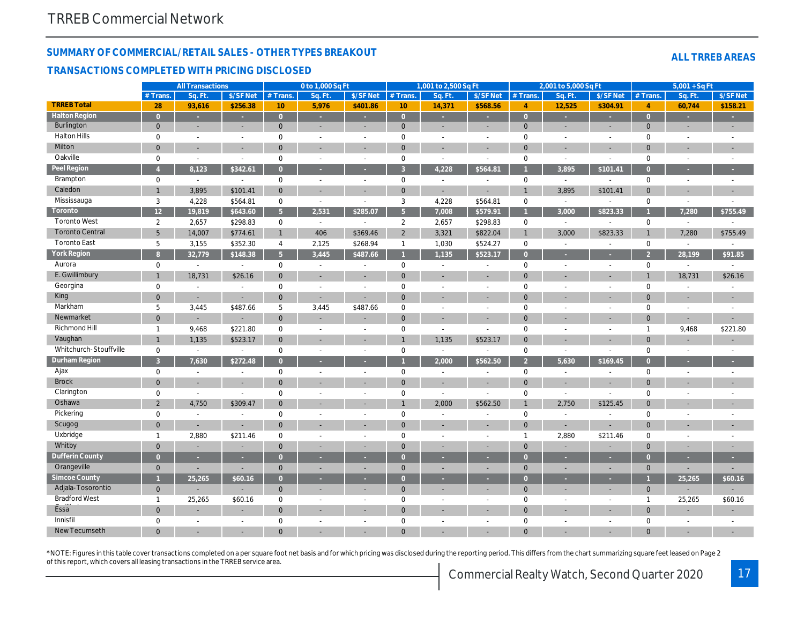## SUMMARY OF COMMERCIAL/RETAIL SALES - OTHER TYPES BREAKOUT

#### TRANSACTIONS COMPLETED WITH PRICING DISCLOSED

|                        |                | <b>All Transactions</b> |                |                 | 0 to 1,000 Sq Ft         |                          |                | 1,001 to 2,500 Sq Ft     |                          |                | 2,001 to 5,000 Sq Ft     |                          |
|------------------------|----------------|-------------------------|----------------|-----------------|--------------------------|--------------------------|----------------|--------------------------|--------------------------|----------------|--------------------------|--------------------------|
|                        | # Trans.       | Sa. Ft                  | \$/SF Net      | # Trans.        | Sa. Ft                   | \$/SF Net                | $#$ Trans.     | Sa. Ft.                  | \$/SF Net                | $#$ Trans.     | Sq. Ft.                  | $$/SF$ Ne                |
| <b>TRREB Total</b>     | 28             | 93,616                  | \$256.38       | 10 <sup>°</sup> | 5,976                    | \$401.86                 | 10             | 14,371                   | \$568.56                 | $\overline{4}$ | 12,525                   | \$304.9                  |
| <b>Halton Region</b>   | $\overline{0}$ | $\omega$                | $\omega$       | $\overline{0}$  | ×                        | $\sim$                   | $\overline{0}$ | $\sim$                   | $\sim$                   | $\overline{0}$ | ×.                       | $\sim$                   |
| Burlington             | $\mathbf{0}$   | $\blacksquare$          | $\blacksquare$ | $\mathbf{0}$    | $\sim$                   | $\sim$                   | $\mathbf{0}$   | $\blacksquare$           | $\blacksquare$           | $\mathbf{0}$   | $\blacksquare$           | $\blacksquare$           |
| <b>Halton Hills</b>    | $\mathbf 0$    | $\blacksquare$          | $\blacksquare$ | $\mathbf 0$     | $\blacksquare$           | $\blacksquare$           | $\mathbf 0$    | $\overline{\phantom{a}}$ | $\overline{\phantom{a}}$ | $\mathbf 0$    | $\blacksquare$           | $\sim$                   |
| Milton                 | $\overline{0}$ | $\blacksquare$          | $\blacksquare$ | $\mathbf{0}$    |                          |                          | $\mathbf 0$    | $\sim$                   | $\blacksquare$           | $\mathbf 0$    | $\blacksquare$           | $\blacksquare$           |
| Oakville               | $\mathbf 0$    | $\blacksquare$          | $\blacksquare$ | $\mathbf 0$     | $\blacksquare$           | $\blacksquare$           | $\pmb{0}$      | $\blacksquare$           | $\blacksquare$           | $\mathbf 0$    | $\blacksquare$           | $\sim$                   |
| Peel Region            | $\overline{4}$ | 8,123                   | \$342.61       | $\overline{0}$  | ×                        |                          | $\overline{3}$ | 4,228                    | \$564.81                 |                | 3,895                    | \$101.4                  |
| Brampton               | $\mathbf 0$    | $\blacksquare$          | $\blacksquare$ | $\mathbf 0$     | $\overline{\phantom{a}}$ | $\blacksquare$           | $\pmb{0}$      | $\overline{\phantom{a}}$ | $\overline{\phantom{a}}$ | $\mathbf 0$    | $\blacksquare$           | $\blacksquare$           |
| Caledon                | $\mathbf{1}$   | 3,895                   | \$101.41       | $\overline{0}$  |                          |                          | $\mathbf 0$    | $\blacksquare$           | $\blacksquare$           | $\overline{1}$ | 3,895                    | \$101.4'                 |
| Mississauga            | 3              | 4,228                   | \$564.81       | 0               | $\overline{\phantom{a}}$ | $\blacksquare$           | 3              | 4,228                    | \$564.81                 | $\mathbf 0$    | $\blacksquare$           | $\blacksquare$           |
| Toronto                | 12             | 19,819                  | \$643.60       | 5 <sup>1</sup>  | 2,531                    | \$285.07                 | 5 <sup>5</sup> | 7,008                    | \$579.91                 | 1              | 3,000                    | \$823.3                  |
| <b>Toronto West</b>    | $\overline{2}$ | 2,657                   | \$298.83       | 0               | $\sim$                   | $\blacksquare$           | $\overline{2}$ | 2,657                    | \$298.83                 | $\mathbf 0$    | $\sim$                   |                          |
| <b>Toronto Central</b> | 5              | 14,007                  | \$774.61       | $\mathbf{1}$    | 406                      | \$369.46                 | $\overline{2}$ | 3,321                    | \$822.04                 | $\overline{1}$ | 3,000                    | \$823.33                 |
| <b>Toronto East</b>    | 5              | 3,155                   | \$352.30       | $\overline{4}$  | 2,125                    | \$268.94                 | $\mathbf{1}$   | 1,030                    | \$524.27                 | $\mathbf 0$    | $\blacksquare$           |                          |
| <b>York Region</b>     | 8              | 32,779                  | \$148.38       | 5 <sup>1</sup>  | 3,445                    | \$487.66                 | $\mathbf{1}$   | 1,135                    | \$523.17                 | $\overline{0}$ |                          | $\sim$                   |
| Aurora                 | $\mathbf 0$    | $\blacksquare$          | $\blacksquare$ | $\mathbf 0$     | $\blacksquare$           | $\sim$                   | $\mathbf 0$    | $\sim$                   | $\sim$                   | $\mathbf 0$    | $\blacksquare$           | $\sim$                   |
| E. Gwillimbury         | $\mathbf{1}$   | 18,731                  | \$26.16        | $\mathbf{0}$    |                          |                          | $\mathbf 0$    |                          |                          | $\mathbf{0}$   |                          | $\sim$                   |
| Georgina               | $\mathbf 0$    | $\blacksquare$          | $\blacksquare$ | $\mathbf 0$     | $\sim$                   | $\sim$                   | $\pmb{0}$      | $\sim$                   | $\sim$                   | $\mathbf 0$    | ä,                       | $\sim$                   |
| King                   | $\overline{0}$ | $\blacksquare$          | $\blacksquare$ | $\mathbf{0}$    |                          |                          | $\mathbf 0$    |                          |                          | $\mathbf{0}$   |                          |                          |
| Markham                | 5              | 3,445                   | \$487.66       | 5               | 3,445                    | \$487.66                 | $\mathbf 0$    | $\blacksquare$           | $\sim$                   | $\mathbf 0$    | $\sim$                   | $\blacksquare$           |
| Newmarket              | $\overline{0}$ |                         |                | $\mathbf{0}$    |                          |                          | $\mathbf{0}$   |                          |                          | $\mathbf 0$    |                          |                          |
| Richmond Hill          | $\mathbf{1}$   | 9,468                   | \$221.80       | $\mathbf 0$     | $\sim$                   | $\overline{\phantom{a}}$ | $\pmb{0}$      | $\sim$                   | $\blacksquare$           | $\mathbf 0$    | $\sim$                   | $\sim$                   |
| Vaughan                | $\mathbf 1$    | 1,135                   | \$523.17       | $\mathbf{0}$    |                          |                          | $\mathbf{1}$   | 1,135                    | \$523.17                 | $\mathbf 0$    |                          |                          |
| Whitchurch-Stouffville | $\mathbf 0$    | $\blacksquare$          | $\blacksquare$ | $\mathbf 0$     | $\blacksquare$           | $\blacksquare$           | $\mathbf 0$    | $\sim$                   | $\sim$                   | $\mathbf 0$    | $\blacksquare$           | $\blacksquare$           |
| <b>Durham Region</b>   | $\overline{3}$ | 7,630                   | \$272.48       | $\overline{0}$  |                          |                          |                | 2,000                    | \$562.50                 | $\overline{2}$ | 5,630                    | \$169.4                  |
| Ajax                   | $\mathbf 0$    | $\blacksquare$          | $\blacksquare$ | $\mathbf 0$     | $\overline{\phantom{a}}$ | $\overline{\phantom{a}}$ | $\pmb{0}$      | $\overline{\phantom{a}}$ | $\sim$                   | $\mathsf 0$    | $\blacksquare$           | $\blacksquare$           |
| <b>Brock</b>           | $\overline{0}$ | $\sim$                  | $\sim$         | $\mathbf{0}$    |                          |                          | $\mathbf{0}$   | ٠                        |                          | $\mathbf{0}$   | ٠                        | $\overline{\phantom{a}}$ |
| Clarington             | $\mathbf 0$    | $\blacksquare$          | $\overline{a}$ | $\Omega$        | $\sim$                   | $\sim$                   | $\mathbf 0$    | $\blacksquare$           | $\overline{a}$           | $\mathbf 0$    | $\blacksquare$           | $\blacksquare$           |
| Oshawa                 | $\overline{2}$ | 4,750                   | \$309.47       | $\overline{0}$  |                          |                          | $\mathbf{1}$   | 2,000                    | \$562.50                 | $\mathbf{1}$   | 2,750                    | \$125.4                  |
| Pickering              | $\mathbf 0$    | $\sim$                  | $\overline{a}$ | $\mathbf 0$     | $\sim$                   | $\overline{\phantom{a}}$ | $\pmb{0}$      | $\sim$                   | $\blacksquare$           | $\mathbf 0$    | $\blacksquare$           |                          |
| Scugog                 | $\mathbf 0$    | $\blacksquare$          | $\blacksquare$ | $\mathbf{0}$    |                          |                          | $\mathbf{0}$   | ٠                        |                          | $\mathbf{0}$   | $\overline{\phantom{a}}$ | ٠                        |
| Uxbridge               | $\mathbf{1}$   | 2,880                   | \$211.46       | $\mathbf 0$     | $\blacksquare$           | $\sim$                   | $\mathbf 0$    | $\blacksquare$           | $\blacksquare$           | $\overline{1}$ | 2,880                    | \$211.46                 |
| Whitby                 | $\overline{0}$ | ÷,                      | ٠              | $\mathbf{0}$    |                          |                          | $\mathbf{0}$   | ٠                        |                          | $\Omega$       | ÷,                       | ٠                        |
| <b>Dufferin County</b> | $\overline{0}$ | ×.                      | ×              | $\overline{O}$  | ×.                       | ×                        | $\overline{0}$ | ×                        | ×                        | $\overline{0}$ | ×                        | $\sim$                   |
| Orangeville            | $\mathbf{0}$   | $\blacksquare$          | $\blacksquare$ | $\mathbf{0}$    | $\sim$                   |                          | $\mathbf{0}$   | $\blacksquare$           | $\blacksquare$           | $\mathbf{0}$   | $\blacksquare$           | $\overline{\phantom{a}}$ |
| Simcoe County          |                | 25,265                  | \$60.16        | $\overline{0}$  | ×                        | $\sim$                   | $\overline{0}$ | ×                        | $\sim$                   | $\overline{0}$ | ×                        | $\sim$                   |
| Adjala-Tosorontio      | $\mathbf{0}$   |                         | $\blacksquare$ | $\mathbf{0}$    | $\overline{\phantom{a}}$ |                          | $\mathbf{0}$   | $\blacksquare$           | ٠                        | $\mathbf 0$    | $\blacksquare$           | $\overline{\phantom{a}}$ |
| <b>Bradford West</b>   | $\mathbf{1}$   | 25,265                  | \$60.16        | 0               | $\sim$                   | $\overline{\phantom{a}}$ | $\mathbf 0$    | $\sim$                   | $\sim$                   | $\mathbf 0$    | $\sim$                   | $\sim$                   |
| Essa                   | $\mathbf 0$    |                         | $\sim$         | $\mathbf{0}$    |                          |                          | $\mathbf 0$    |                          |                          | $\overline{0}$ |                          |                          |
| Innisfil               | $\mathbf 0$    | $\blacksquare$          | $\blacksquare$ | $\mathbf 0$     |                          |                          | $\mathbf 0$    | $\sim$                   | $\sim$                   | $\mathbf 0$    |                          |                          |
| <b>New Tecumseth</b>   |                |                         |                | $\Omega$        | $\overline{\phantom{a}}$ | $\overline{\phantom{a}}$ |                |                          |                          |                | $\blacksquare$           | $\blacksquare$           |
|                        | $\Omega$       |                         |                |                 |                          |                          | $\Omega$       |                          |                          | $\Omega$       |                          |                          |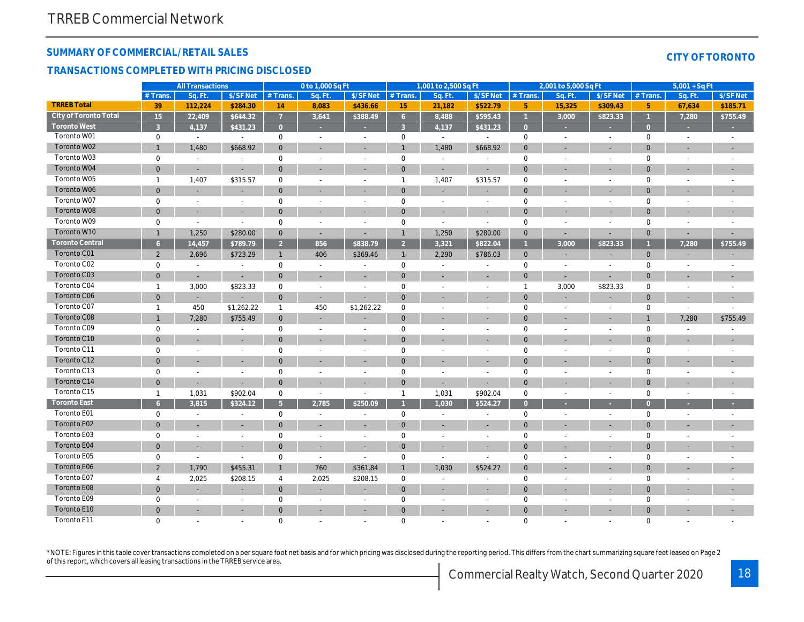## SUMMARY OF COMMERCIAL/RETAIL SALES

#### TRANSACTIONS COMPLETED WITH PRICING DISCLOSED

|                        |                 | <b>All Transactions</b>  |                          |                 | 0 to 1,000 Sq Ft         |                          |                     | 1,001 to 2,500 Sq Ft     |                          |                | 2,001 to 5,000 Sq Ft     |                          |
|------------------------|-----------------|--------------------------|--------------------------|-----------------|--------------------------|--------------------------|---------------------|--------------------------|--------------------------|----------------|--------------------------|--------------------------|
|                        | # Trans.        | Sq. Ft.                  | \$/SF Net                | $#$ Trans.      | Sq. Ft.                  | \$/SF Net                | $#$ Trans.          | Sa. Ft.                  | \$/SF Net                | # Trans.       | Sq. Ft.                  | $S/SF$ Ne                |
| <b>TRREB Total</b>     | 39              | 112,224                  | \$284.30                 | 14              | 8,083                    | \$436.66                 | 15                  | 21,182                   | \$522.79                 | 5 <sub>5</sub> | 15,325                   | \$309.4                  |
| City of Toronto Total  | $\overline{15}$ | 22,409                   | \$644.32                 | $\overline{7}$  | 3,641                    | \$388.49                 | 6 <sup>1</sup>      | 8,488                    | \$595.43                 | $\overline{1}$ | 3,000                    | \$823.3                  |
| <b>Toronto West</b>    | $\overline{3}$  | 4,137                    | \$431.23                 | $\overline{0}$  |                          |                          | $\overline{3}$      | 4,137                    | \$431.23                 | $\overline{0}$ |                          | $\sim$                   |
| Toronto W01            | 0               | $\blacksquare$           | $\sim$                   | $\mathbf 0$     | $\blacksquare$           | $\sim$                   | $\mathbf 0$         | $\sim$                   | $\sim$                   | 0              | $\blacksquare$           | $\sim$                   |
| Toronto W02            | $\mathbf{1}$    | 1,480                    | \$668.92                 | $\mathbf{0}$    | $\blacksquare$           | $\blacksquare$           | $\mathbf{1}$        | 1,480                    | \$668.92                 | $\mathbf{0}$   | $\blacksquare$           | $\overline{\phantom{a}}$ |
| Toronto W03            | 0               | $\sim$                   | $\blacksquare$           | $\mathbf 0$     | $\sim$                   | $\sim$                   | $\mathbf 0$         | $\sim$                   | $\sim$                   | $\mathbf 0$    | $\sim$                   | $\sim$                   |
| Toronto W04            | $\overline{0}$  | $\blacksquare$           | $\blacksquare$           | $\mathbf{0}$    | $\sim$                   | $\overline{\phantom{a}}$ | $\mathbf{0}$        | $\blacksquare$           | $\blacksquare$           | $\mathbf{0}$   | $\blacksquare$           | $\overline{\phantom{a}}$ |
| Toronto W05            | $\overline{1}$  | 1,407                    | \$315.57                 | $\mathbf 0$     |                          | $\sim$                   | $\mathbf{1}$        | 1,407                    | \$315.57                 | $\mathbf 0$    | $\overline{a}$           | $\blacksquare$           |
| Toronto W06            | $\overline{0}$  | $\overline{\phantom{a}}$ | $\blacksquare$           | $\mathbf{0}$    |                          | $\overline{\phantom{a}}$ | $\mathbf{0}$        | $\blacksquare$           | $\sim$                   | $\mathbf{0}$   | ٠                        | $\overline{\phantom{a}}$ |
| Toronto W07            | 0               | $\blacksquare$           | $\overline{\phantom{a}}$ | $\mathbf 0$     | $\overline{\phantom{a}}$ | $\overline{\phantom{a}}$ | $\mathbf 0$         | $\overline{\phantom{a}}$ | $\overline{\phantom{a}}$ | $\mathbf 0$    | $\overline{a}$           | $\blacksquare$           |
| Toronto W08            | $\overline{0}$  | $\blacksquare$           | ÷.                       | $\mathbf 0$     |                          |                          | $\mathbf{0}$        | $\blacksquare$           |                          | $\mathbf 0$    | $\blacksquare$           | $\blacksquare$           |
| Toronto W09            | 0               | $\blacksquare$           | $\blacksquare$           | $\mathbf 0$     | $\sim$                   | $\sim$                   | $\mathbf 0$         | $\blacksquare$           | $\blacksquare$           | $\mathbf 0$    | $\blacksquare$           | ä,                       |
| Toronto W10            | $\mathbf{1}$    | 1,250                    | \$280.00                 | $\mathbf{0}$    | $\sim$                   | $\overline{\phantom{a}}$ | $\mathbf{1}$        | 1,250                    | \$280.00                 | $\mathbf{0}$   | $\overline{\phantom{a}}$ | $\overline{\phantom{a}}$ |
| <b>Toronto Central</b> | 6 <sup>°</sup>  | 14,457                   | \$789.79                 | $\overline{2}$  | 856                      | \$838.79                 | 2 <sup>2</sup>      | 3,321                    | \$822.04                 | $\mathbf{1}$   | 3,000                    | \$823.3                  |
| Toronto C01            | $\overline{2}$  | 2,696                    | \$723.29                 | $\mathbf{1}$    | 406                      | \$369.46                 | $\mathbf{1}$        | 2,290                    | \$786.03                 | $\mathbf 0$    | $\overline{\phantom{a}}$ | ۰                        |
| Toronto C02            | 0               | $\blacksquare$           | $\blacksquare$           | $\mathbf 0$     | $\sim$                   |                          | $\mathsf{O}\xspace$ | $\blacksquare$           | $\blacksquare$           | $\mathbf 0$    | $\blacksquare$           | $\blacksquare$           |
| Toronto C03            | $\mathbf{0}$    | $\blacksquare$           | $\blacksquare$           | $\mathbf{0}$    |                          | $\overline{\phantom{a}}$ | $\mathbf{0}$        | $\blacksquare$           | $\blacksquare$           | $\mathbf 0$    | $\blacksquare$           | $\blacksquare$           |
| Toronto C04            | $\overline{1}$  | 3,000                    | \$823.33                 | $\mathbf 0$     | $\sim$                   | $\sim$                   | $\mathbf 0$         | $\blacksquare$           | $\blacksquare$           | $\mathbf{1}$   | 3,000                    | \$823.33                 |
| Toronto C06            | $\overline{0}$  | $\blacksquare$           | $\blacksquare$           | $\mathbf 0$     | $\sim$                   |                          | $\mathbf{0}$        | $\blacksquare$           | $\blacksquare$           | $\mathbf{0}$   | $\overline{\phantom{a}}$ | $\overline{\phantom{a}}$ |
| Toronto C07            | $\mathbf{1}$    | 450                      | \$1,262.22               | $\mathbf{1}$    | 450                      | \$1,262.22               | $\mathsf 0$         | $\blacksquare$           | $\sim$                   | $\mathbf 0$    | $\blacksquare$           | $\blacksquare$           |
| Toronto C08            | $\mathbf{1}$    | 7,280                    | \$755.49                 | $\mathbf{0}$    | $\sim$                   |                          | $\mathbf{0}$        | $\blacksquare$           |                          | $\mathbf{0}$   | ٠                        | $\blacksquare$           |
| Toronto C09            | 0               | $\sim$                   | $\blacksquare$           | $\mathbf 0$     | $\sim$                   | $\overline{\phantom{a}}$ | $\mathbf 0$         | $\sim$                   | $\blacksquare$           | $\mathbf 0$    | $\blacksquare$           | $\blacksquare$           |
| Toronto C10            | $\mathbf 0$     | $\overline{\phantom{a}}$ | $\overline{\phantom{a}}$ | $\mathbf 0$     |                          |                          | $\mathbf 0$         | ٠                        |                          | $\mathbf 0$    |                          | $\overline{\phantom{a}}$ |
| Toronto C11            | 0               | $\sim$                   | $\sim$                   | $\mathbf 0$     | $\sim$                   | $\sim$                   | $\mathsf 0$         | $\sim$                   | $\blacksquare$           | $\mathbf 0$    | $\sim$                   | $\sim$                   |
| Toronto C12            | $\mathbf{0}$    | $\overline{\phantom{a}}$ | $\overline{\phantom{a}}$ | $\mathbf{0}$    | $\sim$                   | $\sim$                   | $\mathbf 0$         | ÷,                       | ٠                        | $\mathbf{0}$   | $\overline{\phantom{a}}$ | ٠                        |
| Toronto C13            | $\mathbf{0}$    | $\overline{\phantom{a}}$ | $\blacksquare$           | $\mathbf 0$     | $\sim$                   | $\overline{\phantom{a}}$ | $\mathsf 0$         | $\blacksquare$           | $\blacksquare$           | $\mathbf 0$    | $\sim$                   | $\blacksquare$           |
| Toronto C14            | $\mathbf 0$     | $\blacksquare$           | $\blacksquare$           | $\mathbf 0$     | $\blacksquare$           | $\overline{\phantom{a}}$ | $\mathbf 0$         | $\overline{\phantom{a}}$ | $\overline{\phantom{a}}$ | $\mathbf{0}$   | $\overline{\phantom{a}}$ | $\blacksquare$           |
| Toronto C15            | $\overline{1}$  | 1,031                    | \$902.04                 | $\mathsf 0$     | $\blacksquare$           | $\sim$                   | $\mathbf{1}$        | 1,031                    | \$902.04                 | $\mathbf 0$    | $\blacksquare$           | $\blacksquare$           |
| <b>Toronto East</b>    | 6 <sup>1</sup>  | 3,815                    | \$324.12                 | $5\overline{)}$ | 2,785                    | \$250.09                 | $\mathbf{1}$        | 1,030                    | \$524.27                 | $\overline{0}$ | ×                        | ×                        |
| Toronto E01            | 0               | $\sim$                   | $\overline{\phantom{a}}$ | $\mathbf 0$     | $\overline{\phantom{a}}$ | $\overline{\phantom{a}}$ | $\mathsf{O}\xspace$ | $\overline{\phantom{a}}$ | $\sim$                   | $\mathbf 0$    | $\blacksquare$           | $\sim$                   |
| Toronto E02            | $\overline{0}$  | $\overline{\phantom{a}}$ | $\overline{\phantom{a}}$ | $\mathbf{0}$    | $\sim$                   | $\overline{\phantom{a}}$ | $\mathbf{0}$        | $\sim$                   | $\sim$                   | $\mathbf{0}$   | ٠                        | $\overline{\phantom{a}}$ |
| Toronto E03            | 0               | $\blacksquare$           | $\blacksquare$           | $\mathbf 0$     | $\blacksquare$           | $\blacksquare$           | $\pmb{0}$           | $\blacksquare$           | $\blacksquare$           | $\mathbf 0$    | $\overline{a}$           | $\blacksquare$           |
| Toronto E04            | $\mathbf 0$     | $\overline{\phantom{a}}$ |                          | $\mathbf 0$     |                          |                          | $\mathbf 0$         | ٠                        |                          | $\mathbf 0$    |                          |                          |
| Toronto E05            | 0               | $\blacksquare$           | $\sim$                   | $\mathbf 0$     | $\sim$                   | $\sim$                   | $\mathbf 0$         | $\blacksquare$           | $\blacksquare$           | $\mathbf 0$    | $\blacksquare$           | $\sim$                   |
| Toronto E06            | $\overline{2}$  | 1,790                    | \$455.31                 | $\mathbf{1}$    | 760                      | \$361.84                 | $\mathbf{1}$        | 1,030                    | \$524.27                 | $\mathbf{0}$   | ٠                        | $\overline{\phantom{a}}$ |
| Toronto E07            | 4               | 2,025                    | \$208.15                 | 4               | 2,025                    | \$208.15                 | $\mathsf{O}$        | $\sim$                   | $\sim$                   | $\mathbf 0$    | $\blacksquare$           | $\blacksquare$           |
| <b>Toronto E08</b>     | $\mathbf 0$     | $\blacksquare$           | $\blacksquare$           | $\mathbf{0}$    | $\blacksquare$           | $\blacksquare$           | $\mathbf{0}$        | ÷,                       | ÷,                       | $\mathbf{0}$   | $\overline{a}$           |                          |
| Toronto E09            | 0               | $\blacksquare$           | $\blacksquare$           | $\mathbf 0$     | $\sim$                   | $\sim$                   | $\mathbf 0$         | $\sim$                   | $\blacksquare$           | $\mathbf 0$    | L,                       |                          |
| Toronto E10            | $\mathbf{0}$    | $\overline{\phantom{a}}$ | $\overline{\phantom{a}}$ | $\mathbf{0}$    | $\overline{\phantom{a}}$ | $\overline{\phantom{a}}$ | $\mathbf 0$         | $\sim$                   | ٠                        | $\mathbf{0}$   | $\blacksquare$           | $\overline{\phantom{a}}$ |
| Toronto E11            | $\Omega$        | $\sim$                   | $\sim$                   | $\mathbf 0$     |                          | $\sim$                   | $\mathbf 0$         | ÷                        | ä,                       | $\mathbf 0$    | $\overline{a}$           | ÷                        |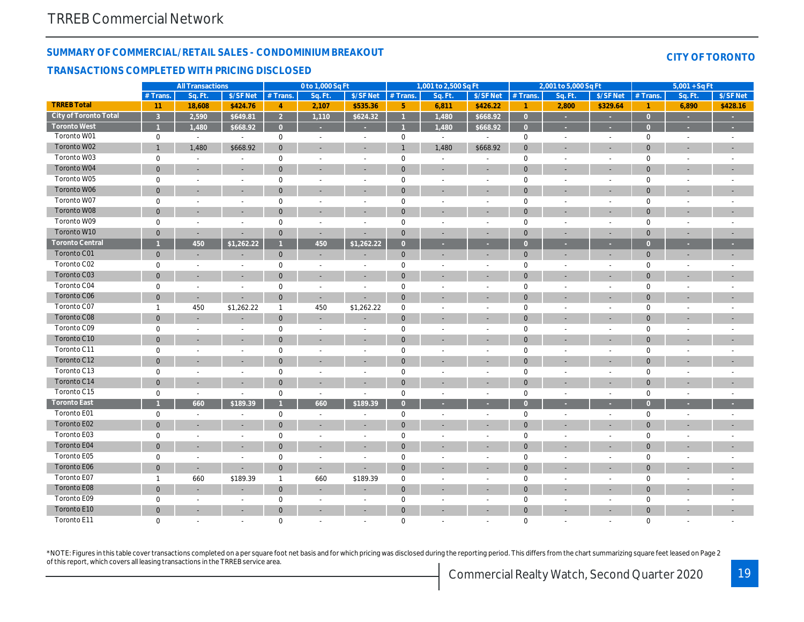## SUMMARY OF COMMERCIAL/RETAIL SALES - CONDOMINIUM BREAKOUT

#### TRANSACTIONS COMPLETED WITH PRICING DISCLOSED

|                        |                | <b>All Transactions</b>  |                          |                | 0 to 1,000 Sq Ft         |                          |                | 1,001 to 2,500 Sq Ft  |                |                      | 2,001 to 5,000 Sq Ft     |                          |
|------------------------|----------------|--------------------------|--------------------------|----------------|--------------------------|--------------------------|----------------|-----------------------|----------------|----------------------|--------------------------|--------------------------|
|                        | # Trans.       | Sq. Ft.                  | \$/SF Net                | # Trans.       | Sq. Ft.                  | \$/SF Net                | # Trans.       | Sq. Ft.               | \$/SF Net      | # Trans.             | Sq. Ft.                  | $$/SF$ Ne                |
| <b>TRREB Total</b>     | 11             | 18,608                   | \$424.76                 | 4              | 2,107                    | \$535.36                 | $\sqrt{5}$     | 6,811                 | \$426.22       | $\blacktriangleleft$ | 2,800                    | \$329.6                  |
| City of Toronto Total  | $\mathbf{3}$   | 2,590                    | \$649.81                 | $\overline{2}$ | 1,110                    | \$624.32                 | $\mathbf{1}$   | 1,480                 | \$668.92       | $\overline{0}$       | $\sim$                   | $\sim$                   |
| <b>Toronto West</b>    | $\overline{1}$ | 1,480                    | \$668.92                 | $\overline{0}$ | ×                        | ×                        | $\overline{1}$ | 1,480                 | \$668.92       | $\overline{0}$       | ×                        | $\sim$                   |
| Toronto W01            | 0              | $\sim$                   | $\blacksquare$           | $\mathbf 0$    | $\sim$                   | $\sim$                   | $\mathbf 0$    | $\sim$                | $\blacksquare$ | $\mathbf 0$          | $\omega$                 | $\sim$                   |
| Toronto W02            | $\mathbf{1}$   | 1,480                    | \$668.92                 | $\mathbf{0}$   | $\sim$                   |                          | $\mathbf{1}$   | 1,480                 | \$668.92       | $\mathbf{0}$         | $\sim$                   | $\overline{\phantom{a}}$ |
| Toronto W03            | 0              | $\sim$                   | $\overline{\phantom{a}}$ | $\mathbf 0$    | $\sim$                   | $\overline{\phantom{a}}$ | $\mathsf 0$    | $\blacksquare$        | $\blacksquare$ | $\mathbf 0$          | $\blacksquare$           | $\blacksquare$           |
| Toronto W04            | $\mathbf 0$    | $\blacksquare$           | $\blacksquare$           | $\mathbf 0$    | $\blacksquare$           |                          | $\mathbf{0}$   | $\blacksquare$        | ÷,             | $\mathbf 0$          | $\overline{a}$           | $\sim$                   |
| Toronto W05            | 0              | $\blacksquare$           | $\blacksquare$           | $\mathsf 0$    | $\sim$                   | $\sim$                   | $\mathsf 0$    | $\sim$                | $\sim$         | $\mathsf 0$          | $\blacksquare$           | $\omega$                 |
| Toronto W06            | $\mathbf 0$    | $\sim$                   | $\sim$                   | $\mathbf{0}$   | $\overline{\phantom{a}}$ | $\sim$                   | $\mathbf 0$    | $\sim$                | $\blacksquare$ | $\mathbf{0}$         | $\overline{\phantom{a}}$ | $\overline{\phantom{a}}$ |
| Toronto W07            | 0              | $\sim$                   | $\sim$                   | $\mathbf 0$    | $\sim$                   | $\overline{\phantom{a}}$ | $\mathbf 0$    | $\sim$                | $\sim$         | 0                    | $\overline{a}$           | $\sim$                   |
| Toronto W08            | $\mathbf{0}$   | $\overline{\phantom{a}}$ |                          | $\mathbf 0$    | $\overline{\phantom{a}}$ | $\overline{a}$           | $\mathbf 0$    | $\sim$                | ٠              | $\mathbf{0}$         | ٠                        | $\blacksquare$           |
| Toronto W09            | 0              | $\blacksquare$           | $\blacksquare$           | $\mathsf 0$    | $\blacksquare$           | $\overline{\phantom{a}}$ | $\mathsf 0$    | $\blacksquare$        | $\blacksquare$ | $\mathbf 0$          | $\overline{a}$           | $\blacksquare$           |
| Toronto W10            | $\mathbf 0$    | $\sim$                   | $\blacksquare$           | $\mathbf 0$    | $\sim$                   |                          | $\mathbf{0}$   | $\blacksquare$        | $\blacksquare$ | $\mathbf{0}$         | $\overline{\phantom{a}}$ | ٠                        |
| <b>Toronto Central</b> | $\overline{1}$ | 450                      | $\sqrt{$1,262.22}$       |                | 450                      | \$1,262.22               | $\overline{0}$ | ×                     | ٠              | $\overline{0}$       | ٠                        | ÷                        |
| Toronto C01            | $\mathbf{0}$   | $\overline{\phantom{a}}$ | $\blacksquare$           | $\mathbf{0}$   | $\sim$                   |                          | $\mathbf{0}$   | $\blacksquare$        | ٠              | $\mathbf{0}$         | $\blacksquare$           | ۰.                       |
| Toronto C02            | 0              | $\blacksquare$           | $\overline{\phantom{a}}$ | $\mathbf 0$    | $\sim$                   | $\overline{\phantom{a}}$ | $\mathbf 0$    | $\blacksquare$        | $\sim$         | $\mathbf 0$          | $\blacksquare$           | $\blacksquare$           |
| Toronto C03            | $\mathbf 0$    | $\blacksquare$           | $\blacksquare$           | $\mathbf 0$    | $\blacksquare$           | $\blacksquare$           | $\mathbf{0}$   | ÷,                    | $\blacksquare$ | $\mathbf 0$          | $\overline{a}$           | $\overline{\phantom{a}}$ |
| Toronto C04            | 0              | $\blacksquare$           | $\blacksquare$           | $\mathsf 0$    | $\blacksquare$           |                          | $\mathsf 0$    | $\tilde{\phantom{a}}$ | $\sim$         | $\mathbf 0$          | $\blacksquare$           | $\blacksquare$           |
| Toronto C06            | $\mathbf 0$    | $\blacksquare$           | $\overline{\phantom{a}}$ | $\mathbf{0}$   | $\sim$                   |                          | $\mathbf 0$    | $\sim$                | $\sim$         | $\mathbf{0}$         | ٠                        | $\overline{\phantom{a}}$ |
| Toronto C07            | $\mathbf{1}$   | 450                      | \$1,262.22               | $\mathbf{1}$   | 450                      | \$1,262.22               | $\mathbf 0$    | $\blacksquare$        | $\sim$         | 0                    | $\sim$                   | $\sim$                   |
| Toronto C08            | $\overline{0}$ | $\sim$                   |                          | $\mathbf 0$    | $\overline{\phantom{a}}$ | $\overline{\phantom{a}}$ | $\mathbf 0$    | $\blacksquare$        | ٠              | $\mathbf{0}$         | $\overline{\phantom{a}}$ | $\blacksquare$           |
| Toronto C09            | 0              | $\blacksquare$           | $\blacksquare$           | $\mathsf 0$    | $\blacksquare$           | $\overline{\phantom{a}}$ | $\pmb{0}$      | $\blacksquare$        | $\blacksquare$ | $\mathsf 0$          | $\blacksquare$           | $\blacksquare$           |
| Toronto C10            | $\mathbf 0$    | $\overline{\phantom{a}}$ |                          | $\mathbf 0$    |                          |                          | $\mathbf 0$    | ٠                     |                | $\mathbf{0}$         |                          | $\overline{\phantom{a}}$ |
| Toronto C11            | 0              | $\blacksquare$           | $\sim$                   | $\mathbf 0$    | $\sim$                   | $\sim$                   | $\mathbf 0$    | $\sim$                | $\sim$         | $\mathbf 0$          | $\sim$                   | $\sim$                   |
| Toronto C12            | $\mathbf{0}$   | $\blacksquare$           | $\overline{\phantom{a}}$ | $\mathbf{0}$   | $\overline{\phantom{a}}$ | $\blacksquare$           | $\mathbf 0$    | ÷,                    | ٠              | $\mathbf 0$          | ٠                        | $\overline{\phantom{a}}$ |
| Toronto C13            | 0              | $\sim$                   | $\sim$                   | $\mathsf 0$    | $\sim$                   | $\overline{\phantom{a}}$ | $\mathbf 0$    | $\sim$                | $\sim$         | $\mathbf 0$          | $\blacksquare$           | $\sim$                   |
| Toronto C14            | $\mathbf 0$    | $\blacksquare$           | $\blacksquare$           | $\mathbf 0$    | $\blacksquare$           | $\blacksquare$           | $\mathbf{0}$   | ÷,                    | ÷,             | $\mathbf{0}$         | $\overline{a}$           | $\blacksquare$           |
| Toronto C15            | 0              | $\blacksquare$           | $\blacksquare$           | $\mathbf 0$    | $\sim$                   | $\blacksquare$           | $\mathsf 0$    | $\tilde{\phantom{a}}$ | $\sim$         | $\mathbf 0$          | $\blacksquare$           | $\omega$                 |
| <b>Toronto East</b>    |                | 660                      | \$189.39                 |                | 660                      | \$189.39                 | $\overline{0}$ | ×                     | ×              | $\overline{0}$       | ×                        | $\sim$                   |
| Toronto E01            | 0              | $\blacksquare$           | $\blacksquare$           | $\mathsf 0$    | $\sim$                   | $\overline{\phantom{a}}$ | $\mathbf 0$    | $\sim$                | $\sim$         | $\mathbf 0$          | $\tilde{\phantom{a}}$    | $\sim$                   |
| Toronto E02            | $\overline{0}$ | $\blacksquare$           | $\overline{\phantom{a}}$ | $\mathbf 0$    | $\sim$                   | $\overline{\phantom{a}}$ | $\mathbf 0$    | $\sim$                | ٠              | $\mathbf{0}$         | $\overline{\phantom{a}}$ | $\overline{\phantom{a}}$ |
| Toronto E03            | 0              | $\blacksquare$           | $\blacksquare$           | $\mathsf 0$    | $\blacksquare$           | $\blacksquare$           | $\pmb{0}$      | $\blacksquare$        | $\sim$         | $\mathbf 0$          | $\blacksquare$           | $\blacksquare$           |
| Toronto E04            | $\mathbf{0}$   | $\overline{\phantom{a}}$ |                          | $\mathbf 0$    |                          |                          | $\mathbf 0$    |                       |                | $\mathbf{0}$         |                          | $\overline{\phantom{a}}$ |
| Toronto E05            | 0              | $\blacksquare$           | $\sim$                   | $\mathbf 0$    | $\sim$                   | $\sim$                   | $\mathbf 0$    | $\blacksquare$        | $\sim$         | $\mathbf 0$          | $\blacksquare$           | $\sim$                   |
| Toronto E06            | $\mathbf 0$    | $\blacksquare$           | $\blacksquare$           | $\mathbf 0$    | $\sim$                   | $\blacksquare$           | $\mathbf 0$    | ÷,                    | ٠              | $\mathbf 0$          | $\overline{\phantom{a}}$ | $\overline{\phantom{a}}$ |
| Toronto E07            | $\mathbf{1}$   | 660                      | \$189.39                 | $\mathbf{1}$   | 660                      | \$189.39                 | $\mathsf 0$    | $\sim$                | $\sim$         | $\mathbf 0$          | $\blacksquare$           | $\sim$                   |
| Toronto E08            | $\overline{0}$ | $\blacksquare$           | $\blacksquare$           | $\mathbf 0$    | $\blacksquare$           |                          | $\mathbf{0}$   | ÷,                    | ÷,             | $\mathbf{0}$         | $\overline{a}$           | $\blacksquare$           |
| Toronto E09            | 0              | $\sim$                   | $\blacksquare$           | $\mathbf 0$    | $\sim$                   |                          | $\mathbf 0$    | $\blacksquare$        | $\blacksquare$ | $\mathbf 0$          | $\blacksquare$           | $\blacksquare$           |
| Toronto E10            | $\mathbf{0}$   | $\overline{\phantom{a}}$ | $\overline{\phantom{a}}$ | $\mathbf{0}$   | $\blacksquare$           | $\blacksquare$           | $\mathbf 0$    | $\sim$                | ٠              | $\mathbf{0}$         | $\blacksquare$           | $\sim$                   |
| Toronto E11            | $\Omega$       | $\sim$                   | $\blacksquare$           | $\mathbf 0$    | $\sim$                   | $\sim$                   | $\mathbf 0$    | ÷                     | $\overline{a}$ | $\mathbf 0$          | $\overline{a}$           | $\overline{a}$           |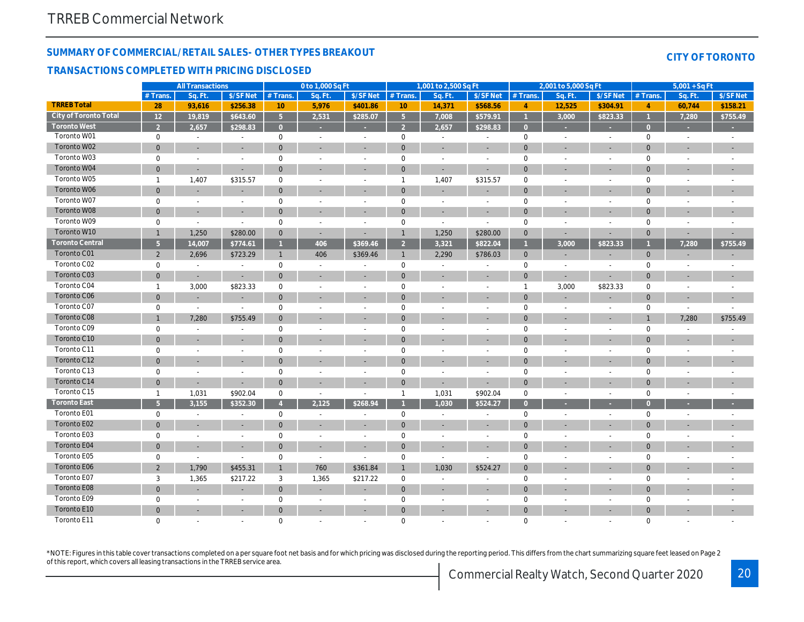## SUMMARY OF COMMERCIAL/RETAIL SALES- OTHER TYPES BREAKOUT

#### TRANSACTIONS COMPLETED WITH PRICING DISCLOSED

|                        |                 | <b>All Transactions</b>  |                          |                | 0 to 1,000 Sq Ft         |                          |                     | 1,001 to 2,500 Sq Ft         |                          |                | 2,001 to 5,000 Sq Ft     |                          |
|------------------------|-----------------|--------------------------|--------------------------|----------------|--------------------------|--------------------------|---------------------|------------------------------|--------------------------|----------------|--------------------------|--------------------------|
|                        | # Trans.        | Sq. Ft.                  | \$/SF Net                | # Trans.       | Sq. Ft.                  | \$/SF Net                | # Trans.            | Sq. Ft.                      | \$/SF Net                | # Trans.       | Sq. Ft.                  | $$/SF$ Ne                |
| <b>TRREB Total</b>     | 28              | 93,616                   | \$256.38                 | 10             | 5,976                    | \$401.86                 | 10                  | 14,371                       | \$568.56                 | $\overline{4}$ | 12,525                   | \$304.9                  |
| City of Toronto Total  | $\overline{12}$ | 19,819                   | \$643.60                 | 5 <sup>5</sup> | 2,531                    | \$285.07                 | $\sqrt{5}$          | 7,008                        | \$579.91                 | $\overline{1}$ | 3,000                    | \$823.3                  |
| <b>Toronto West</b>    | $\overline{2}$  | 2,657                    | \$298.83                 | $\overline{0}$ |                          | ٠                        | $\overline{2}$      | 2,657                        | \$298.83                 | $\overline{0}$ | ×                        | ×.                       |
| Toronto W01            | 0               | $\sim$                   | $\blacksquare$           | $\mathbf 0$    | $\sim$                   | $\sim$                   | $\mathbf 0$         | $\sim$                       | $\blacksquare$           | $\mathbf 0$    | $\omega$                 | $\sim$                   |
| Toronto W02            | $\mathbf{0}$    | $\blacksquare$           | $\blacksquare$           | $\mathbf{0}$   | $\sim$                   |                          | $\mathbf 0$         | $\blacksquare$               | ٠                        | $\mathbf 0$    | $\sim$                   | $\overline{\phantom{a}}$ |
| Toronto W03            | 0               | $\blacksquare$           | $\blacksquare$           | $\mathsf 0$    | $\sim$                   | $\overline{\phantom{a}}$ | $\mathsf 0$         | $\blacksquare$               | $\blacksquare$           | $\mathbf 0$    | $\blacksquare$           | $\blacksquare$           |
| Toronto W04            | $\mathbf 0$     | $\blacksquare$           | $\blacksquare$           | $\mathbf 0$    | $\blacksquare$           |                          | $\mathbf{0}$        | ÷,                           | $\blacksquare$           | $\mathbf{0}$   | $\overline{a}$           | $\overline{\phantom{a}}$ |
| Toronto W05            | $\overline{1}$  | 1,407                    | \$315.57                 | $\mathsf 0$    | $\sim$                   | $\sim$                   | $\mathbf{1}$        | 1,407                        | \$315.57                 | $\mathbf 0$    | $\blacksquare$           | $\blacksquare$           |
| Toronto W06            | $\mathbf{0}$    | $\sim$                   | $\sim$                   | $\mathbf{0}$   | $\overline{\phantom{a}}$ | $\overline{\phantom{a}}$ | $\mathbf{0}$        | $\sim$                       | $\blacksquare$           | $\mathbf{0}$   | $\overline{\phantom{a}}$ | $\blacksquare$           |
| Toronto W07            | 0               | $\overline{\phantom{a}}$ | $\sim$                   | $\mathbf 0$    | $\sim$                   | $\overline{\phantom{a}}$ | $\mathbf 0$         | $\sim$                       | $\sim$                   | 0              | $\overline{a}$           | $\blacksquare$           |
| Toronto W08            | $\mathbf{0}$    | $\overline{\phantom{a}}$ | $\overline{\phantom{a}}$ | $\mathbf 0$    | $\overline{\phantom{a}}$ |                          | $\mathbf 0$         | $\blacksquare$               | $\sim$                   | $\mathbf{0}$   | ٠                        | $\blacksquare$           |
| Toronto W09            | 0               | $\blacksquare$           | $\blacksquare$           | $\mathbf 0$    | $\blacksquare$           | $\overline{\phantom{a}}$ | $\mathbf 0$         | $\blacksquare$               | $\sim$                   | $\mathbf 0$    | $\overline{a}$           | $\frac{1}{2}$            |
| Toronto W10            | $\mathbf{1}$    | 1,250                    | \$280.00                 | $\mathbf 0$    | $\sim$                   |                          | $\mathbf{1}$        | 1,250                        | \$280.00                 | $\mathbf{0}$   | $\blacksquare$           | ٠                        |
| <b>Toronto Central</b> | 5 <sup>5</sup>  | 14,007                   | \$774.61                 |                | 406                      | \$369.46                 | 2 <sup>2</sup>      | 3,321                        | \$822.04                 | $\mathbf{1}$   | 3,000                    | \$823.3                  |
| Toronto C01            | $\overline{2}$  | 2,696                    | \$723.29                 | $\mathbf{1}$   | 406                      | \$369.46                 | $\mathbf{1}$        | 2,290                        | \$786.03                 | $\mathbf{0}$   | $\blacksquare$           |                          |
| Toronto C02            | 0               | $\sim$                   | $\overline{\phantom{a}}$ | $\mathbf 0$    | $\sim$                   | $\overline{\phantom{a}}$ | $\mathsf{O}\xspace$ | $\blacksquare$               | $\overline{\phantom{a}}$ | $\mathbf 0$    | $\blacksquare$           | $\blacksquare$           |
| Toronto C03            | $\overline{0}$  | $\blacksquare$           | $\blacksquare$           | $\mathbf{0}$   | $\blacksquare$           |                          | $\mathbf{0}$        | ÷,                           | $\blacksquare$           | $\mathbf 0$    | $\blacksquare$           | $\blacksquare$           |
| Toronto C04            | $\overline{1}$  | 3,000                    | \$823.33                 | 0              | $\blacksquare$           | $\sim$                   | $\mathbf 0$         | $\sim$                       | $\sim$                   | $\mathbf{1}$   | 3,000                    | \$823.33                 |
| Toronto C06            | $\mathbf{0}$    | $\sim$                   | $\overline{\phantom{a}}$ | $\mathbf{0}$   | $\blacksquare$           | $\sim$                   | $\mathbf 0$         | $\sim$                       | $\sim$                   | $\mathbf 0$    | $\blacksquare$           | $\overline{\phantom{a}}$ |
| Toronto C07            | 0               | $\blacksquare$           | $\blacksquare$           | $\mathbf 0$    | $\sim$                   | $\overline{\phantom{a}}$ | $\mathbf 0$         | $\sim$                       | $\blacksquare$           | $\mathbf 0$    | ÷,                       | $\blacksquare$           |
| Toronto C08            | $\mathbf{1}$    | 7,280                    | \$755.49                 | $\mathbf 0$    |                          |                          | $\mathbf 0$         | $\sim$                       |                          | $\mathbf 0$    | $\overline{\phantom{a}}$ | $\blacksquare$           |
| Toronto C09            | 0               | $\blacksquare$           |                          | $\mathsf 0$    | $\overline{\phantom{a}}$ | $\overline{\phantom{a}}$ | $\pmb{0}$           | $\blacksquare$               | $\blacksquare$           | $\mathbf 0$    | $\overline{a}$           | $\frac{1}{2}$            |
| Toronto C10            | $\mathbf{0}$    |                          |                          | $\mathbf 0$    |                          |                          | $\mathbf 0$         |                              |                          | $\mathbf 0$    |                          |                          |
| Toronto C11            | 0               | $\sim$                   | $\sim$                   | $\mathbf 0$    | $\sim$                   | $\sim$                   | $\mathbf 0$         | $\sim$                       | $\blacksquare$           | $\mathbf 0$    | $\blacksquare$           | $\sim$                   |
| Toronto C12            | $\mathbf{0}$    | $\blacksquare$           | $\blacksquare$           | $\mathbf{0}$   | $\overline{\phantom{a}}$ | $\blacksquare$           | $\mathbf 0$         | $\qquad \qquad \blacksquare$ |                          | $\mathbf{0}$   | ٠                        | $\overline{\phantom{a}}$ |
| Toronto C13            | 0               | $\sim$                   | $\sim$                   | $\mathsf 0$    | $\sim$                   | $\overline{\phantom{a}}$ | $\mathbf 0$         | $\sim$                       | $\sim$                   | $\mathbf 0$    | $\sim$                   | $\blacksquare$           |
| Toronto C14            | $\mathbf 0$     | $\blacksquare$           | $\blacksquare$           | $\mathbf{0}$   | $\blacksquare$           |                          | $\mathbf{0}$        | ÷,                           | ÷,                       | $\mathbf{0}$   | $\overline{a}$           | $\overline{\phantom{a}}$ |
| Toronto C15            | $\mathbf{1}$    | 1,031                    | \$902.04                 | $\mathbf 0$    | $\blacksquare$           |                          | $\mathbf{1}$        | 1,031                        | \$902.04                 | $\mathbf 0$    | $\blacksquare$           | $\sim$                   |
| <b>Toronto East</b>    | 5 <sup>5</sup>  | 3,155                    | \$352.30                 | $\overline{4}$ | 2,125                    | \$268.94                 | $\overline{1}$      | 1,030                        | \$524.27                 | $\overline{0}$ | ٠                        | ×.                       |
| Toronto E01            | 0               | $\blacksquare$           | $\blacksquare$           | $\mathsf 0$    | $\sim$                   | $\overline{\phantom{a}}$ | $\mathsf 0$         | $\blacksquare$               | $\sim$                   | $\mathbf 0$    | $\tilde{\phantom{a}}$    | $\sim$                   |
| Toronto E02            | $\overline{0}$  | $\sim$                   | $\overline{\phantom{a}}$ | $\mathbf 0$    | $\sim$                   | $\overline{\phantom{a}}$ | $\mathbf 0$         | $\sim$                       | ٠                        | $\mathbf{0}$   | $\overline{\phantom{a}}$ | $\blacksquare$           |
| Toronto E03            | 0               | $\blacksquare$           | $\blacksquare$           | $\mathsf 0$    | $\blacksquare$           | $\blacksquare$           | $\pmb{0}$           | $\blacksquare$               | $\sim$                   | $\mathbf 0$    | $\blacksquare$           | $\blacksquare$           |
| Toronto E04            | $\mathbf 0$     | $\overline{\phantom{a}}$ |                          | $\mathbf 0$    |                          |                          | $\mathbf 0$         | ٠                            |                          | $\mathbf 0$    |                          |                          |
| Toronto E05            | 0               | $\blacksquare$           | $\sim$                   | $\mathbf 0$    | $\sim$                   | $\sim$                   | $\mathsf 0$         | $\sim$                       | $\sim$                   | $\mathbf 0$    | $\blacksquare$           | $\sim$                   |
| Toronto E06            | $\overline{2}$  | 1,790                    | \$455.31                 | $\mathbf{1}$   | 760                      | \$361.84                 | $\mathbf{1}$        | 1,030                        | \$524.27                 | $\mathbf 0$    | ٠                        | $\overline{\phantom{a}}$ |
| Toronto E07            | 3               | 1,365                    | \$217.22                 | 3              | 1,365                    | \$217.22                 | $\mathsf{O}$        | $\sim$                       | $\sim$                   | $\mathbf 0$    | $\sim$                   | $\blacksquare$           |
| Toronto E08            | $\overline{0}$  | $\blacksquare$           | $\blacksquare$           | $\mathbf{0}$   | $\blacksquare$           | $\blacksquare$           | $\mathbf{0}$        | ÷,                           | ÷,                       | $\mathbf{0}$   | $\overline{a}$           |                          |
| Toronto E09            | 0               | $\overline{\phantom{a}}$ | $\blacksquare$           | $\mathbf 0$    | $\sim$                   | $\overline{\phantom{a}}$ | $\mathbf 0$         | $\blacksquare$               | $\sim$                   | $\mathbf 0$    | ÷,                       |                          |
| Toronto E10            | $\mathbf{0}$    | $\overline{\phantom{a}}$ | $\overline{\phantom{a}}$ | $\mathbf{0}$   | $\overline{\phantom{a}}$ | $\blacksquare$           | $\mathbf 0$         | $\sim$                       | ٠                        | $\mathbf{0}$   | $\blacksquare$           | $\overline{\phantom{a}}$ |
| Toronto E11            | $\Omega$        | $\sim$                   | $\sim$                   | $\mathbf 0$    |                          | $\sim$                   | $\mathbf 0$         | ÷                            | ÷.                       | $\mathbf 0$    | $\overline{a}$           | ÷                        |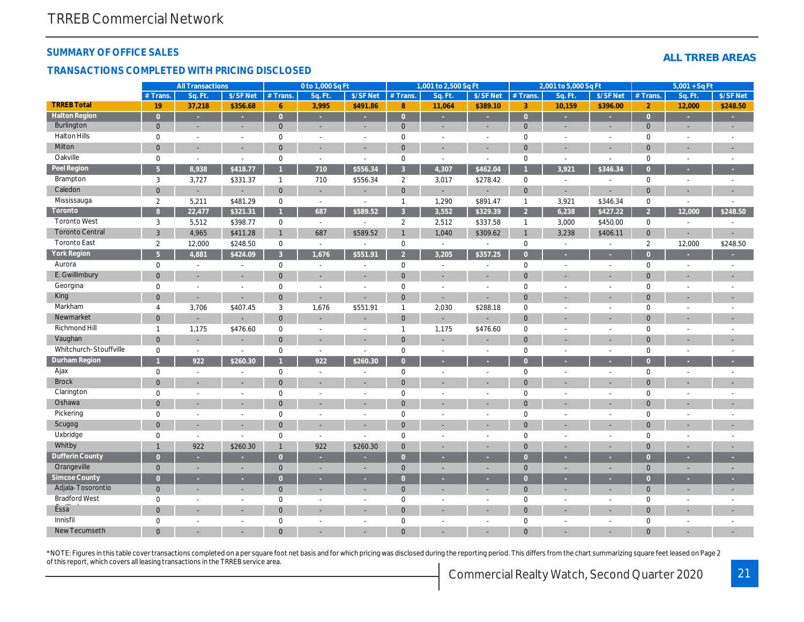#### SUMMARY OF OFFICE SALES

#### TRANSACTIONS COMPLETED WITH PRICING DISCLOSED

|                        |                | <b>All Transactions</b> |                |                                | 0 to 1,000 Sq Ft         |                          |                | 1,001 to 2,500 Sq Ft     |                          |                | 2,001 to 5,000 Sq Ft |                          |
|------------------------|----------------|-------------------------|----------------|--------------------------------|--------------------------|--------------------------|----------------|--------------------------|--------------------------|----------------|----------------------|--------------------------|
|                        | $#$ Trans.     | Sq. Ft.                 | \$/SF Net      | $#$ Trans.                     | Sa. Ft.                  | \$/SF Net                | $#$ Trans.     | Sa. Ft.                  | \$/SF Net                | $#$ Trans.     | Sq. Ft.              | \$/SF Ne                 |
| <b>TRREB Total</b>     | 19             | 37,218                  | \$356.68       | $6^{\circ}$                    | 3,995                    | \$491.86                 | 8              | 11,064                   | \$389.10                 | 3              | 10,159               | \$396.0                  |
| <b>Halton Region</b>   | $\overline{0}$ | $\sim$                  | ÷.             | $\overline{0}$                 | ×                        | ×                        | $\overline{0}$ | ×                        | $\sim$                   | $\overline{0}$ | ×                    | $\sim$                   |
| Burlington             | $\mathbf{0}$   | $\sim$                  | $\blacksquare$ | $\mathbf{0}$                   | $\sim$                   | $\sim$                   | $\mathbf 0$    | $\blacksquare$           | $\blacksquare$           | $\mathbf{0}$   | $\blacksquare$       | $\blacksquare$           |
| <b>Halton Hills</b>    | $\mathbf 0$    | $\blacksquare$          | $\blacksquare$ | $\mathbf 0$                    | $\blacksquare$           | $\blacksquare$           | $\mathbf 0$    | $\overline{\phantom{a}}$ | $\sim$                   | $\mathbf 0$    | $\blacksquare$       | $\sim$                   |
| Milton                 | $\overline{0}$ | $\blacksquare$          | $\blacksquare$ | $\mathbf{0}$                   | $\sim$                   |                          | $\mathbf 0$    | $\sim$                   | $\blacksquare$           | $\mathbf 0$    | $\blacksquare$       | $\blacksquare$           |
| Oakville               | $\mathbf 0$    | $\blacksquare$          | $\blacksquare$ | 0                              | $\blacksquare$           | $\overline{\phantom{a}}$ | $\pmb{0}$      | $\blacksquare$           | $\blacksquare$           | $\mathbf 0$    | $\blacksquare$       | $\sim$                   |
| Peel Region            | $\overline{5}$ | 8,938                   | \$418.77       |                                | 710                      | \$556.34                 | $\mathbf{3}$   | 4,307                    | \$462.04                 |                | 3,921                | \$346.3                  |
| Brampton               | 3              | 3,727                   | \$331.37       | $\mathbf{1}$                   | 710                      | \$556.34                 | $\overline{2}$ | 3,017                    | \$278.42                 | $\mathbf 0$    | $\blacksquare$       | $\blacksquare$           |
| Caledon                | $\overline{0}$ | ٠                       | $\blacksquare$ | $\overline{0}$                 | $\sim$                   |                          | $\mathbf{0}$   | $\blacksquare$           | $\blacksquare$           | $\mathbf 0$    | $\sim$               | $\blacksquare$           |
| Mississauga            | $\overline{2}$ | 5,211                   | \$481.29       | 0                              | $\blacksquare$           |                          | $\mathbf{1}$   | 1,290                    | \$891.47                 | $\mathbf{1}$   | 3,921                | \$346.34                 |
| Toronto                | $\overline{8}$ | 22,477                  | \$321.31       | $\mathbf{1}$                   | 687                      | \$589.52                 | $\mathbf{3}$   | 3,552                    | \$329.39                 | $\overline{2}$ | 6,238                | \$427.2                  |
| <b>Toronto West</b>    | 3              | 5,512                   | \$398.77       | 0                              | $\sim$                   | $\overline{\phantom{a}}$ | $\overline{2}$ | 2,512                    | \$337.58                 | $\mathbf{1}$   | 3,000                | \$450.00                 |
| <b>Toronto Central</b> | 3              | 4,965                   | \$411.28       | $\mathbf{1}$                   | 687                      | \$589.52                 | $\mathbf{1}$   | 1,040                    | \$309.62                 | $\mathbf{1}$   | 3,238                | \$406.1'                 |
| <b>Toronto East</b>    | $\overline{2}$ | 12,000                  | \$248.50       | $\mathbf 0$                    | $\sim$                   | $\sim$                   | $\mathbf 0$    | $\sim$                   | $\blacksquare$           | $\mathbf 0$    | $\blacksquare$       |                          |
| <b>York Region</b>     | 5 <sup>5</sup> | 4,881                   | \$424.09       | 3 <sup>1</sup>                 | 1,676                    | \$551.91                 | $\overline{2}$ | 3.205                    | \$357.25                 | $\overline{0}$ |                      | ×                        |
| Aurora                 | $\mathbf 0$    | $\blacksquare$          | $\blacksquare$ | $\mathbf 0$                    | $\blacksquare$           | $\sim$                   | $\mathbf 0$    | $\sim$                   | $\sim$                   | $\mathbf 0$    | $\blacksquare$       | $\sim$                   |
| E. Gwillimbury         | $\overline{0}$ |                         |                | $\mathbf{0}$                   |                          |                          | $\mathbf 0$    |                          |                          | $\mathbf{0}$   |                      | $\blacksquare$           |
| Georgina               | $\mathbf 0$    | $\sim$                  | L,             | $\mathbf 0$                    | $\sim$                   | $\sim$                   | $\mathbf 0$    | $\sim$                   | $\sim$                   | $\mathbf 0$    | ä,                   | $\sim$                   |
| King                   | $\mathbf 0$    | $\blacksquare$          | $\blacksquare$ | $\mathbf{0}$                   |                          |                          | $\mathbf 0$    | $\blacksquare$           | $\blacksquare$           | $\mathbf{0}$   |                      |                          |
| Markham                | $\overline{4}$ | 3,706                   | \$407.45       | 3                              | 1,676                    | \$551.91                 | $\mathbf{1}$   | 2,030                    | \$288.18                 | $\mathbf 0$    | $\blacksquare$       | $\blacksquare$           |
| Newmarket              | $\mathbf 0$    |                         |                | $\mathbf{0}$                   |                          |                          | $\mathbf 0$    | ٠                        |                          | $\mathbf{0}$   |                      |                          |
| Richmond Hill          | $\mathbf{1}$   | 1,175                   | \$476.60       | $\mathbf 0$                    | $\sim$                   | $\overline{\phantom{a}}$ | $\mathbf{1}$   | 1,175                    | \$476.60                 | $\mathbf 0$    | $\sim$               | $\blacksquare$           |
| Vaughan                | $\mathbf 0$    | $\sim$                  | $\sim$         | $\mathbf{0}$                   |                          |                          | $\mathbf 0$    | ٠                        | ٠                        | $\mathbf 0$    |                      |                          |
| Whitchurch-Stouffville | $\mathbf 0$    | $\blacksquare$          | $\blacksquare$ | $\mathbf 0$                    | $\sim$                   | $\blacksquare$           | $\mathbf 0$    | $\overline{\phantom{a}}$ | $\overline{\phantom{a}}$ | $\mathbf 0$    | $\blacksquare$       | $\sim$                   |
| Durham Region          |                | 922                     | \$260.30       |                                | 922                      | \$260.30                 | $\overline{0}$ |                          |                          | $\overline{0}$ |                      | ×.                       |
| Ajax                   | $\mathbf 0$    | $\blacksquare$          | $\blacksquare$ | $\mathbf 0$                    | $\sim$                   | $\overline{\phantom{a}}$ | $\pmb{0}$      | $\blacksquare$           | $\blacksquare$           | $\mathsf 0$    | $\blacksquare$       | $\blacksquare$           |
| <b>Brock</b>           | $\overline{0}$ |                         | $\sim$         | $\mathbf{0}$                   |                          |                          | $\mathbf{0}$   |                          |                          | $\mathbf{0}$   |                      | ۰.                       |
| Clarington             | $\mathbf 0$    | $\blacksquare$          | $\blacksquare$ | $\Omega$                       | $\sim$                   | $\sim$                   | $\mathbf 0$    | $\blacksquare$           | $\blacksquare$           | $\mathbf 0$    | $\blacksquare$       | $\blacksquare$           |
| Oshawa                 | $\overline{0}$ |                         |                | $\overline{0}$                 |                          |                          | $\mathbf{0}$   |                          |                          | $\mathbf{0}$   |                      | $\overline{\phantom{a}}$ |
| Pickering              | $\mathbf 0$    | $\blacksquare$          | $\blacksquare$ | $\mathbf 0$                    | $\sim$                   | $\overline{\phantom{a}}$ | $\pmb{0}$      | $\blacksquare$           | $\blacksquare$           | $\mathbf 0$    | $\blacksquare$       | $\sim$                   |
| Scugog                 | $\overline{0}$ | $\sim$                  | $\blacksquare$ | $\mathbf{0}$                   |                          |                          | $\mathbf{0}$   | ٠                        | ٠                        | $\mathbf{0}$   | ٠                    |                          |
| Uxbridge               | $\mathbf 0$    | $\sim$                  | $\blacksquare$ | $\mathbf 0$                    | $\sim$                   | $\sim$                   | $\mathbf 0$    | $\blacksquare$           | $\blacksquare$           | $\mathbf 0$    | $\blacksquare$       | $\sim$                   |
| Whitby                 | $\overline{1}$ | 922                     | \$260.30       | $\mathbf{1}$                   | 922                      | \$260.30                 | $\mathbf{0}$   | ٠                        |                          | $\mathbf{0}$   |                      | ٠                        |
| <b>Dufferin County</b> | $\overline{0}$ | $\sim$                  | ×.             | $\overline{0}$                 |                          |                          |                | ×                        |                          |                | ٠                    |                          |
| Orangeville            |                |                         |                |                                | ×.                       | н.                       | $\overline{0}$ |                          | ×.                       | $\overline{0}$ |                      | ×                        |
| <b>Simcoe County</b>   | $\mathbf{0}$   | $\sim$                  | $\blacksquare$ | $\mathbf{0}$<br>$\overline{0}$ | $\sim$                   |                          | $\mathbf 0$    | $\blacksquare$           | $\blacksquare$           | $\mathbf{0}$   | $\blacksquare$       | $\blacksquare$           |
| Adjala-Tosorontio      | $\overline{0}$ | $\sim$                  | ÷.             |                                | ×                        | ×                        | $\overline{0}$ | ×                        | $\sim$                   | $\overline{0}$ | ×                    | $\sim$                   |
| <b>Bradford West</b>   | $\mathbf{0}$   | $\sim$                  | $\sim$         | $\mathbf{0}$                   | $\overline{\phantom{a}}$ |                          | $\mathbf{0}$   | $\blacksquare$           | ٠                        | $\mathbf 0$    | $\blacksquare$       | $\sim$                   |
| Essa                   | 0              | $\sim$                  | $\blacksquare$ | $\mathbf 0$                    | $\sim$                   | $\overline{\phantom{a}}$ | $\pmb{0}$      | $\sim$                   | $\sim$                   | $\mathbf 0$    | $\sim$               | $\sim$                   |
|                        | $\mathbf 0$    |                         |                | $\mathbf 0$                    |                          |                          | $\mathbf 0$    | ٠                        |                          | $\overline{0}$ |                      |                          |
| Innisfil               | $\mathbf 0$    | $\blacksquare$          | $\blacksquare$ | $\mathbf 0$                    | $\overline{\phantom{a}}$ | $\overline{\phantom{a}}$ | $\mathbf 0$    | $\sim$                   | $\sim$                   | $\mathbf 0$    | $\blacksquare$       | $\blacksquare$           |
| <b>New Tecumseth</b>   | $\Omega$       |                         |                | $\Omega$                       |                          |                          | $\Omega$       |                          |                          | $\Omega$       |                      |                          |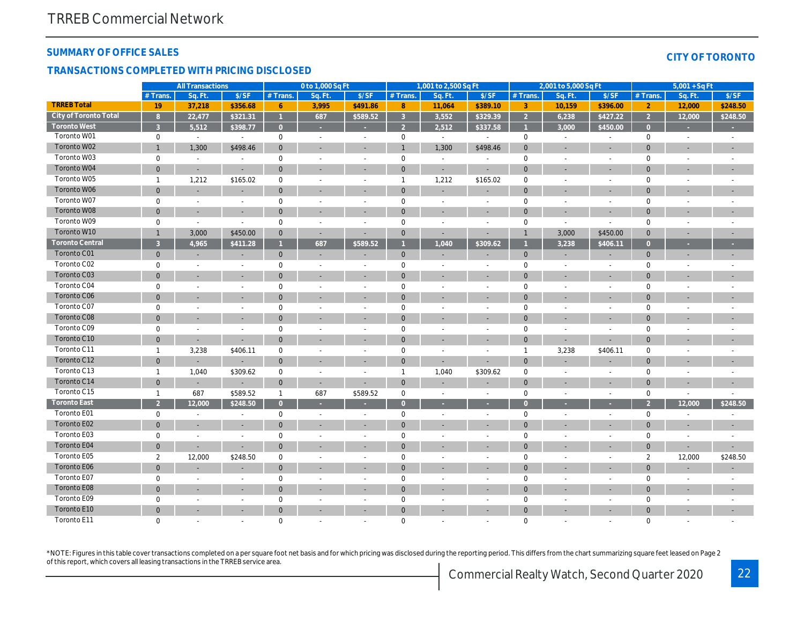#### SUMMARY OF OFFICE SALES

#### TRANSACTIONS COMPLETED WITH PRICING DISCLOSED

|                        |                | <b>All Transactions</b>  |                          |                | 0 to 1,000 Sq Ft         |                          |                     | 1,001 to 2,500 Sq Ft |                          |                | 2,001 to 5,000 Sq Ft     |                          |
|------------------------|----------------|--------------------------|--------------------------|----------------|--------------------------|--------------------------|---------------------|----------------------|--------------------------|----------------|--------------------------|--------------------------|
|                        | # Trans.       | Sq. Ft.                  | \$/SF                    | # Trans.       | Sq. Ft.                  | S/SF                     | # Trans.            | Sq. Ft.              | \$/SF                    | # Trans.       | Sq. Ft.                  | S/SF                     |
| <b>TRREB Total</b>     | 19             | 37,218                   | \$356.68                 | 6              | 3,995                    | \$491.86                 | 8                   | 11,064               | \$389.10                 | 3              | 10,159                   | \$396.0                  |
| City of Toronto Total  | $\overline{8}$ | 22,477                   | \$321.31                 | $\overline{1}$ | 687                      | \$589.52                 | $\mathbf{3}$        | 3,552                | \$329.39                 | $\overline{2}$ | 6,238                    | \$427.2                  |
| <b>Toronto West</b>    | $\overline{3}$ | 5,512                    | \$398.77                 | $\overline{0}$ |                          | ×                        | $\overline{2}$      | 2,512                | \$337.58                 | $\overline{1}$ | 3,000                    | \$450.0                  |
| Toronto W01            | 0              | $\blacksquare$           | $\blacksquare$           | $\mathbf 0$    | $\sim$                   | $\sim$                   | $\mathbf 0$         | $\sim$               | $\sim$                   | $\mathbf 0$    | $\blacksquare$           | $\blacksquare$           |
| Toronto W02            | $\mathbf{1}$   | 1,300                    | \$498.46                 | $\mathbf 0$    | $\sim$                   | $\blacksquare$           | $\mathbf{1}$        | 1,300                | \$498.46                 | $\mathbf 0$    |                          | $\overline{\phantom{a}}$ |
| Toronto W03            | 0              | $\sim$                   | $\blacksquare$           | $\mathbf 0$    | $\sim$                   | $\overline{\phantom{a}}$ | $\mathsf{O}\xspace$ | $\blacksquare$       | $\blacksquare$           | $\mathbf 0$    | $\blacksquare$           | $\blacksquare$           |
| Toronto W04            | $\mathbf 0$    | $\blacksquare$           |                          | $\mathbf 0$    | $\blacksquare$           | $\blacksquare$           | $\mathbf 0$         | ÷,                   | ÷,                       | $\mathbf{0}$   | $\blacksquare$           | $\blacksquare$           |
| Toronto W05            | $\mathbf{1}$   | 1,212                    | \$165.02                 | $\pmb{0}$      | $\blacksquare$           | $\sim$                   | $\overline{1}$      | 1,212                | \$165.02                 | $\mathbf 0$    | J.                       | $\blacksquare$           |
| Toronto W06            | $\mathbf{0}$   | $\sim$                   | $\sim$                   | $\mathbf 0$    | $\sim$                   | $\blacksquare$           | $\mathbf{0}$        | $\blacksquare$       | $\blacksquare$           | $\mathbf 0$    | $\sim$                   | $\sim$                   |
| Toronto W07            | 0              | $\blacksquare$           | $\blacksquare$           | $\mathbf 0$    | $\sim$                   | $\sim$                   | $\mathbf 0$         | $\blacksquare$       | $\blacksquare$           | 0              | $\blacksquare$           | $\blacksquare$           |
| Toronto W08            | $\mathbf 0$    | $\sim$                   |                          | $\mathbf 0$    | $\sim$                   | $\overline{\phantom{a}}$ | $\mathbf{0}$        | $\blacksquare$       | ٠                        | $\mathbf{0}$   | ٠                        | $\sim$                   |
| Toronto W09            | 0              | $\blacksquare$           | $\blacksquare$           | $\mathbf 0$    | $\sim$                   | $\sim$                   | $\mathsf 0$         | $\blacksquare$       | $\blacksquare$           | $\mathbf 0$    | $\blacksquare$           | $\blacksquare$           |
| Toronto W10            | $\mathbf{1}$   | 3,000                    | \$450.00                 | $\mathbf{0}$   | $\sim$                   | $\blacksquare$           | $\mathbf 0$         | $\blacksquare$       | ä,                       | $\mathbf{1}$   | 3,000                    | \$450.0                  |
| <b>Toronto Central</b> | $\overline{3}$ | 4,965                    | \$411.28                 | $\mathbf{1}$   | 687                      | \$589.52                 | $\mathbf{1}$        | 1,040                | \$309.62                 | $\overline{1}$ | 3,238                    | \$406.1                  |
| Toronto C01            | $\mathbf 0$    | $\overline{\phantom{a}}$ | $\overline{\phantom{a}}$ | $\mathbf{0}$   | $\overline{\phantom{a}}$ |                          | $\mathbf 0$         | ٠                    | $\blacksquare$           | $\mathbf{0}$   | $\overline{\phantom{a}}$ | $\overline{\phantom{a}}$ |
| Toronto C02            | 0              | $\blacksquare$           | $\blacksquare$           | $\mathbf 0$    | $\sim$                   | $\overline{\phantom{a}}$ | $\mathbf 0$         | $\blacksquare$       | $\blacksquare$           | $\mathbf 0$    | $\blacksquare$           | $\blacksquare$           |
| Toronto C03            | $\mathbf 0$    | $\blacksquare$           | $\blacksquare$           | $\mathbf 0$    | $\blacksquare$           | $\blacksquare$           | $\mathbf 0$         | $\blacksquare$       | $\blacksquare$           | $\mathbf 0$    | $\blacksquare$           | $\sim$                   |
| Toronto C04            | 0              | $\blacksquare$           | $\blacksquare$           | $\mathbf 0$    | $\sim$                   | $\blacksquare$           | $\mathbf 0$         | $\sim$               | $\sim$                   | $\mathbf 0$    | $\sim$                   | $\blacksquare$           |
| <b>Toronto C06</b>     | $\mathbf{0}$   | $\overline{\phantom{a}}$ | $\blacksquare$           | $\mathbf{0}$   | $\sim$                   | $\sim$                   | $\mathbf{0}$        | ٠                    | $\overline{\phantom{a}}$ | $\mathbf 0$    | $\overline{\phantom{a}}$ | $\sim$                   |
| Toronto C07            | 0              | $\blacksquare$           | $\blacksquare$           | $\mathbf 0$    | $\sim$                   | $\overline{\phantom{a}}$ | $\mathbf 0$         | $\blacksquare$       | $\blacksquare$           | $\mathbf 0$    | $\overline{\phantom{a}}$ | $\blacksquare$           |
| Toronto C08            | $\mathbf 0$    | $\overline{\phantom{a}}$ |                          | $\mathbf 0$    | $\sim$                   | $\overline{a}$           | $\mathbf{0}$        | ٠                    |                          | $\mathbf 0$    | $\overline{\phantom{a}}$ | $\sim$                   |
| Toronto C09            | 0              | $\blacksquare$           | $\blacksquare$           | $\mathbf 0$    | $\sim$                   | $\sim$                   | $\mathsf 0$         | $\blacksquare$       | $\blacksquare$           | $\mathbf 0$    | $\blacksquare$           | $\blacksquare$           |
| Toronto C10            | $\mathbf 0$    | $\blacksquare$           | $\blacksquare$           | $\mathbf 0$    |                          |                          | $\mathbf 0$         |                      |                          | $\mathbf 0$    | $\blacksquare$           | $\blacksquare$           |
| Toronto C11            | $\mathbf{1}$   | 3,238                    | \$406.11                 | $\mathbf 0$    | $\sim$                   | $\sim$                   | $\mathbf 0$         | $\blacksquare$       | $\blacksquare$           | $\mathbf{1}$   | 3,238                    | \$406.1                  |
| Toronto C12            | $\mathbf 0$    |                          |                          | $\mathbf{0}$   | $\sim$                   | $\sim$                   | $\mathbf 0$         | ÷,                   | ٠                        | $\mathbf{0}$   | $\overline{\phantom{a}}$ | $\overline{\phantom{a}}$ |
| Toronto C13            | $\mathbf{1}$   | 1,040                    | \$309.62                 | $\mathbf 0$    | $\sim$                   | $\sim$                   | $\mathbf{1}$        | 1,040                | \$309.62                 | $\mathbf 0$    | $\blacksquare$           | $\blacksquare$           |
| Toronto C14            | $\mathbf 0$    | $\blacksquare$           | $\sim$                   | $\mathbf{0}$   | $\sim$                   | $\blacksquare$           | $\mathbf 0$         | ÷,                   | $\blacksquare$           | $\mathbf 0$    | $\blacksquare$           | $\blacksquare$           |
| Toronto C15            | $\mathbf{1}$   | 687                      | \$589.52                 | $\mathbf{1}$   | 687                      | \$589.52                 | $\mathbf 0$         | $\blacksquare$       | $\sim$                   | $\mathbf 0$    | $\sim$                   | $\omega$                 |
| <b>Toronto East</b>    | $\overline{2}$ | 12,000                   | \$248.50                 | $\overline{0}$ | ×                        | $\sim$                   | $\overline{0}$      | $\sim$               | ×                        | $\Omega$       | ٠                        | ×.                       |
| Toronto E01            | 0              | $\blacksquare$           | $\blacksquare$           | $\mathbf 0$    | $\blacksquare$           | $\blacksquare$           | $\mathbf 0$         | $\blacksquare$       | $\overline{\phantom{a}}$ | $\mathbf 0$    | $\overline{\phantom{a}}$ | $\blacksquare$           |
| Toronto E02            | $\mathbf 0$    | $\blacksquare$           | $\sim$                   | $\mathbf 0$    | $\sim$                   | $\overline{\phantom{a}}$ | $\mathbf{0}$        | $\blacksquare$       | ٠                        | $\mathbf 0$    | $\overline{\phantom{a}}$ | $\sim$                   |
| Toronto E03            | 0              | $\blacksquare$           | $\sim$                   | $\mathbf 0$    | $\sim$                   | $\blacksquare$           | $\pmb{0}$           | $\blacksquare$       | $\blacksquare$           | $\mathbf 0$    | $\blacksquare$           | $\blacksquare$           |
| Toronto E04            | $\mathbf 0$    | $\blacksquare$           | $\sim$                   | $\mathbf 0$    |                          |                          | $\mathbf{0}$        |                      |                          | $\mathbf{0}$   |                          | $\blacksquare$           |
| Toronto E05            | $\mathbf{2}$   | 12,000                   | \$248.50                 | $\mathbf 0$    | $\sim$                   | $\sim$                   | $\mathbf 0$         | $\blacksquare$       | $\sim$                   | $\mathbf 0$    | $\overline{\phantom{a}}$ | $\sim$                   |
| Toronto E06            | $\pmb{0}$      |                          |                          | $\mathbf 0$    | $\sim$                   | $\sim$                   | $\mathbf 0$         | $\blacksquare$       | ٠                        | $\mathbf 0$    |                          | $\overline{\phantom{a}}$ |
| Toronto E07            | 0              | $\sim$                   | $\blacksquare$           | $\mathbf 0$    | $\sim$                   | $\overline{\phantom{a}}$ | $\mathsf{O}\xspace$ | $\blacksquare$       | $\overline{\phantom{a}}$ | 0              | $\blacksquare$           | $\sim$                   |
| Toronto E08            | $\mathbf 0$    | $\blacksquare$           | $\blacksquare$           | $\mathbf 0$    | $\blacksquare$           | $\blacksquare$           | $\mathbf 0$         | ÷,                   | $\blacksquare$           | $\mathbf 0$    |                          | $\blacksquare$           |
| Toronto E09            | 0              | $\blacksquare$           | $\blacksquare$           | $\mathbf 0$    | $\overline{a}$           | $\sim$                   | $\mathbf 0$         | $\sim$               | $\blacksquare$           | 0              |                          | $\blacksquare$           |
| Toronto E10            | $\mathbf{0}$   | $\blacksquare$           | $\blacksquare$           | $\mathbf{0}$   | $\overline{a}$           | $\sim$                   | $\mathbf 0$         | ٠                    | ٠                        | $\mathbf{0}$   |                          | $\sim$                   |
| Toronto E11            | $\mathbf 0$    | $\sim$                   | ÷.                       | $\mathbf 0$    | $\sim$                   | $\sim$                   | $\mathbf 0$         | ä,                   | ä,                       | $\mathbf 0$    | ÷.                       | $\sim$                   |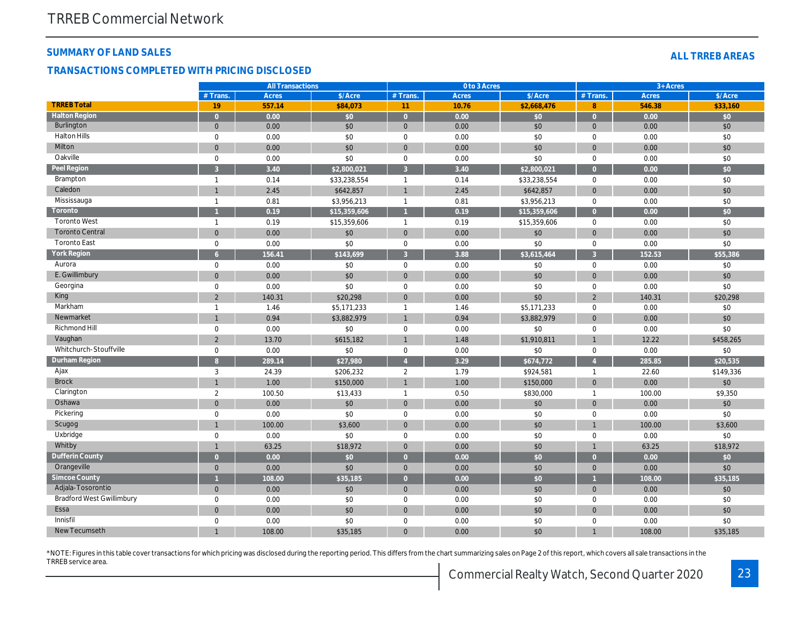## SUMMARY OF LAND SALES

#### TRANSACTIONS COMPLETED WITH PRICING DISCLOSED

|                                  |                     | <b>All Transactions</b> |                  |                | 0 to 3 Acres |              |                        |
|----------------------------------|---------------------|-------------------------|------------------|----------------|--------------|--------------|------------------------|
|                                  | # Trans.            | <b>Acres</b>            | \$/Acre          | # Trans.       | Acres        | \$/Acre      | # Trans.               |
| <b>TRREB Total</b>               | 19                  | 557.14                  | \$84,073         | 11             | 10.76        | \$2,668,476  | 8                      |
| <b>Halton Region</b>             | $\overline{0}$      | 0.00                    | $\overline{\$0}$ | $\overline{0}$ | 0.00         | \$0          | $\overline{0}$         |
| <b>Burlington</b>                | $\mathbf{0}$        | 0.00                    | \$0              | $\mathbf{0}$   | 0.00         | \$0          | $\mathbf{0}$           |
| <b>Halton Hills</b>              | $\mathbf 0$         | 0.00                    | \$0              | 0              | 0.00         | \$0          | 0                      |
| Milton                           | $\mathbf 0$         | 0.00                    | \$0              | $\mathbf 0$    | 0.00         | \$0          | $\mathbf 0$            |
| Oakville                         | $\mathbf 0$         | 0.00                    | \$0              | $\mathbf 0$    | 0.00         | \$0          | $\mathbf 0$            |
| Peel Region                      | 3                   | 3.40                    | \$2,800,021      | 3              | 3.40         | \$2,800,021  | $\overline{0}$         |
| <b>Brampton</b>                  | $\mathbf{1}$        | 0.14                    | \$33,238,554     | $\overline{1}$ | 0.14         | \$33,238,554 | 0                      |
| Caledon                          | $\mathbf{1}$        | 2.45                    | \$642,857        | $\overline{1}$ | 2.45         | \$642,857    | $\mathbf 0$            |
| Mississauga                      | $\overline{1}$      | 0.81                    | \$3,956,213      | $\overline{1}$ | 0.81         | \$3,956,213  | $\mathbf 0$            |
| Toronto                          |                     | 0.19                    | \$15,359,606     |                | 0.19         | \$15,359,606 | $\overline{0}$         |
| <b>Toronto West</b>              | $\mathbf{1}$        | 0.19                    | \$15,359,606     | $\overline{1}$ | 0.19         | \$15,359,606 | 0                      |
| <b>Toronto Central</b>           | $\mathbf{0}$        | 0.00                    | \$0              | $\mathbf{0}$   | 0.00         | \$0          | $\mathbf 0$            |
| <b>Toronto East</b>              | $\mathbf 0$         | 0.00                    | \$0              | $\mathbf 0$    | 0.00         | \$0          | 0                      |
| York Region                      | 6 <sup>1</sup>      | 156.41                  | \$143,699        | 3              | 3.88         | \$3,615,464  | $\overline{3}$         |
| Aurora                           | $\mathsf{O}\xspace$ | 0.00                    | \$0              | $\mathbf 0$    | 0.00         | \$0          | $\mathbf 0$            |
| E. Gwillimbury                   | $\mathbf{0}$        | 0.00                    | \$0              | $\mathbf 0$    | 0.00         | \$0          | $\mathbf 0$            |
| Georgina                         | $\mathbf 0$         | 0.00                    | \$0              | $\mathbf 0$    | 0.00         | \$0          | 0                      |
| King                             | $\overline{2}$      | 140.31                  | \$20,298         | $\mathbf 0$    | 0.00         | \$0          | $\overline{2}$         |
| Markham                          | $\mathbf{1}$        | 1.46                    | \$5,171,233      | $\overline{1}$ | 1.46         | \$5,171,233  | 0                      |
| Newmarket                        | $\mathbf{1}$        | 0.94                    | \$3,882,979      | $\overline{1}$ | 0.94         | \$3,882,979  | $\mathbf 0$            |
| Richmond Hill                    | $\mathbf 0$         | 0.00                    | \$0              | $\mathbf 0$    | 0.00         | \$0          | 0                      |
| Vaughan                          | $\overline{2}$      | 13.70                   | \$615,182        | $\overline{1}$ | 1.48         | \$1,910,811  |                        |
| Whitchurch-Stouffville           | $\mathbf 0$         | 0.00                    | \$0              | $\mathbf 0$    | 0.00         | \$0          | $\mathbf 0$            |
| Durham Region                    | 8 <sup>°</sup>      | 289.14                  | \$27,980         | $\overline{4}$ | 3.29         | \$674,772    | $\boldsymbol{\Lambda}$ |
| Ajax                             | 3                   | 24.39                   | \$206,232        | $\overline{2}$ | 1.79         | \$924,581    | $\mathbf{1}$           |
| <b>Brock</b>                     | $\mathbf{1}$        | 1.00                    | \$150,000        | $\overline{1}$ | 1.00         | \$150,000    | $\mathbf 0$            |
| Clarington                       | $\overline{2}$      | 100.50                  | \$13,433         | $\overline{1}$ | 0.50         | \$830,000    | $\mathbf{1}$           |
| Oshawa                           | $\mathbf{0}$        | 0.00                    | \$0              | $\mathbf{0}$   | 0.00         | \$0          | $\mathbf 0$            |
| Pickering                        | $\mathbf 0$         | 0.00                    | \$0              | $\mathbf 0$    | 0.00         | \$0          | 0                      |
| Scugog                           | $\overline{1}$      | 100.00                  | \$3,600          | $\mathbf 0$    | 0.00         | \$0          |                        |
| Uxbridge                         | $\mathbf 0$         | 0.00                    | \$0              | $\mathbf 0$    | 0.00         | \$0          | 0                      |
| Whitby                           | $\mathbf{1}$        | 63.25                   | \$18,972         | $\mathbf 0$    | 0.00         | \$0          | $\mathbf{1}$           |
| <b>Dufferin County</b>           | $\overline{0}$      | 0.00                    | \$0              | $\overline{0}$ | 0.00         | \$0          | $\overline{0}$         |
| Orangeville                      | $\mathbf{0}$        | 0.00                    | \$0              | $\mathbf{0}$   | 0.00         | \$0          | $\mathbf 0$            |
| <b>Simcoe County</b>             | $\overline{1}$      | 108.00                  | \$35,185         | $\overline{0}$ | 0.00         | \$0          |                        |
| Adjala-Tosorontio                | $\mathbf 0$         | 0.00                    | \$0              | $\mathbf{0}$   | 0.00         | \$0          | $\mathbf 0$            |
| <b>Bradford West Gwillimbury</b> | $\mathbf 0$         | 0.00                    | \$0              | $\mathbf 0$    | 0.00         | \$0          | 0                      |
| Essa                             | $\mathbf 0$         | 0.00                    | \$0              | $\mathbf 0$    | 0.00         | \$0          | $\overline{0}$         |
| Innisfil                         | $\mathbf 0$         | 0.00                    | \$0              | 0              | 0.00         | \$0          | 0                      |
| New Tecumseth                    |                     | 108.00                  | \$35,185         | $\mathbf 0$    | 0.00         | \$0          |                        |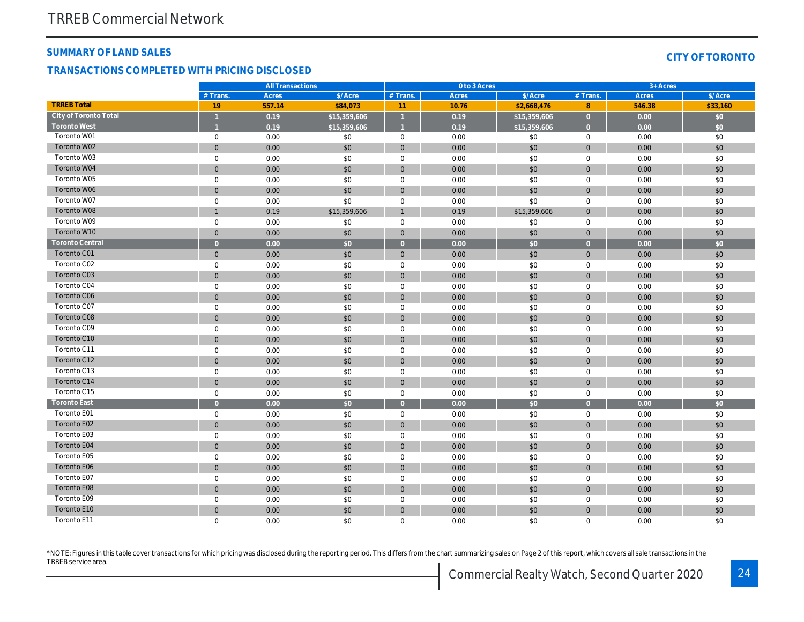#### SUMMARY OF LAND SALES

#### TRANSACTIONS COMPLETED WITH PRICING DISCLOSED

|                              |                | <b>All Transactions</b> |              |                | 0 to 3 Acres |              |                |  |
|------------------------------|----------------|-------------------------|--------------|----------------|--------------|--------------|----------------|--|
|                              | # Trans.       | Acres                   | \$/Acre      | # Trans.       | <b>Acres</b> | \$/Acre      | # Trans.       |  |
| <b>TRREB Total</b>           | 19             | 557.14                  | \$84,073     | 11             | 10.76        | \$2,668,476  | 8              |  |
| <b>City of Toronto Total</b> |                | 0.19                    | \$15,359,606 |                | 0.19         | \$15,359,606 | $\overline{0}$ |  |
| <b>Toronto West</b>          |                | 0.19                    | \$15,359,606 |                | 0.19         | \$15,359,606 | $\Omega$       |  |
| Toronto W01                  | $\mathbf 0$    | 0.00                    | \$0          | $\mathbf 0$    | 0.00         | \$0          | $\mathbf 0$    |  |
| Toronto W02                  | $\mathbf 0$    | 0.00                    | \$0          | $\mathbf{0}$   | 0.00         | \$0          | $\mathbf{0}$   |  |
| Toronto W03                  | $\mathbf 0$    | 0.00                    | \$0          | $\mathbf{0}$   | 0.00         | \$0          | 0              |  |
| Toronto W04                  | $\mathbf 0$    | 0.00                    | \$0          | $\mathbf{0}$   | 0.00         | \$0          | $\mathbf{0}$   |  |
| Toronto W05                  | $\mathbf 0$    | 0.00                    | \$0          | $\mathbf 0$    | 0.00         | \$0          | $\mathbf 0$    |  |
| Toronto W06                  | $\overline{0}$ | 0.00                    | \$0          | $\mathbf{0}$   | 0.00         | \$0          | $\mathbf{0}$   |  |
| Toronto W07                  | $\mathbf 0$    | 0.00                    | \$0          | $\mathbf 0$    | 0.00         | \$0          | $\mathbf 0$    |  |
| Toronto W08                  | $\overline{1}$ | 0.19                    | \$15,359,606 | $\mathbf{1}$   | 0.19         | \$15,359,606 | $\mathbf{0}$   |  |
| Toronto W09                  | $\mathbf 0$    | 0.00                    | \$0          | $\mathbf 0$    | 0.00         | \$0          | $\mathbf 0$    |  |
| Toronto W10                  | $\overline{0}$ | 0.00                    | \$0          | $\mathbf{0}$   | 0.00         | \$0          | $\mathbf{0}$   |  |
| <b>Toronto Central</b>       | $\overline{0}$ | 0.00                    | \$0          | $\overline{0}$ | 0.00         | \$0          | $\overline{0}$ |  |
| <b>Toronto C01</b>           | $\mathbf 0$    | 0.00                    | \$0          | $\mathbf 0$    | 0.00         | \$0          | $\mathbf{0}$   |  |
| Toronto C02                  | $\mathbf 0$    | 0.00                    | \$0          | $\mathbf{0}$   | 0.00         | \$0          | $\mathbf 0$    |  |
| Toronto C03                  | $\mathbf 0$    | 0.00                    | \$0          | $\mathbf{0}$   | 0.00         | \$0          | $\mathbf{0}$   |  |
| Toronto C04                  | $\mathbf 0$    | 0.00                    | \$0          | $\mathbf{0}$   | 0.00         | \$0          | $\mathbf 0$    |  |
| <b>Toronto C06</b>           | $\mathbf 0$    | 0.00                    | \$0          | $\mathbf{0}$   | 0.00         | \$0          | $\mathbf{0}$   |  |
| Toronto C07                  | $\mathbf 0$    | 0.00                    | \$0          | $\mathbf 0$    | 0.00         | \$0          | 0              |  |
| <b>Toronto C08</b>           | $\overline{0}$ | 0.00                    | \$0          | $\mathbf{0}$   | 0.00         | \$0          | $\mathbf{0}$   |  |
| Toronto C09                  | $\mathbf 0$    | 0.00                    | \$0          | 0              | 0.00         | \$0          | 0              |  |
| Toronto C10                  | $\overline{0}$ | 0.00                    | \$0          | $\mathbf{0}$   | 0.00         | \$0          | $\mathbf{0}$   |  |
| Toronto C11                  | $\mathbf 0$    | 0.00                    | \$0          | $\mathbf{0}$   | 0.00         | \$0          | $\mathbf 0$    |  |
| Toronto C12                  | $\mathbf 0$    | 0.00                    | \$0          | $\mathbf{0}$   | 0.00         | \$0          | $\mathbf{0}$   |  |
| Toronto C13                  | $\mathbf 0$    | 0.00                    | \$0          | $\mathbf 0$    | 0.00         | \$0          | $\mathbf 0$    |  |
| Toronto C14                  | $\mathbf 0$    | 0.00                    | \$0          | $\mathbf{0}$   | 0.00         | \$0          | $\mathbf{0}$   |  |
| Toronto C15                  | $\mathbf 0$    | 0.00                    | \$0          | $\mathbf 0$    | 0.00         | \$0          | 0              |  |
| <b>Toronto East</b>          | $\overline{0}$ | 0.00                    | \$0          | $\overline{0}$ | 0.00         | \$0          | $\overline{0}$ |  |
| Toronto E01                  | $\mathbf 0$    | 0.00                    | \$0          | $\mathbf 0$    | 0.00         | \$0          | $\mathbf 0$    |  |
| Toronto E02                  | $\mathbf 0$    | 0.00                    | \$0          | $\mathbf{0}$   | 0.00         | \$0          | $\mathbf{0}$   |  |
| Toronto E03                  | $\mathbf 0$    | 0.00                    | \$0          | $\mathbf 0$    | 0.00         | \$0          | $\mathbf 0$    |  |
| Toronto E04                  | $\mathbf 0$    | 0.00                    | \$0          | $\mathbf{0}$   | 0.00         | \$0          | $\mathbf{0}$   |  |
| Toronto E05                  | $\mathbf 0$    | 0.00                    | \$0          | $\mathbf 0$    | 0.00         | \$0          | $\mathbf 0$    |  |
| <b>Toronto E06</b>           | $\mathbf{0}$   | 0.00                    | \$0          | $\mathbf{0}$   | 0.00         | \$0          | $\mathbf{0}$   |  |
| Toronto E07                  | $\mathbf 0$    | 0.00                    | \$0          | $\mathbf 0$    | 0.00         | \$0          | $\mathbf 0$    |  |
| Toronto E08                  | $\mathbf 0$    | 0.00                    | \$0          | $\mathbf{0}$   | 0.00         | \$0          | $\mathbf{0}$   |  |
| Toronto E09                  | $\mathbf 0$    | 0.00                    | \$0          | $\mathbf 0$    | 0.00         | \$0          | $\mathbf 0$    |  |
| Toronto E10                  | $\overline{0}$ | 0.00                    | \$0          | $\mathbf{0}$   | 0.00         | \$0          | $\mathbf{0}$   |  |
| Toronto E11                  | $\mathbf 0$    | 0.00                    | \$0          | $\mathbf 0$    | 0.00         | \$0          | 0              |  |